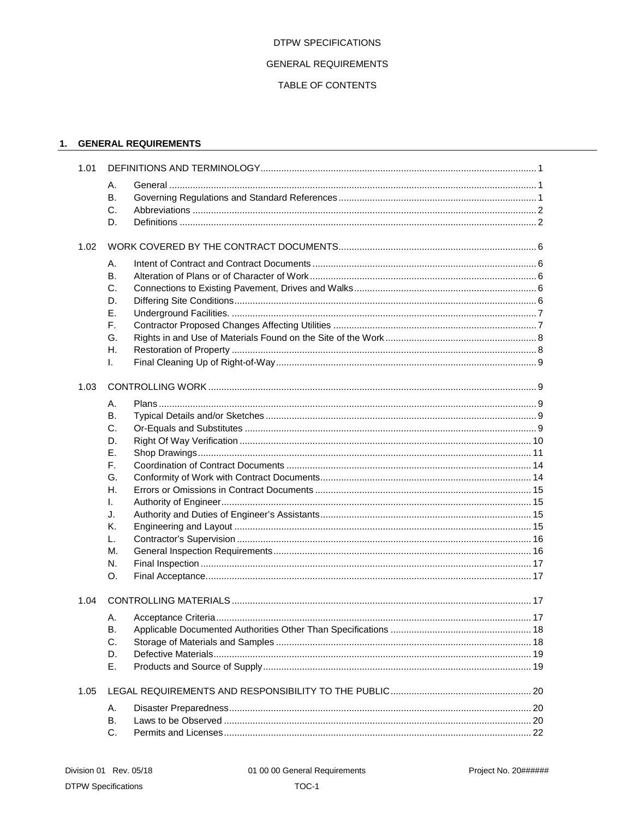### **DTPW SPECIFICATIONS**

# **GENERAL REQUIREMENTS**

# TABLE OF CONTENTS

# 1. GENERAL REQUIREMENTS

| 1.01 |          |  |  |
|------|----------|--|--|
|      | А.       |  |  |
|      | В.       |  |  |
|      | C.       |  |  |
|      | D.       |  |  |
| 1.02 |          |  |  |
|      | Α.       |  |  |
|      | В.       |  |  |
|      | C.       |  |  |
|      | D.       |  |  |
|      | Ε.       |  |  |
|      | F.       |  |  |
|      | G.<br>Η. |  |  |
|      | I.       |  |  |
| 1.03 |          |  |  |
|      |          |  |  |
|      | А.       |  |  |
|      | В.<br>C. |  |  |
|      | D.       |  |  |
|      | Ε.       |  |  |
|      | F.       |  |  |
|      | G.       |  |  |
|      | Η.       |  |  |
|      | I.       |  |  |
|      | J.       |  |  |
|      | Κ.       |  |  |
|      | L.       |  |  |
|      | М.       |  |  |
|      | N.       |  |  |
|      | O.       |  |  |
| 1.04 |          |  |  |
|      | А.       |  |  |
|      | В.       |  |  |
|      | C.       |  |  |
|      | D.       |  |  |
|      | Е.       |  |  |
| 1.05 |          |  |  |
|      | Α.       |  |  |
|      | В.       |  |  |
|      | C.       |  |  |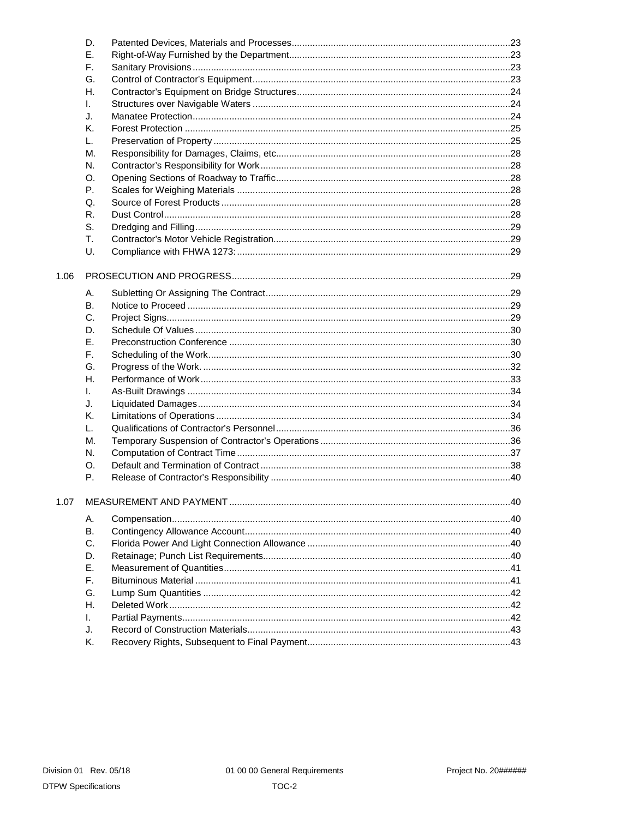|      | D. |  |
|------|----|--|
|      | Ε. |  |
|      | F. |  |
|      | G. |  |
|      | Η. |  |
|      | I. |  |
|      | J. |  |
|      | Κ. |  |
|      | L. |  |
|      | М. |  |
|      | N. |  |
|      | О. |  |
|      | Р. |  |
|      | Q. |  |
|      | R. |  |
|      | S. |  |
|      | T. |  |
|      | U. |  |
| 1.06 |    |  |
|      | А. |  |
|      | В. |  |
|      | C. |  |
|      | D. |  |
|      | Е. |  |
|      | F. |  |
|      | G. |  |
|      | Η. |  |
|      | I. |  |
|      | J. |  |
|      | Κ. |  |
|      | L. |  |
|      | М. |  |
|      | N. |  |
|      | O. |  |
|      | Ρ. |  |
|      |    |  |
| 1.07 |    |  |
|      | А. |  |
|      | Β. |  |
|      | C. |  |
|      | D. |  |
|      | Ε. |  |
|      | F. |  |
|      | G. |  |
|      | Η. |  |
|      | L. |  |
|      | J. |  |
|      | Κ. |  |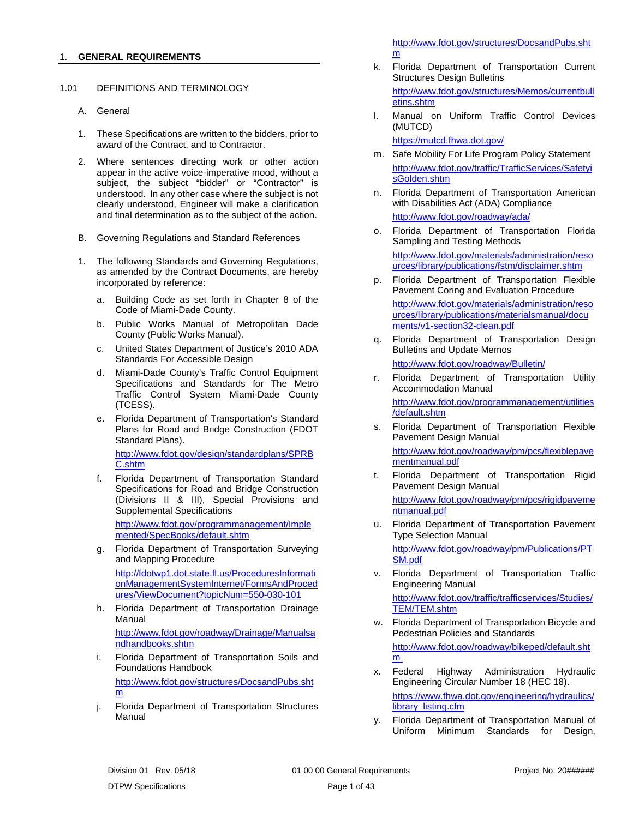#### <span id="page-2-0"></span>1. **GENERAL REQUIREMENTS**

#### <span id="page-2-1"></span>1.01 DEFINITIONS AND TERMINOLOGY

- <span id="page-2-2"></span>A. General
- 1. These Specifications are written to the bidders, prior to award of the Contract, and to Contractor.
- 2. Where sentences directing work or other action appear in the active voice-imperative mood, without a subject, the subject "bidder" or "Contractor" is understood. In any other case where the subject is not clearly understood, Engineer will make a clarification and final determination as to the subject of the action.
- <span id="page-2-3"></span>B. Governing Regulations and Standard References
- 1. The following Standards and Governing Regulations, as amended by the Contract Documents, are hereby incorporated by reference:
	- a. Building Code as set forth in Chapter 8 of the Code of Miami-Dade County.
	- b. Public Works Manual of Metropolitan Dade County (Public Works Manual).
	- c. United States Department of Justice's 2010 ADA Standards For Accessible Design
	- d. Miami-Dade County's Traffic Control Equipment Specifications and Standards for The Metro Traffic Control System Miami-Dade County (TCESS).
	- e. Florida Department of Transportation's Standard Plans for Road and Bridge Construction (FDOT Standard Plans). [http://www.fdot.gov/design/standardplans/SPRB](http://www.fdot.gov/design/standardplans/SPRBC.shtm) [C.shtm](http://www.fdot.gov/design/standardplans/SPRBC.shtm)
	- f. Florida Department of Transportation Standard Specifications for Road and Bridge Construction (Divisions II & III), Special Provisions and Supplemental Specifications

[http://www.fdot.gov/programmanagement/Imple](http://www.fdot.gov/programmanagement/Implemented/SpecBooks/default.shtm) [mented/SpecBooks/default.shtm](http://www.fdot.gov/programmanagement/Implemented/SpecBooks/default.shtm)

g. Florida Department of Transportation Surveying and Mapping Procedure [http://fdotwp1.dot.state.fl.us/ProceduresInformati](http://fdotwp1.dot.state.fl.us/ProceduresInformationManagementSystemInternet/FormsAndProcedures/ViewDocument?topicNum=550-030-101)

[onManagementSystemInternet/FormsAndProced](http://fdotwp1.dot.state.fl.us/ProceduresInformationManagementSystemInternet/FormsAndProcedures/ViewDocument?topicNum=550-030-101) [ures/ViewDocument?topicNum=550-030-101](http://fdotwp1.dot.state.fl.us/ProceduresInformationManagementSystemInternet/FormsAndProcedures/ViewDocument?topicNum=550-030-101)

h. Florida Department of Transportation Drainage Manual

[http://www.fdot.gov/roadway/Drainage/Manualsa](http://www.fdot.gov/roadway/Drainage/Manualsandhandbooks.shtm) [ndhandbooks.shtm](http://www.fdot.gov/roadway/Drainage/Manualsandhandbooks.shtm)

i. Florida Department of Transportation Soils and Foundations Handbook [http://www.fdot.gov/structures/DocsandPubs.sht](http://www.fdot.gov/structures/DocsandPubs.shtm)

[m](http://www.fdot.gov/structures/DocsandPubs.shtm)

j. Florida Department of Transportation Structures Manual

[http://www.fdot.gov/structures/DocsandPubs.sht](http://www.fdot.gov/structures/DocsandPubs.shtm) [m](http://www.fdot.gov/structures/DocsandPubs.shtm)

- k. Florida Department of Transportation Current Structures Design Bulletins [http://www.fdot.gov/structures/Memos/currentbull](http://www.fdot.gov/structures/Memos/currentbulletins.shtm) [etins.shtm](http://www.fdot.gov/structures/Memos/currentbulletins.shtm)
- l. Manual on Uniform Traffic Control Devices (MUTCD)

<https://mutcd.fhwa.dot.gov/>

- m. Safe Mobility For Life Program Policy Statement [http://www.fdot.gov/traffic/TrafficServices/Safetyi](http://www.fdot.gov/traffic/TrafficServices/SafetyisGolden.shtm) [sGolden.shtm](http://www.fdot.gov/traffic/TrafficServices/SafetyisGolden.shtm)
- n. Florida Department of Transportation American with Disabilities Act (ADA) Compliance <http://www.fdot.gov/roadway/ada/>
- o. Florida Department of Transportation Florida Sampling and Testing Methods

[http://www.fdot.gov/materials/administration/reso](http://www.fdot.gov/materials/administration/resources/library/publications/fstm/disclaimer.shtm) [urces/library/publications/fstm/disclaimer.shtm](http://www.fdot.gov/materials/administration/resources/library/publications/fstm/disclaimer.shtm)

p. Florida Department of Transportation Flexible Pavement Coring and Evaluation Procedure [http://www.fdot.gov/materials/administration/reso](http://www.fdot.gov/materials/administration/resources/library/publications/materialsmanual/documents/v1-section32-clean.pdf)

[urces/library/publications/materialsmanual/docu](http://www.fdot.gov/materials/administration/resources/library/publications/materialsmanual/documents/v1-section32-clean.pdf) [ments/v1-section32-clean.pdf](http://www.fdot.gov/materials/administration/resources/library/publications/materialsmanual/documents/v1-section32-clean.pdf)

q. Florida Department of Transportation Design Bulletins and Update Memos

<http://www.fdot.gov/roadway/Bulletin/>

- r. Florida Department of Transportation Utility Accommodation Manual [http://www.fdot.gov/programmanagement/utilities](http://www.fdot.gov/programmanagement/utilities/default.shtm) [/default.shtm](http://www.fdot.gov/programmanagement/utilities/default.shtm)
- s. Florida Department of Transportation Flexible Pavement Design Manual

[http://www.fdot.gov/roadway/pm/pcs/flexiblepave](http://www.fdot.gov/roadway/pm/pcs/flexiblepavementmanual.pdf) [mentmanual.pdf](http://www.fdot.gov/roadway/pm/pcs/flexiblepavementmanual.pdf)

- t. Florida Department of Transportation Rigid Pavement Design Manual [http://www.fdot.gov/roadway/pm/pcs/rigidpaveme](http://www.fdot.gov/roadway/pm/pcs/rigidpavementmanual.pdf) [ntmanual.pdf](http://www.fdot.gov/roadway/pm/pcs/rigidpavementmanual.pdf)
- u. Florida Department of Transportation Pavement Type Selection Manual

[http://www.fdot.gov/roadway/pm/Publications/PT](http://www.fdot.gov/roadway/pm/Publications/PTSM.pdf) [SM.pdf](http://www.fdot.gov/roadway/pm/Publications/PTSM.pdf)

v. Florida Department of Transportation Traffic Engineering Manual [http://www.fdot.gov/traffic/trafficservices/Studies/](http://www.fdot.gov/traffic/trafficservices/Studies/TEM/TEM.shtm)

[TEM/TEM.shtm](http://www.fdot.gov/traffic/trafficservices/Studies/TEM/TEM.shtm)

- w. Florida Department of Transportation Bicycle and Pedestrian Policies and Standards [http://www.fdot.gov/roadway/bikeped/default.sht](http://www.fdot.gov/roadway/bikeped/default.shtm) [m](http://www.fdot.gov/roadway/bikeped/default.shtm)
- x. Federal Highway Administration Hydraulic Engineering Circular Number 18 (HEC 18). [https://www.fhwa.dot.gov/engineering/hydraulics/](https://www.fhwa.dot.gov/engineering/hydraulics/library_listing.cfm) library\_listing.cfm
- y. Florida Department of Transportation Manual of Uniform Minimum Standards for Design,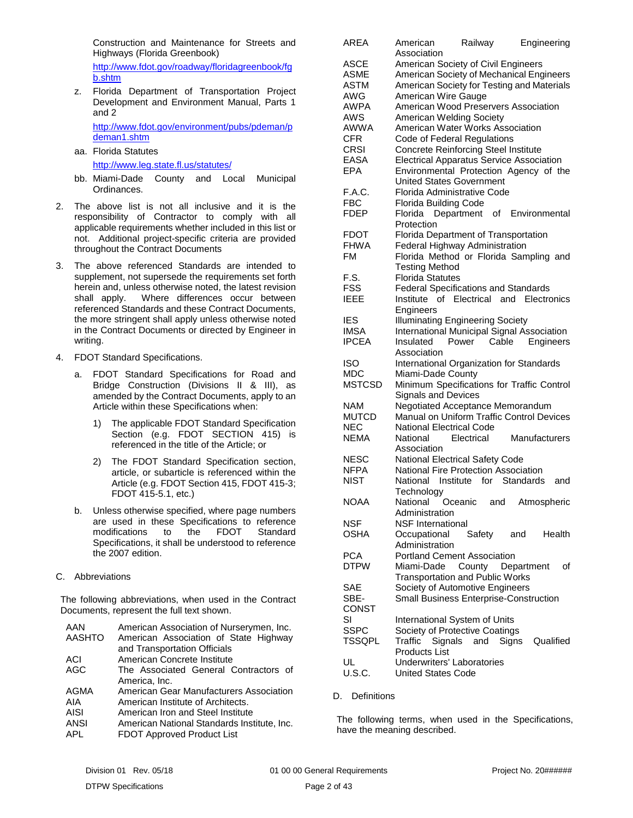Construction and Maintenance for Streets and Highways (Florida Greenbook)

[http://www.fdot.gov/roadway/floridagreenbook/fg](http://www.fdot.gov/roadway/floridagreenbook/fgb.shtm) [b.shtm](http://www.fdot.gov/roadway/floridagreenbook/fgb.shtm)

z. Florida Department of Transportation Project Development and Environment Manual, Parts 1 and 2

[http://www.fdot.gov/environment/pubs/pdeman/p](http://www.fdot.gov/environment/pubs/pdeman/pdeman1.shtm) [deman1.shtm](http://www.fdot.gov/environment/pubs/pdeman/pdeman1.shtm)

aa. Florida Statutes

# <http://www.leg.state.fl.us/statutes/>

- bb. Miami-Dade County and Local Municipal Ordinances.
- 2. The above list is not all inclusive and it is the responsibility of Contractor to comply with all applicable requirements whether included in this list or not. Additional project-specific criteria are provided throughout the Contract Documents
- 3. The above referenced Standards are intended to supplement, not supersede the requirements set forth herein and, unless otherwise noted, the latest revision shall apply. Where differences occur between referenced Standards and these Contract Documents, the more stringent shall apply unless otherwise noted in the Contract Documents or directed by Engineer in writing.
- 4. FDOT Standard Specifications.
	- a. FDOT Standard Specifications for Road and Bridge Construction (Divisions II & III), as amended by the Contract Documents, apply to an Article within these Specifications when:
		- 1) The applicable FDOT Standard Specification Section (e.g. FDOT SECTION 415) is referenced in the title of the Article; or
		- 2) The FDOT Standard Specification section, article, or subarticle is referenced within the Article (e.g. FDOT Section 415, FDOT 415-3; FDOT 415-5.1, etc.)
	- b. Unless otherwise specified, where page numbers are used in these Specifications to reference modifications to the FDOT Standard Specifications, it shall be understood to reference the 2007 edition.
- <span id="page-3-0"></span>C. Abbreviations

The following abbreviations, when used in the Contract Documents, represent the full text shown.

| AAN           | American Association of Nurserymen, Inc.    |
|---------------|---------------------------------------------|
| <b>AASHTO</b> | American Association of State Highway       |
|               | and Transportation Officials                |
| ACI           | American Concrete Institute                 |
| AGC           | The Associated General Contractors of       |
|               | America, Inc.                               |
| AGMA          | American Gear Manufacturers Association     |
| AIA           | American Institute of Architects.           |
| AISI          | American Iron and Steel Institute           |
| ANSI          | American National Standards Institute, Inc. |
| APL           | FDOT Approved Product List                  |

| <b>ARFA</b>               | American<br>Railway<br>Engineering                                              |
|---------------------------|---------------------------------------------------------------------------------|
|                           | Association                                                                     |
| <b>ASCE</b>               | American Society of Civil Engineers<br>American Society of Mechanical Engineers |
| ASME                      |                                                                                 |
| ASTM<br>AWG               | American Society for Testing and Materials<br>American Wire Gauge               |
| <b>AWPA</b>               | American Wood Preservers Association                                            |
| <b>AWS</b>                | American Welding Society                                                        |
| <b>AWWA</b>               | American Water Works Association                                                |
| <b>CFR</b>                | Code of Federal Regulations                                                     |
| <b>CRSI</b>               | <b>Concrete Reinforcing Steel Institute</b>                                     |
| <b>EASA</b>               | <b>Electrical Apparatus Service Association</b>                                 |
| <b>EPA</b>                | Environmental Protection Agency of the                                          |
|                           | <b>United States Government</b>                                                 |
| F.A.C.                    | Florida Administrative Code                                                     |
| <b>FBC</b>                | <b>Florida Building Code</b>                                                    |
| <b>FDEP</b>               | o <sub>f</sub><br>Environmental<br>Florida Department                           |
|                           | Protection                                                                      |
| <b>FDOT</b>               | Florida Department of Transportation                                            |
| <b>FHWA</b>               | Federal Highway Administration                                                  |
| <b>FM</b>                 | Florida Method or Florida Sampling and                                          |
|                           | <b>Testing Method</b>                                                           |
| F.S.                      | <b>Florida Statutes</b>                                                         |
| <b>FSS</b>                | <b>Federal Specifications and Standards</b>                                     |
| <b>IEEE</b>               | Institute of Electrical and Electronics                                         |
|                           | Engineers                                                                       |
| <b>IES</b>                | <b>Illuminating Engineering Society</b>                                         |
| <b>IMSA</b>               | International Municipal Signal Association                                      |
| <b>IPCEA</b>              | Engineers<br>Insulated<br>Power Cable                                           |
| <b>ISO</b>                | Association<br>International Organization for Standards                         |
| <b>MDC</b>                | Miami-Dade County                                                               |
| <b>MSTCSD</b>             | Minimum Specifications for Traffic Control                                      |
|                           | <b>Signals and Devices</b>                                                      |
| <b>NAM</b>                | Negotiated Acceptance Memorandum                                                |
| <b>MUTCD</b>              | Manual on Uniform Traffic Control Devices                                       |
| <b>NEC</b>                | <b>National Electrical Code</b>                                                 |
| <b>NEMA</b>               | National<br>Electrical<br>Manufacturers                                         |
|                           | Association                                                                     |
| <b>NESC</b>               | National Electrical Safety Code                                                 |
| <b>NFPA</b>               | National Fire Protection Association                                            |
| <b>NIST</b>               | National Institute for<br><b>Standards</b><br>and                               |
|                           | Technology                                                                      |
| <b>NOAA</b>               | Oceanic<br>Atmospheric<br>and<br>National                                       |
|                           | Administration                                                                  |
| NSF                       | <b>NSF</b> International                                                        |
| OSHA                      | Occupational<br>Safety<br>and<br>Health                                         |
|                           | Administration<br><b>Portland Cement Association</b>                            |
| <b>PCA</b><br><b>DTPW</b> | οf                                                                              |
|                           | Miami-Dade<br>County Department<br><b>Transportation and Public Works</b>       |
| SAE                       | Society of Automotive Engineers                                                 |
| SBE-                      | Small Business Enterprise-Construction                                          |
| <b>CONST</b>              |                                                                                 |
| SI                        | International System of Units                                                   |
| <b>SSPC</b>               | Society of Protective Coatings                                                  |
| <b>TSSQPL</b>             | Traffic<br>Signals<br>Signs<br>and<br>Qualified                                 |
|                           | <b>Products List</b>                                                            |
| UL                        | Underwriters' Laboratories                                                      |
| U.S.C.                    | <b>United States Code</b>                                                       |

#### <span id="page-3-1"></span>D. Definitions

The following terms, when used in the Specifications, have the meaning described.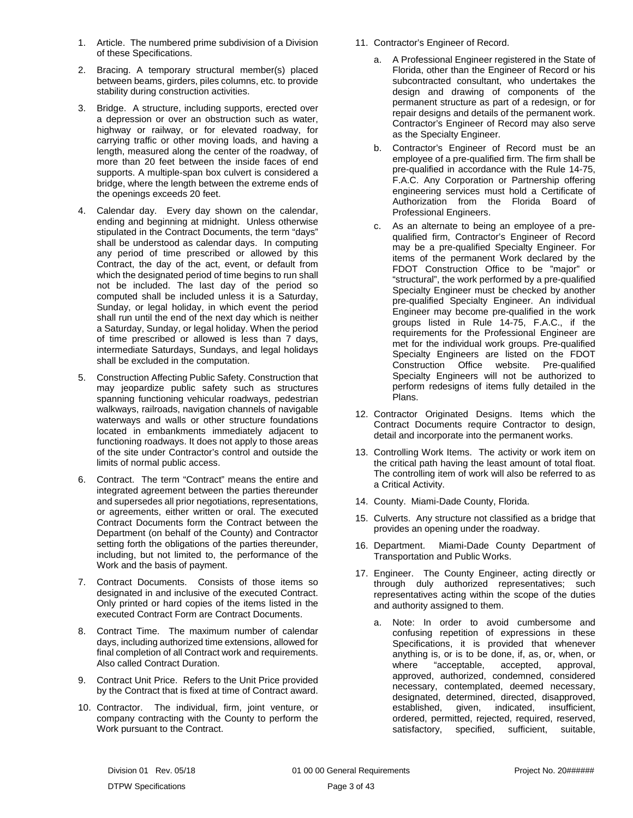- 1. Article. The numbered prime subdivision of a Division of these Specifications.
- 2. Bracing. A temporary structural member(s) placed between beams, girders, piles columns, etc. to provide stability during construction activities.
- 3. Bridge. A structure, including supports, erected over a depression or over an obstruction such as water, highway or railway, or for elevated roadway, for carrying traffic or other moving loads, and having a length, measured along the center of the roadway, of more than 20 feet between the inside faces of end supports. A multiple-span box culvert is considered a bridge, where the length between the extreme ends of the openings exceeds 20 feet.
- 4. Calendar day. Every day shown on the calendar, ending and beginning at midnight. Unless otherwise stipulated in the Contract Documents, the term "days" shall be understood as calendar days. In computing any period of time prescribed or allowed by this Contract, the day of the act, event, or default from which the designated period of time begins to run shall not be included. The last day of the period so computed shall be included unless it is a Saturday, Sunday, or legal holiday, in which event the period shall run until the end of the next day which is neither a Saturday, Sunday, or legal holiday. When the period of time prescribed or allowed is less than 7 days, intermediate Saturdays, Sundays, and legal holidays shall be excluded in the computation.
- 5. Construction Affecting Public Safety. Construction that may jeopardize public safety such as structures spanning functioning vehicular roadways, pedestrian walkways, railroads, navigation channels of navigable waterways and walls or other structure foundations located in embankments immediately adjacent to functioning roadways. It does not apply to those areas of the site under Contractor's control and outside the limits of normal public access.
- 6. Contract. The term "Contract" means the entire and integrated agreement between the parties thereunder and supersedes all prior negotiations, representations, or agreements, either written or oral. The executed Contract Documents form the Contract between the Department (on behalf of the County) and Contractor setting forth the obligations of the parties thereunder, including, but not limited to, the performance of the Work and the basis of payment.
- 7. Contract Documents. Consists of those items so designated in and inclusive of the executed Contract. Only printed or hard copies of the items listed in the executed Contract Form are Contract Documents.
- 8. Contract Time. The maximum number of calendar days, including authorized time extensions, allowed for final completion of all Contract work and requirements. Also called Contract Duration.
- 9. Contract Unit Price. Refers to the Unit Price provided by the Contract that is fixed at time of Contract award.
- 10. Contractor. The individual, firm, joint venture, or company contracting with the County to perform the Work pursuant to the Contract.
- 11. Contractor's Engineer of Record.
	- a. A Professional Engineer registered in the State of Florida, other than the Engineer of Record or his subcontracted consultant, who undertakes the design and drawing of components of the permanent structure as part of a redesign, or for repair designs and details of the permanent work. Contractor's Engineer of Record may also serve as the Specialty Engineer.
	- b. Contractor's Engineer of Record must be an employee of a pre-qualified firm. The firm shall be pre-qualified in accordance with the Rule 14-75, F.A.C. Any Corporation or Partnership offering engineering services must hold a Certificate of Authorization from the Florida Board of Professional Engineers.
	- c. As an alternate to being an employee of a prequalified firm, Contractor's Engineer of Record may be a pre-qualified Specialty Engineer. For items of the permanent Work declared by the FDOT Construction Office to be "major" or "structural", the work performed by a pre-qualified Specialty Engineer must be checked by another pre-qualified Specialty Engineer. An individual Engineer may become pre-qualified in the work groups listed in Rule 14-75, F.A.C., if the requirements for the Professional Engineer are met for the individual work groups. Pre-qualified Specialty Engineers are listed on the FDOT Construction Office website. Pre-qualified Specialty Engineers will not be authorized to perform redesigns of items fully detailed in the Plans.
- 12. Contractor Originated Designs. Items which the Contract Documents require Contractor to design, detail and incorporate into the permanent works.
- 13. Controlling Work Items. The activity or work item on the critical path having the least amount of total float. The controlling item of work will also be referred to as a Critical Activity.
- 14. County. Miami-Dade County, Florida.
- 15. Culverts. Any structure not classified as a bridge that provides an opening under the roadway.
- 16. Department. Miami-Dade County Department of Transportation and Public Works.
- 17. Engineer. The County Engineer, acting directly or through duly authorized representatives; such representatives acting within the scope of the duties and authority assigned to them.
	- a. Note: In order to avoid cumbersome and confusing repetition of expressions in these Specifications, it is provided that whenever anything is, or is to be done, if, as, or, when, or where "acceptable, accepted, approval, approved, authorized, condemned, considered necessary, contemplated, deemed necessary, designated, determined, directed, disapproved,<br>established, given, indicated, insufficient, given, indicated, insufficient, ordered, permitted, rejected, required, reserved, satisfactory, specified, sufficient, suitable,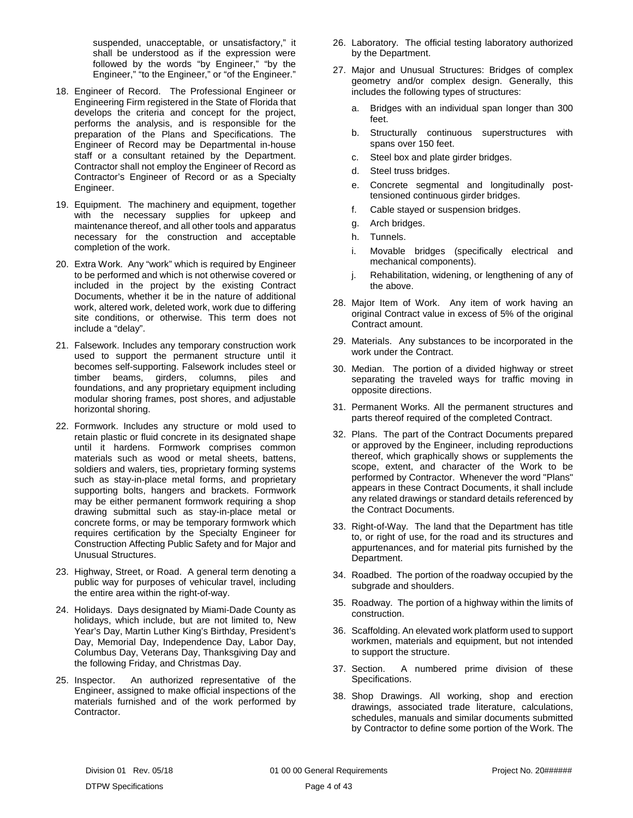suspended, unacceptable, or unsatisfactory," it shall be understood as if the expression were followed by the words "by Engineer," "by the Engineer," "to the Engineer," or "of the Engineer."

- 18. Engineer of Record. The Professional Engineer or Engineering Firm registered in the State of Florida that develops the criteria and concept for the project, performs the analysis, and is responsible for the preparation of the Plans and Specifications. The Engineer of Record may be Departmental in-house staff or a consultant retained by the Department. Contractor shall not employ the Engineer of Record as Contractor's Engineer of Record or as a Specialty Engineer.
- 19. Equipment. The machinery and equipment, together with the necessary supplies for upkeep and maintenance thereof, and all other tools and apparatus necessary for the construction and acceptable completion of the work.
- 20. Extra Work. Any "work" which is required by Engineer to be performed and which is not otherwise covered or included in the project by the existing Contract Documents, whether it be in the nature of additional work, altered work, deleted work, work due to differing site conditions, or otherwise. This term does not include a "delay".
- 21. Falsework. Includes any temporary construction work used to support the permanent structure until it becomes self-supporting. Falsework includes steel or timber beams, girders, columns, piles and foundations, and any proprietary equipment including modular shoring frames, post shores, and adjustable horizontal shoring.
- 22. Formwork. Includes any structure or mold used to retain plastic or fluid concrete in its designated shape until it hardens. Formwork comprises common materials such as wood or metal sheets, battens, soldiers and walers, ties, proprietary forming systems such as stay-in-place metal forms, and proprietary supporting bolts, hangers and brackets. Formwork may be either permanent formwork requiring a shop drawing submittal such as stay-in-place metal or concrete forms, or may be temporary formwork which requires certification by the Specialty Engineer for Construction Affecting Public Safety and for Major and Unusual Structures.
- 23. Highway, Street, or Road. A general term denoting a public way for purposes of vehicular travel, including the entire area within the right-of-way.
- 24. Holidays. Days designated by Miami-Dade County as holidays, which include, but are not limited to, New Year's Day, Martin Luther King's Birthday, President's Day, Memorial Day, Independence Day, Labor Day, Columbus Day, Veterans Day, Thanksgiving Day and the following Friday, and Christmas Day.
- 25. Inspector. An authorized representative of the Engineer, assigned to make official inspections of the materials furnished and of the work performed by Contractor.
- 26. Laboratory. The official testing laboratory authorized by the Department.
- 27. Major and Unusual Structures: Bridges of complex geometry and/or complex design. Generally, this includes the following types of structures:
	- a. Bridges with an individual span longer than 300 feet.
	- b. Structurally continuous superstructures with spans over 150 feet.
	- c. Steel box and plate girder bridges.
	- d. Steel truss bridges.
	- e. Concrete segmental and longitudinally posttensioned continuous girder bridges.
	- f. Cable stayed or suspension bridges.
	- g. Arch bridges.
	- h. Tunnels.
	- i. Movable bridges (specifically electrical and mechanical components).
	- j. Rehabilitation, widening, or lengthening of any of the above.
- 28. Major Item of Work. Any item of work having an original Contract value in excess of 5% of the original Contract amount.
- 29. Materials. Any substances to be incorporated in the work under the Contract.
- 30. Median. The portion of a divided highway or street separating the traveled ways for traffic moving in opposite directions.
- 31. Permanent Works. All the permanent structures and parts thereof required of the completed Contract.
- 32. Plans. The part of the Contract Documents prepared or approved by the Engineer, including reproductions thereof, which graphically shows or supplements the scope, extent, and character of the Work to be performed by Contractor. Whenever the word "Plans" appears in these Contract Documents, it shall include any related drawings or standard details referenced by the Contract Documents.
- 33. Right-of-Way. The land that the Department has title to, or right of use, for the road and its structures and appurtenances, and for material pits furnished by the Department.
- 34. Roadbed. The portion of the roadway occupied by the subgrade and shoulders.
- 35. Roadway. The portion of a highway within the limits of construction.
- 36. Scaffolding. An elevated work platform used to support workmen, materials and equipment, but not intended to support the structure.
- 37. Section. A numbered prime division of these Specifications.
- 38. Shop Drawings. All working, shop and erection drawings, associated trade literature, calculations, schedules, manuals and similar documents submitted by Contractor to define some portion of the Work. The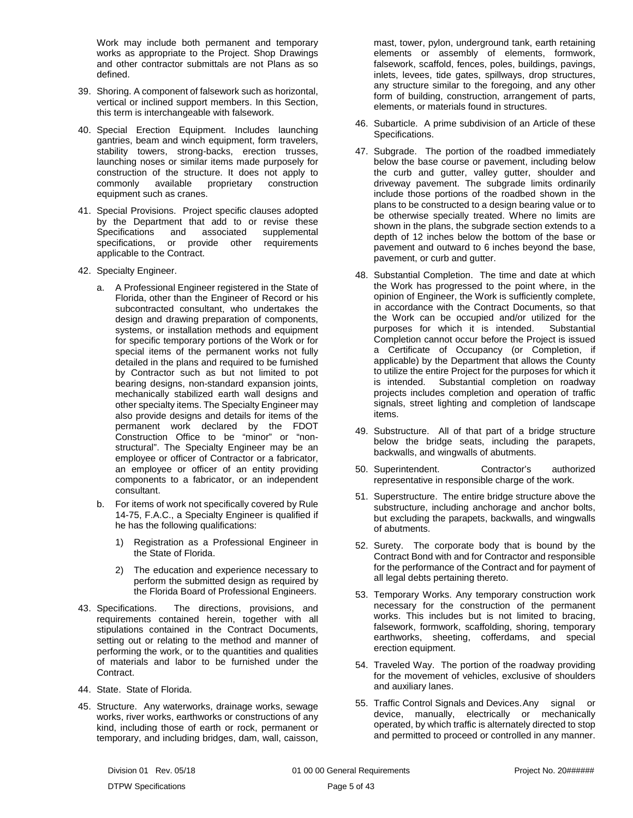Work may include both permanent and temporary works as appropriate to the Project. Shop Drawings and other contractor submittals are not Plans as so defined.

- 39. Shoring. A component of falsework such as horizontal, vertical or inclined support members. In this Section, this term is interchangeable with falsework.
- 40. Special Erection Equipment. Includes launching gantries, beam and winch equipment, form travelers, stability towers, strong-backs, erection trusses, launching noses or similar items made purposely for construction of the structure. It does not apply to commonly available proprietary construction equipment such as cranes.
- 41. Special Provisions. Project specific clauses adopted by the Department that add to or revise these<br>Specifications and associated supplemental supplemental specifications, or provide other requirements applicable to the Contract.
- 42. Specialty Engineer.
	- a. A Professional Engineer registered in the State of Florida, other than the Engineer of Record or his subcontracted consultant, who undertakes the design and drawing preparation of components, systems, or installation methods and equipment for specific temporary portions of the Work or for special items of the permanent works not fully detailed in the plans and required to be furnished by Contractor such as but not limited to pot bearing designs, non-standard expansion joints, mechanically stabilized earth wall designs and other specialty items. The Specialty Engineer may also provide designs and details for items of the permanent work declared by the FDOT Construction Office to be "minor" or "nonstructural". The Specialty Engineer may be an employee or officer of Contractor or a fabricator, an employee or officer of an entity providing components to a fabricator, or an independent consultant.
	- b. For items of work not specifically covered by Rule 14-75, F.A.C., a Specialty Engineer is qualified if he has the following qualifications:
		- 1) Registration as a Professional Engineer in the State of Florida.
		- 2) The education and experience necessary to perform the submitted design as required by the Florida Board of Professional Engineers.
- 43. Specifications. The directions, provisions, and requirements contained herein, together with all stipulations contained in the Contract Documents, setting out or relating to the method and manner of performing the work, or to the quantities and qualities of materials and labor to be furnished under the Contract.
- 44. State. State of Florida.
- 45. Structure. Any waterworks, drainage works, sewage works, river works, earthworks or constructions of any kind, including those of earth or rock, permanent or temporary, and including bridges, dam, wall, caisson,

mast, tower, pylon, underground tank, earth retaining elements or assembly of elements, formwork, falsework, scaffold, fences, poles, buildings, pavings, inlets, levees, tide gates, spillways, drop structures, any structure similar to the foregoing, and any other form of building, construction, arrangement of parts, elements, or materials found in structures.

- 46. Subarticle. A prime subdivision of an Article of these Specifications.
- 47. Subgrade. The portion of the roadbed immediately below the base course or pavement, including below the curb and gutter, valley gutter, shoulder and driveway pavement. The subgrade limits ordinarily include those portions of the roadbed shown in the plans to be constructed to a design bearing value or to be otherwise specially treated. Where no limits are shown in the plans, the subgrade section extends to a depth of 12 inches below the bottom of the base or pavement and outward to 6 inches beyond the base, pavement, or curb and gutter.
- 48. Substantial Completion. The time and date at which the Work has progressed to the point where, in the opinion of Engineer, the Work is sufficiently complete, in accordance with the Contract Documents, so that the Work can be occupied and/or utilized for the purposes for which it is intended. Substantial Completion cannot occur before the Project is issued a Certificate of Occupancy (or Completion, if applicable) by the Department that allows the County to utilize the entire Project for the purposes for which it is intended. Substantial completion on roadway projects includes completion and operation of traffic signals, street lighting and completion of landscape items.
- 49. Substructure. All of that part of a bridge structure below the bridge seats, including the parapets, backwalls, and wingwalls of abutments.
- 50. Superintendent. Contractor's authorized representative in responsible charge of the work.
- 51. Superstructure. The entire bridge structure above the substructure, including anchorage and anchor bolts, but excluding the parapets, backwalls, and wingwalls of abutments.
- 52. Surety. The corporate body that is bound by the Contract Bond with and for Contractor and responsible for the performance of the Contract and for payment of all legal debts pertaining thereto.
- 53. Temporary Works. Any temporary construction work necessary for the construction of the permanent works. This includes but is not limited to bracing, falsework, formwork, scaffolding, shoring, temporary earthworks, sheeting, cofferdams, and special erection equipment.
- 54. Traveled Way. The portion of the roadway providing for the movement of vehicles, exclusive of shoulders and auxiliary lanes.
- 55. Traffic Control Signals and Devices.Any signal or device, manually, electrically or mechanically operated, by which traffic is alternately directed to stop and permitted to proceed or controlled in any manner.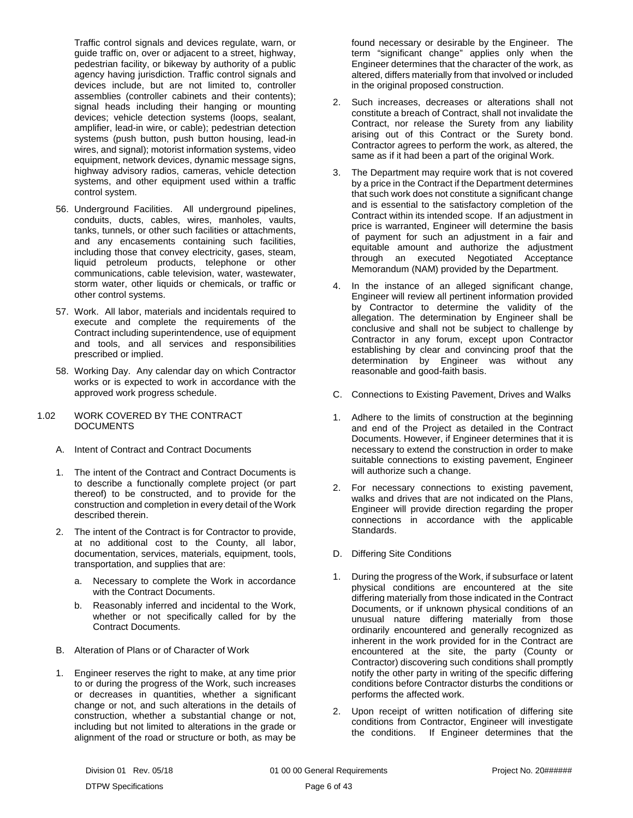Traffic control signals and devices regulate, warn, or guide traffic on, over or adjacent to a street, highway, pedestrian facility, or bikeway by authority of a public agency having jurisdiction. Traffic control signals and devices include, but are not limited to, controller assemblies (controller cabinets and their contents); signal heads including their hanging or mounting devices; vehicle detection systems (loops, sealant, amplifier, lead-in wire, or cable); pedestrian detection systems (push button, push button housing, lead-in wires, and signal); motorist information systems, video equipment, network devices, dynamic message signs, highway advisory radios, cameras, vehicle detection systems, and other equipment used within a traffic control system.

- 56. Underground Facilities. All underground pipelines, conduits, ducts, cables, wires, manholes, vaults, tanks, tunnels, or other such facilities or attachments, and any encasements containing such facilities, including those that convey electricity, gases, steam, liquid petroleum products, telephone or other communications, cable television, water, wastewater, storm water, other liquids or chemicals, or traffic or other control systems.
- 57. Work. All labor, materials and incidentals required to execute and complete the requirements of the Contract including superintendence, use of equipment and tools, and all services and responsibilities prescribed or implied.
- 58. Working Day. Any calendar day on which Contractor works or is expected to work in accordance with the approved work progress schedule.

#### <span id="page-7-0"></span>1.02 WORK COVERED BY THE CONTRACT **DOCUMENTS**

- <span id="page-7-1"></span>A. Intent of Contract and Contract Documents
- 1. The intent of the Contract and Contract Documents is to describe a functionally complete project (or part thereof) to be constructed, and to provide for the construction and completion in every detail of the Work described therein.
- 2. The intent of the Contract is for Contractor to provide, at no additional cost to the County, all labor, documentation, services, materials, equipment, tools, transportation, and supplies that are:
	- a. Necessary to complete the Work in accordance with the Contract Documents.
	- b. Reasonably inferred and incidental to the Work, whether or not specifically called for by the Contract Documents.
- <span id="page-7-2"></span>B. Alteration of Plans or of Character of Work
- 1. Engineer reserves the right to make, at any time prior to or during the progress of the Work, such increases or decreases in quantities, whether a significant change or not, and such alterations in the details of construction, whether a substantial change or not, including but not limited to alterations in the grade or alignment of the road or structure or both, as may be

found necessary or desirable by the Engineer. The term "significant change" applies only when the Engineer determines that the character of the work, as altered, differs materially from that involved or included in the original proposed construction.

- 2. Such increases, decreases or alterations shall not constitute a breach of Contract, shall not invalidate the Contract, nor release the Surety from any liability arising out of this Contract or the Surety bond. Contractor agrees to perform the work, as altered, the same as if it had been a part of the original Work.
- 3. The Department may require work that is not covered by a price in the Contract if the Department determines that such work does not constitute a significant change and is essential to the satisfactory completion of the Contract within its intended scope. If an adjustment in price is warranted, Engineer will determine the basis of payment for such an adjustment in a fair and equitable amount and authorize the adjustment through an executed Negotiated Acceptance Memorandum (NAM) provided by the Department.
- 4. In the instance of an alleged significant change, Engineer will review all pertinent information provided by Contractor to determine the validity of the allegation. The determination by Engineer shall be conclusive and shall not be subject to challenge by Contractor in any forum, except upon Contractor establishing by clear and convincing proof that the determination by Engineer was without any reasonable and good-faith basis.
- <span id="page-7-3"></span>C. Connections to Existing Pavement, Drives and Walks
- 1. Adhere to the limits of construction at the beginning and end of the Project as detailed in the Contract Documents. However, if Engineer determines that it is necessary to extend the construction in order to make suitable connections to existing pavement, Engineer will authorize such a change.
- 2. For necessary connections to existing pavement, walks and drives that are not indicated on the Plans, Engineer will provide direction regarding the proper connections in accordance with the applicable Standards.
- <span id="page-7-4"></span>D. Differing Site Conditions
- 1. During the progress of the Work, if subsurface or latent physical conditions are encountered at the site differing materially from those indicated in the Contract Documents, or if unknown physical conditions of an unusual nature differing materially from those ordinarily encountered and generally recognized as inherent in the work provided for in the Contract are encountered at the site, the party (County or Contractor) discovering such conditions shall promptly notify the other party in writing of the specific differing conditions before Contractor disturbs the conditions or performs the affected work.
- 2. Upon receipt of written notification of differing site conditions from Contractor, Engineer will investigate the conditions. If Engineer determines that the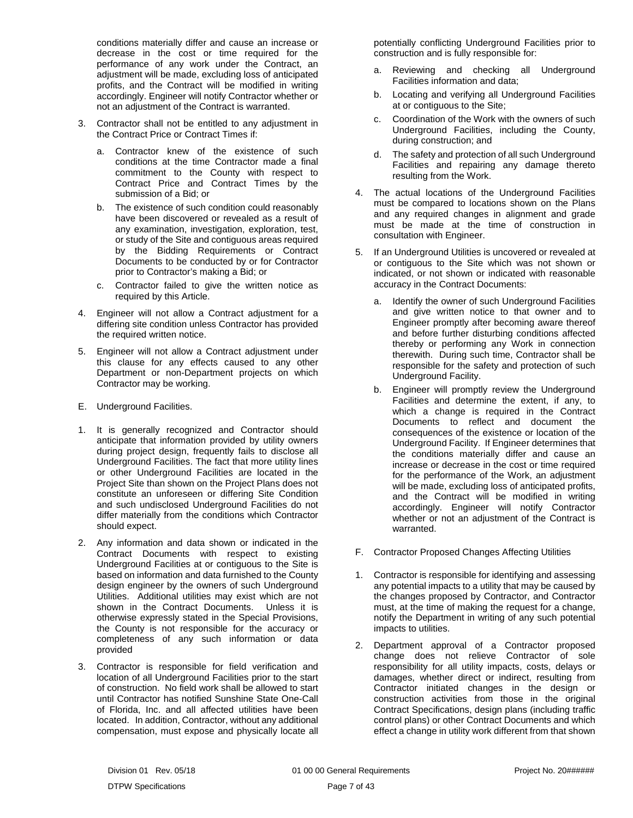conditions materially differ and cause an increase or decrease in the cost or time required for the performance of any work under the Contract, an adjustment will be made, excluding loss of anticipated profits, and the Contract will be modified in writing accordingly. Engineer will notify Contractor whether or not an adjustment of the Contract is warranted.

- 3. Contractor shall not be entitled to any adjustment in the Contract Price or Contract Times if:
	- a. Contractor knew of the existence of such conditions at the time Contractor made a final commitment to the County with respect to Contract Price and Contract Times by the submission of a Bid; or
	- b. The existence of such condition could reasonably have been discovered or revealed as a result of any examination, investigation, exploration, test, or study of the Site and contiguous areas required by the Bidding Requirements or Contract Documents to be conducted by or for Contractor prior to Contractor's making a Bid; or
	- c. Contractor failed to give the written notice as required by this Article.
- 4. Engineer will not allow a Contract adjustment for a differing site condition unless Contractor has provided the required written notice.
- 5. Engineer will not allow a Contract adjustment under this clause for any effects caused to any other Department or non-Department projects on which Contractor may be working.
- <span id="page-8-0"></span>E. Underground Facilities.
- 1. It is generally recognized and Contractor should anticipate that information provided by utility owners during project design, frequently fails to disclose all Underground Facilities. The fact that more utility lines or other Underground Facilities are located in the Project Site than shown on the Project Plans does not constitute an unforeseen or differing Site Condition and such undisclosed Underground Facilities do not differ materially from the conditions which Contractor should expect.
- 2. Any information and data shown or indicated in the Contract Documents with respect to existing Underground Facilities at or contiguous to the Site is based on information and data furnished to the County design engineer by the owners of such Underground Utilities. Additional utilities may exist which are not shown in the Contract Documents. Unless it is otherwise expressly stated in the Special Provisions, the County is not responsible for the accuracy or completeness of any such information or data provided
- 3. Contractor is responsible for field verification and location of all Underground Facilities prior to the start of construction. No field work shall be allowed to start until Contractor has notified Sunshine State One-Call of Florida, Inc. and all affected utilities have been located. In addition, Contractor, without any additional compensation, must expose and physically locate all

potentially conflicting Underground Facilities prior to construction and is fully responsible for:

- a. Reviewing and checking all Underground Facilities information and data;
- b. Locating and verifying all Underground Facilities at or contiguous to the Site;
- c. Coordination of the Work with the owners of such Underground Facilities, including the County, during construction; and
- d. The safety and protection of all such Underground Facilities and repairing any damage thereto resulting from the Work.
- 4. The actual locations of the Underground Facilities must be compared to locations shown on the Plans and any required changes in alignment and grade must be made at the time of construction in consultation with Engineer.
- 5. If an Underground Utilities is uncovered or revealed at or contiguous to the Site which was not shown or indicated, or not shown or indicated with reasonable accuracy in the Contract Documents:
	- a. Identify the owner of such Underground Facilities and give written notice to that owner and to Engineer promptly after becoming aware thereof and before further disturbing conditions affected thereby or performing any Work in connection therewith. During such time, Contractor shall be responsible for the safety and protection of such Underground Facility.
	- b. Engineer will promptly review the Underground Facilities and determine the extent, if any, to which a change is required in the Contract Documents to reflect and document the consequences of the existence or location of the Underground Facility. If Engineer determines that the conditions materially differ and cause an increase or decrease in the cost or time required for the performance of the Work, an adjustment will be made, excluding loss of anticipated profits, and the Contract will be modified in writing accordingly. Engineer will notify Contractor whether or not an adjustment of the Contract is warranted.
- <span id="page-8-1"></span>F. Contractor Proposed Changes Affecting Utilities
- 1. Contractor is responsible for identifying and assessing any potential impacts to a utility that may be caused by the changes proposed by Contractor, and Contractor must, at the time of making the request for a change, notify the Department in writing of any such potential impacts to utilities.
- 2. Department approval of a Contractor proposed change does not relieve Contractor of sole responsibility for all utility impacts, costs, delays or damages, whether direct or indirect, resulting from Contractor initiated changes in the design or construction activities from those in the original Contract Specifications, design plans (including traffic control plans) or other Contract Documents and which effect a change in utility work different from that shown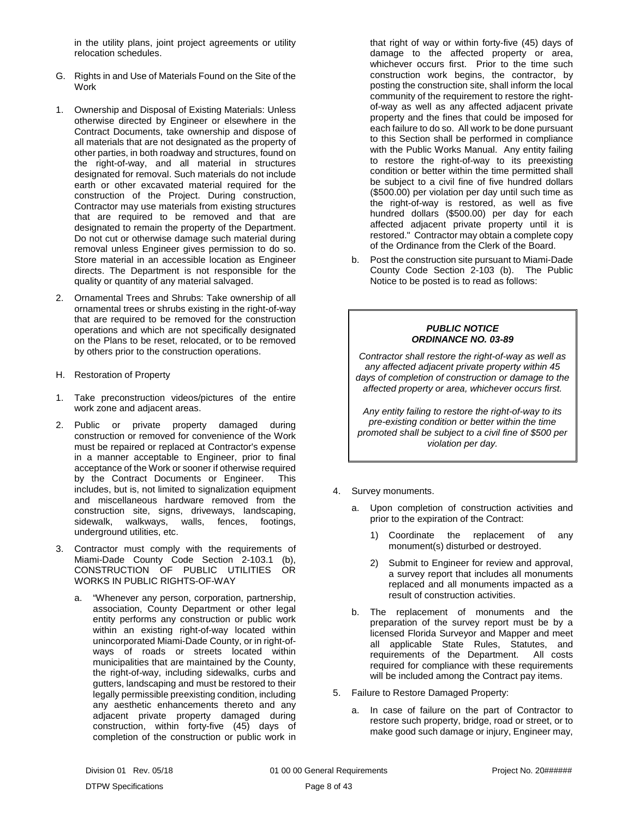in the utility plans, joint project agreements or utility relocation schedules.

- <span id="page-9-0"></span>G. Rights in and Use of Materials Found on the Site of the Work
- 1. Ownership and Disposal of Existing Materials: Unless otherwise directed by Engineer or elsewhere in the Contract Documents, take ownership and dispose of all materials that are not designated as the property of other parties, in both roadway and structures, found on the right-of-way, and all material in structures designated for removal. Such materials do not include earth or other excavated material required for the construction of the Project. During construction, Contractor may use materials from existing structures that are required to be removed and that are designated to remain the property of the Department. Do not cut or otherwise damage such material during removal unless Engineer gives permission to do so. Store material in an accessible location as Engineer directs. The Department is not responsible for the quality or quantity of any material salvaged.
- 2. Ornamental Trees and Shrubs: Take ownership of all ornamental trees or shrubs existing in the right-of-way that are required to be removed for the construction operations and which are not specifically designated on the Plans to be reset, relocated, or to be removed by others prior to the construction operations.
- <span id="page-9-1"></span>H. Restoration of Property
- 1. Take preconstruction videos/pictures of the entire work zone and adjacent areas.
- 2. Public or private property damaged during construction or removed for convenience of the Work must be repaired or replaced at Contractor's expense in a manner acceptable to Engineer, prior to final acceptance of the Work or sooner if otherwise required by the Contract Documents or Engineer. This includes, but is, not limited to signalization equipment and miscellaneous hardware removed from the construction site, signs, driveways, landscaping, sidewalk, walkways, walls, fences, footings, underground utilities, etc.
- 3. Contractor must comply with the requirements of Miami-Dade County Code Section 2-103.1 (b), CONSTRUCTION OF PUBLIC UTILITIES OR WORKS IN PUBLIC RIGHTS-OF-WAY
	- a. "Whenever any person, corporation, partnership, association, County Department or other legal entity performs any construction or public work within an existing right-of-way located within unincorporated Miami-Dade County, or in right-ofways of roads or streets located within municipalities that are maintained by the County, the right-of-way, including sidewalks, curbs and gutters, landscaping and must be restored to their legally permissible preexisting condition, including any aesthetic enhancements thereto and any adjacent private property damaged during construction, within forty-five (45) days of completion of the construction or public work in

that right of way or within forty-five (45) days of damage to the affected property or area, whichever occurs first. Prior to the time such construction work begins, the contractor, by posting the construction site, shall inform the local community of the requirement to restore the rightof-way as well as any affected adjacent private property and the fines that could be imposed for each failure to do so. All work to be done pursuant to this Section shall be performed in compliance with the Public Works Manual. Any entity failing to restore the right-of-way to its preexisting condition or better within the time permitted shall be subject to a civil fine of five hundred dollars (\$500.00) per violation per day until such time as the right-of-way is restored, as well as five hundred dollars (\$500.00) per day for each affected adjacent private property until it is restored." Contractor may obtain a complete copy of the Ordinance from the Clerk of the Board.

b. Post the construction site pursuant to Miami-Dade County Code Section 2-103 (b). The Public Notice to be posted is to read as follows:

#### *PUBLIC NOTICE ORDINANCE NO. 03-89*

*Contractor shall restore the right-of-way as well as any affected adjacent private property within 45 days of completion of construction or damage to the affected property or area, whichever occurs first.*

*Any entity failing to restore the right-of-way to its pre-existing condition or better within the time promoted shall be subject to a civil fine of \$500 per violation per day.*

- 4. Survey monuments.
	- a. Upon completion of construction activities and prior to the expiration of the Contract:
		- 1) Coordinate the replacement of any monument(s) disturbed or destroyed.
		- 2) Submit to Engineer for review and approval, a survey report that includes all monuments replaced and all monuments impacted as a result of construction activities.
	- b. The replacement of monuments and the preparation of the survey report must be by a licensed Florida Surveyor and Mapper and meet all applicable State Rules, Statutes, and requirements of the Department. All costs required for compliance with these requirements will be included among the Contract pay items.
- 5. Failure to Restore Damaged Property:
	- a. In case of failure on the part of Contractor to restore such property, bridge, road or street, or to make good such damage or injury, Engineer may,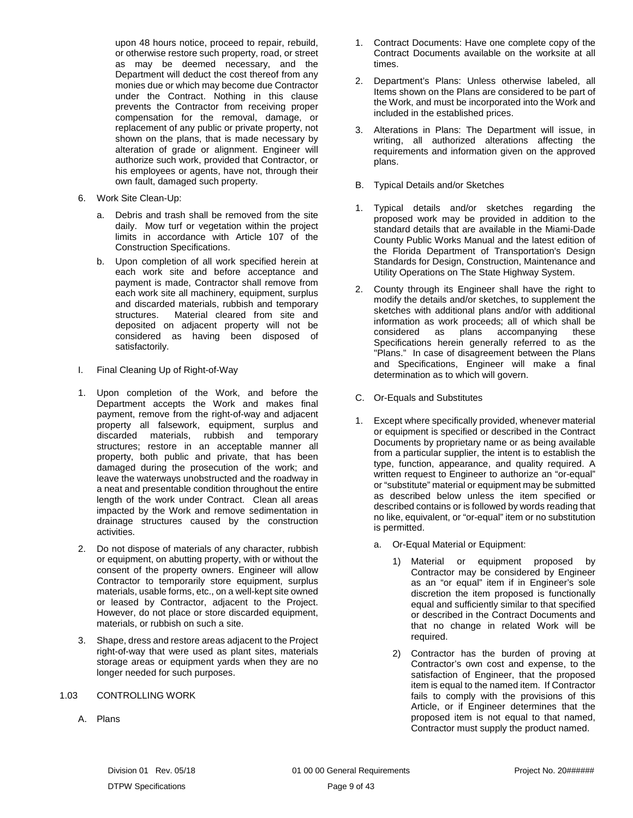upon 48 hours notice, proceed to repair, rebuild, or otherwise restore such property, road, or street as may be deemed necessary, and the Department will deduct the cost thereof from any monies due or which may become due Contractor under the Contract. Nothing in this clause prevents the Contractor from receiving proper compensation for the removal, damage, or replacement of any public or private property, not shown on the plans, that is made necessary by alteration of grade or alignment. Engineer will authorize such work, provided that Contractor, or his employees or agents, have not, through their own fault, damaged such property.

- 6. Work Site Clean-Up:
	- a. Debris and trash shall be removed from the site daily. Mow turf or vegetation within the project limits in accordance with Article 107 of the Construction Specifications.
	- b. Upon completion of all work specified herein at each work site and before acceptance and payment is made, Contractor shall remove from each work site all machinery, equipment, surplus and discarded materials, rubbish and temporary structures. Material cleared from site and deposited on adjacent property will not be considered as having been disposed of satisfactorily.
- <span id="page-10-0"></span>I. Final Cleaning Up of Right-of-Way
- 1. Upon completion of the Work, and before the Department accepts the Work and makes final payment, remove from the right-of-way and adjacent property all falsework, equipment, surplus and discarded materials, rubbish and temporary structures; restore in an acceptable manner all property, both public and private, that has been damaged during the prosecution of the work; and leave the waterways unobstructed and the roadway in a neat and presentable condition throughout the entire length of the work under Contract. Clean all areas impacted by the Work and remove sedimentation in drainage structures caused by the construction activities.
- 2. Do not dispose of materials of any character, rubbish or equipment, on abutting property, with or without the consent of the property owners. Engineer will allow Contractor to temporarily store equipment, surplus materials, usable forms, etc., on a well-kept site owned or leased by Contractor, adjacent to the Project. However, do not place or store discarded equipment, materials, or rubbish on such a site.
- 3. Shape, dress and restore areas adjacent to the Project right-of-way that were used as plant sites, materials storage areas or equipment yards when they are no longer needed for such purposes.

#### <span id="page-10-1"></span>1.03 CONTROLLING WORK

<span id="page-10-2"></span>A. Plans

- 1. Contract Documents: Have one complete copy of the Contract Documents available on the worksite at all times.
- 2. Department's Plans: Unless otherwise labeled, all Items shown on the Plans are considered to be part of the Work, and must be incorporated into the Work and included in the established prices.
- 3. Alterations in Plans: The Department will issue, in writing, all authorized alterations affecting the requirements and information given on the approved plans.
- <span id="page-10-3"></span>B. Typical Details and/or Sketches
- 1. Typical details and/or sketches regarding the proposed work may be provided in addition to the standard details that are available in the Miami-Dade County Public Works Manual and the latest edition of the Florida Department of Transportation's Design Standards for Design, Construction, Maintenance and Utility Operations on The State Highway System.
- 2. County through its Engineer shall have the right to modify the details and/or sketches, to supplement the sketches with additional plans and/or with additional information as work proceeds; all of which shall be considered as plans accompanying these Specifications herein generally referred to as the "Plans." In case of disagreement between the Plans and Specifications, Engineer will make a final determination as to which will govern.
- <span id="page-10-4"></span>C. Or-Equals and Substitutes
- 1. Except where specifically provided, whenever material or equipment is specified or described in the Contract Documents by proprietary name or as being available from a particular supplier, the intent is to establish the type, function, appearance, and quality required. A written request to Engineer to authorize an "or-equal" or "substitute" material or equipment may be submitted as described below unless the item specified or described contains or is followed by words reading that no like, equivalent, or "or-equal" item or no substitution is permitted.
	- a. Or-Equal Material or Equipment:
		- Material or equipment proposed by Contractor may be considered by Engineer as an "or equal" item if in Engineer's sole discretion the item proposed is functionally equal and sufficiently similar to that specified or described in the Contract Documents and that no change in related Work will be required.
		- 2) Contractor has the burden of proving at Contractor's own cost and expense, to the satisfaction of Engineer, that the proposed item is equal to the named item. If Contractor fails to comply with the provisions of this Article, or if Engineer determines that the proposed item is not equal to that named, Contractor must supply the product named.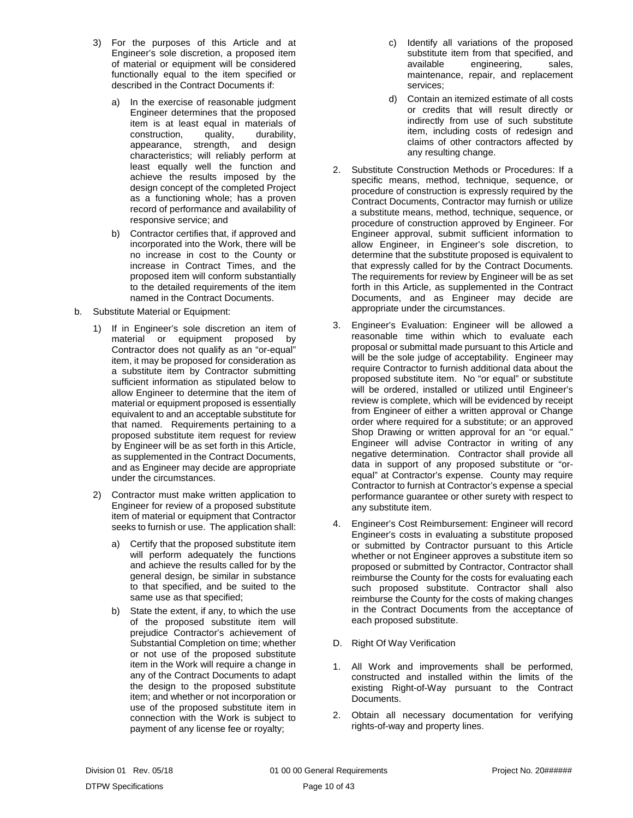- 3) For the purposes of this Article and at Engineer's sole discretion, a proposed item of material or equipment will be considered functionally equal to the item specified or described in the Contract Documents if:
	- a) In the exercise of reasonable judgment Engineer determines that the proposed item is at least equal in materials of construction, quality, durability, appearance, strength, and design characteristics; will reliably perform at least equally well the function and achieve the results imposed by the design concept of the completed Project as a functioning whole; has a proven record of performance and availability of responsive service; and
	- b) Contractor certifies that, if approved and incorporated into the Work, there will be no increase in cost to the County or increase in Contract Times, and the proposed item will conform substantially to the detailed requirements of the item named in the Contract Documents.
- b. Substitute Material or Equipment:
	- 1) If in Engineer's sole discretion an item of material or equipment proposed by Contractor does not qualify as an "or-equal" item, it may be proposed for consideration as a substitute item by Contractor submitting sufficient information as stipulated below to allow Engineer to determine that the item of material or equipment proposed is essentially equivalent to and an acceptable substitute for that named. Requirements pertaining to a proposed substitute item request for review by Engineer will be as set forth in this Article, as supplemented in the Contract Documents, and as Engineer may decide are appropriate under the circumstances.
	- 2) Contractor must make written application to Engineer for review of a proposed substitute item of material or equipment that Contractor seeks to furnish or use. The application shall:
		- a) Certify that the proposed substitute item will perform adequately the functions and achieve the results called for by the general design, be similar in substance to that specified, and be suited to the same use as that specified;
		- b) State the extent, if any, to which the use of the proposed substitute item will prejudice Contractor's achievement of Substantial Completion on time; whether or not use of the proposed substitute item in the Work will require a change in any of the Contract Documents to adapt the design to the proposed substitute item; and whether or not incorporation or use of the proposed substitute item in connection with the Work is subject to payment of any license fee or royalty;
- c) Identify all variations of the proposed substitute item from that specified, and available engineering, sales, maintenance, repair, and replacement services;
- d) Contain an itemized estimate of all costs or credits that will result directly or indirectly from use of such substitute item, including costs of redesign and claims of other contractors affected by any resulting change.
- 2. Substitute Construction Methods or Procedures: If a specific means, method, technique, sequence, or procedure of construction is expressly required by the Contract Documents, Contractor may furnish or utilize a substitute means, method, technique, sequence, or procedure of construction approved by Engineer. For Engineer approval, submit sufficient information to allow Engineer, in Engineer's sole discretion, to determine that the substitute proposed is equivalent to that expressly called for by the Contract Documents. The requirements for review by Engineer will be as set forth in this Article, as supplemented in the Contract Documents, and as Engineer may decide are appropriate under the circumstances.
- 3. Engineer's Evaluation: Engineer will be allowed a reasonable time within which to evaluate each proposal or submittal made pursuant to this Article and will be the sole judge of acceptability. Engineer may require Contractor to furnish additional data about the proposed substitute item. No "or equal" or substitute will be ordered, installed or utilized until Engineer's review is complete, which will be evidenced by receipt from Engineer of either a written approval or Change order where required for a substitute; or an approved Shop Drawing or written approval for an "or equal." Engineer will advise Contractor in writing of any negative determination. Contractor shall provide all data in support of any proposed substitute or "orequal" at Contractor's expense. County may require Contractor to furnish at Contractor's expense a special performance guarantee or other surety with respect to any substitute item.
- 4. Engineer's Cost Reimbursement: Engineer will record Engineer's costs in evaluating a substitute proposed or submitted by Contractor pursuant to this Article whether or not Engineer approves a substitute item so proposed or submitted by Contractor, Contractor shall reimburse the County for the costs for evaluating each such proposed substitute. Contractor shall also reimburse the County for the costs of making changes in the Contract Documents from the acceptance of each proposed substitute.
- <span id="page-11-0"></span>D. Right Of Way Verification
- 1. All Work and improvements shall be performed, constructed and installed within the limits of the existing Right-of-Way pursuant to the Contract Documents.
- 2. Obtain all necessary documentation for verifying rights-of-way and property lines.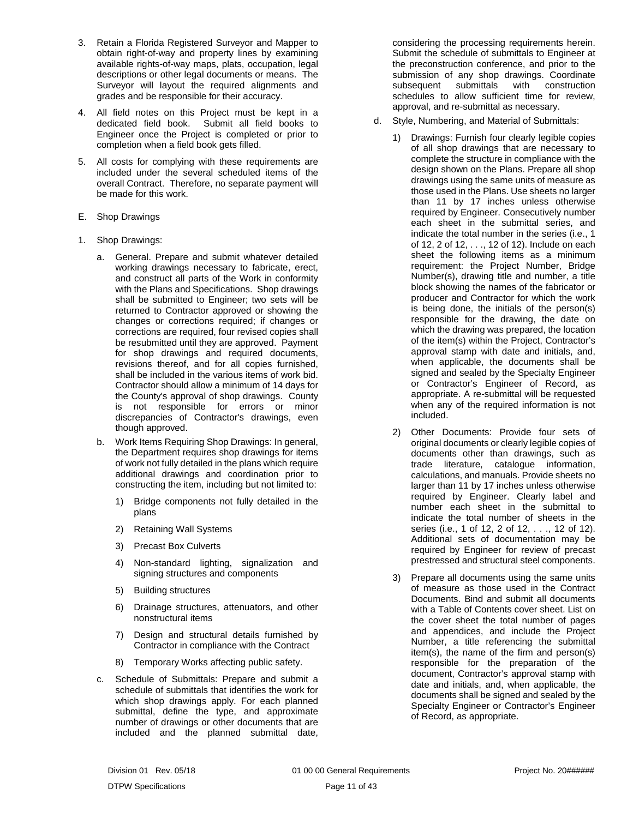- 3. Retain a Florida Registered Surveyor and Mapper to obtain right-of-way and property lines by examining available rights-of-way maps, plats, occupation, legal descriptions or other legal documents or means. The Surveyor will layout the required alignments and grades and be responsible for their accuracy.
- 4. All field notes on this Project must be kept in a dedicated field book. Submit all field books to Engineer once the Project is completed or prior to completion when a field book gets filled.
- 5. All costs for complying with these requirements are included under the several scheduled items of the overall Contract. Therefore, no separate payment will be made for this work.
- <span id="page-12-0"></span>E. Shop Drawings
- 1. Shop Drawings:
	- a. General. Prepare and submit whatever detailed working drawings necessary to fabricate, erect, and construct all parts of the Work in conformity with the Plans and Specifications. Shop drawings shall be submitted to Engineer; two sets will be returned to Contractor approved or showing the changes or corrections required; if changes or corrections are required, four revised copies shall be resubmitted until they are approved. Payment for shop drawings and required documents, revisions thereof, and for all copies furnished, shall be included in the various items of work bid. Contractor should allow a minimum of 14 days for the County's approval of shop drawings. County is not responsible for errors or minor discrepancies of Contractor's drawings, even though approved.
	- b. Work Items Requiring Shop Drawings: In general, the Department requires shop drawings for items of work not fully detailed in the plans which require additional drawings and coordination prior to constructing the item, including but not limited to:
		- 1) Bridge components not fully detailed in the plans
		- 2) Retaining Wall Systems
		- 3) Precast Box Culverts
		- 4) Non-standard lighting, signalization and signing structures and components
		- 5) Building structures
		- 6) Drainage structures, attenuators, and other nonstructural items
		- 7) Design and structural details furnished by Contractor in compliance with the Contract
		- 8) Temporary Works affecting public safety.
	- c. Schedule of Submittals: Prepare and submit a schedule of submittals that identifies the work for which shop drawings apply. For each planned submittal, define the type, and approximate number of drawings or other documents that are included and the planned submittal date,

considering the processing requirements herein. Submit the schedule of submittals to Engineer at the preconstruction conference, and prior to the submission of any shop drawings. Coordinate subsequent submittals with construction schedules to allow sufficient time for review, approval, and re-submittal as necessary.

- d. Style, Numbering, and Material of Submittals:
	- 1) Drawings: Furnish four clearly legible copies of all shop drawings that are necessary to complete the structure in compliance with the design shown on the Plans. Prepare all shop drawings using the same units of measure as those used in the Plans. Use sheets no larger than 11 by 17 inches unless otherwise required by Engineer. Consecutively number each sheet in the submittal series, and indicate the total number in the series (i.e., 1 of 12, 2 of 12, . . ., 12 of 12). Include on each sheet the following items as a minimum requirement: the Project Number, Bridge Number(s), drawing title and number, a title block showing the names of the fabricator or producer and Contractor for which the work is being done, the initials of the person(s) responsible for the drawing, the date on which the drawing was prepared, the location of the item(s) within the Project, Contractor's approval stamp with date and initials, and, when applicable, the documents shall be signed and sealed by the Specialty Engineer or Contractor's Engineer of Record, as appropriate. A re-submittal will be requested when any of the required information is not included.
	- 2) Other Documents: Provide four sets of original documents or clearly legible copies of documents other than drawings, such as trade literature, catalogue information, calculations, and manuals. Provide sheets no larger than 11 by 17 inches unless otherwise required by Engineer. Clearly label and number each sheet in the submittal to indicate the total number of sheets in the series (i.e., 1 of 12, 2 of 12, . . ., 12 of 12). Additional sets of documentation may be required by Engineer for review of precast prestressed and structural steel components.
	- 3) Prepare all documents using the same units of measure as those used in the Contract Documents. Bind and submit all documents with a Table of Contents cover sheet. List on the cover sheet the total number of pages and appendices, and include the Project Number, a title referencing the submittal item(s), the name of the firm and person(s) responsible for the preparation of the document, Contractor's approval stamp with date and initials, and, when applicable, the documents shall be signed and sealed by the Specialty Engineer or Contractor's Engineer of Record, as appropriate.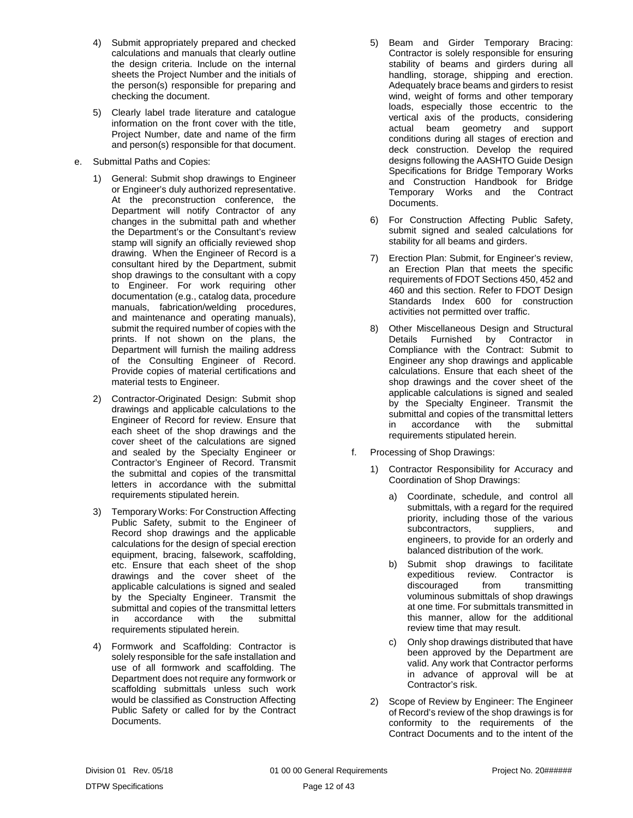- 4) Submit appropriately prepared and checked calculations and manuals that clearly outline the design criteria. Include on the internal sheets the Project Number and the initials of the person(s) responsible for preparing and checking the document.
- 5) Clearly label trade literature and catalogue information on the front cover with the title, Project Number, date and name of the firm and person(s) responsible for that document.
- e. Submittal Paths and Copies:
	- 1) General: Submit shop drawings to Engineer or Engineer's duly authorized representative. At the preconstruction conference, the Department will notify Contractor of any changes in the submittal path and whether the Department's or the Consultant's review stamp will signify an officially reviewed shop drawing. When the Engineer of Record is a consultant hired by the Department, submit shop drawings to the consultant with a copy to Engineer. For work requiring other documentation (e.g., catalog data, procedure manuals, fabrication/welding procedures, and maintenance and operating manuals), submit the required number of copies with the prints. If not shown on the plans, the Department will furnish the mailing address of the Consulting Engineer of Record. Provide copies of material certifications and material tests to Engineer.
	- 2) Contractor-Originated Design: Submit shop drawings and applicable calculations to the Engineer of Record for review. Ensure that each sheet of the shop drawings and the cover sheet of the calculations are signed and sealed by the Specialty Engineer or Contractor's Engineer of Record. Transmit the submittal and copies of the transmittal letters in accordance with the submittal requirements stipulated herein.
	- 3) Temporary Works: For Construction Affecting Public Safety, submit to the Engineer of Record shop drawings and the applicable calculations for the design of special erection equipment, bracing, falsework, scaffolding, etc. Ensure that each sheet of the shop drawings and the cover sheet of the applicable calculations is signed and sealed by the Specialty Engineer. Transmit the submittal and copies of the transmittal letters<br>in accordance with the submittal in accordance with the requirements stipulated herein.
	- 4) Formwork and Scaffolding: Contractor is solely responsible for the safe installation and use of all formwork and scaffolding. The Department does not require any formwork or scaffolding submittals unless such work would be classified as Construction Affecting Public Safety or called for by the Contract Documents.
- 5) Beam and Girder Temporary Bracing: Contractor is solely responsible for ensuring stability of beams and girders during all handling, storage, shipping and erection. Adequately brace beams and girders to resist wind, weight of forms and other temporary loads, especially those eccentric to the vertical axis of the products, considering actual beam geometry and support conditions during all stages of erection and deck construction. Develop the required designs following the AASHTO Guide Design Specifications for Bridge Temporary Works and Construction Handbook for Bridge Temporary Works and the Contract Documents.
- 6) For Construction Affecting Public Safety, submit signed and sealed calculations for stability for all beams and girders.
- 7) Erection Plan: Submit, for Engineer's review, an Erection Plan that meets the specific requirements of FDOT Sections 450, 452 and 460 and this section. Refer to FDOT Design Standards Index 600 for construction activities not permitted over traffic.
- 8) Other Miscellaneous Design and Structural Details Furnished by Contractor in Compliance with the Contract: Submit to Engineer any shop drawings and applicable calculations. Ensure that each sheet of the shop drawings and the cover sheet of the applicable calculations is signed and sealed by the Specialty Engineer. Transmit the submittal and copies of the transmittal letters in accordance with the submittal requirements stipulated herein.
- f. Processing of Shop Drawings:
	- 1) Contractor Responsibility for Accuracy and Coordination of Shop Drawings:
		- a) Coordinate, schedule, and control all submittals, with a regard for the required priority, including those of the various<br>subcontractors, suppliers, and subcontractors, suppliers, and engineers, to provide for an orderly and balanced distribution of the work.
		- b) Submit shop drawings to facilitate expeditious review. Contractor is discouraged from transmitting voluminous submittals of shop drawings at one time. For submittals transmitted in this manner, allow for the additional review time that may result.
		- c) Only shop drawings distributed that have been approved by the Department are valid. Any work that Contractor performs in advance of approval will be at Contractor's risk.
	- 2) Scope of Review by Engineer: The Engineer of Record's review of the shop drawings is for conformity to the requirements of the Contract Documents and to the intent of the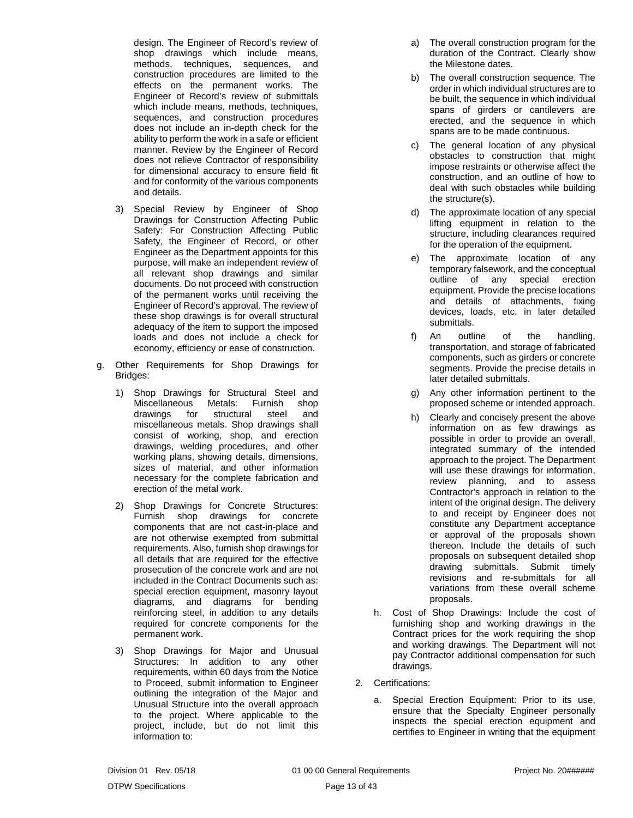design. The Engineer of Record's review of shop drawings which include means, methods, techniques, sequences, and construction procedures are limited to the effects on the permanent works. The Engineer of Record's review of submittals which include means, methods, techniques, sequences, and construction procedures does not include an in-depth check for the ability to perform the work in a safe or efficient manner. Review by the Engineer of Record does not relieve Contractor of responsibility for dimensional accuracy to ensure field fit and for conformity of the various components and details.

- 3) Special Review by Engineer of Shop Drawings for Construction Affecting Public Safety: For Construction Affecting Public Safety, the Engineer of Record, or other Engineer as the Department appoints for this purpose, will make an independent review of all relevant shop drawings and similar documents. Do not proceed with construction of the permanent works until receiving the Engineer of Record's approval. The review of these shop drawings is for overall structural adequacy of the item to support the imposed loads and does not include a check for economy, efficiency or ease of construction.
- g. Other Requirements for Shop Drawings for Bridges:
	- 1) Shop Drawings for Structural Steel and Miscellaneous Metals: Furnish shop drawings for structural steel and miscellaneous metals. Shop drawings shall consist of working, shop, and erection drawings, welding procedures, and other working plans, showing details, dimensions, sizes of material, and other information necessary for the complete fabrication and erection of the metal work.
	- 2) Shop Drawings for Concrete Structures: Furnish shop drawings for concrete components that are not cast-in-place and are not otherwise exempted from submittal requirements. Also, furnish shop drawings for all details that are required for the effective prosecution of the concrete work and are not included in the Contract Documents such as: special erection equipment, masonry layout diagrams, and diagrams for bending reinforcing steel, in addition to any details required for concrete components for the permanent work.
	- 3) Shop Drawings for Major and Unusual Structures: In addition to any other requirements, within 60 days from the Notice to Proceed, submit information to Engineer outlining the integration of the Major and Unusual Structure into the overall approach to the project. Where applicable to the project, include, but do not limit this information to:
- a) The overall construction program for the duration of the Contract. Clearly show the Milestone dates.
- b) The overall construction sequence. The order in which individual structures are to be built, the sequence in which individual spans of girders or cantilevers are erected, and the sequence in which spans are to be made continuous.
- c) The general location of any physical obstacles to construction that might impose restraints or otherwise affect the construction, and an outline of how to deal with such obstacles while building the structure(s).
- d) The approximate location of any special lifting equipment in relation to the structure, including clearances required for the operation of the equipment.
- e) The approximate location of any temporary falsework, and the conceptual outline of any special erection equipment. Provide the precise locations and details of attachments, fixing devices, loads, etc. in later detailed submittals.
- f) An outline of the handling, transportation, and storage of fabricated components, such as girders or concrete segments. Provide the precise details in later detailed submittals.
- g) Any other information pertinent to the proposed scheme or intended approach.
- h) Clearly and concisely present the above information on as few drawings as possible in order to provide an overall, integrated summary of the intended approach to the project. The Department will use these drawings for information, review planning, and to assess Contractor's approach in relation to the intent of the original design. The delivery to and receipt by Engineer does not constitute any Department acceptance or approval of the proposals shown thereon. Include the details of such proposals on subsequent detailed shop drawing submittals. Submit timely revisions and re-submittals for all variations from these overall scheme proposals.
- h. Cost of Shop Drawings: Include the cost of furnishing shop and working drawings in the Contract prices for the work requiring the shop and working drawings. The Department will not pay Contractor additional compensation for such drawings.
- 2. Certifications:
	- a. Special Erection Equipment: Prior to its use, ensure that the Specialty Engineer personally inspects the special erection equipment and certifies to Engineer in writing that the equipment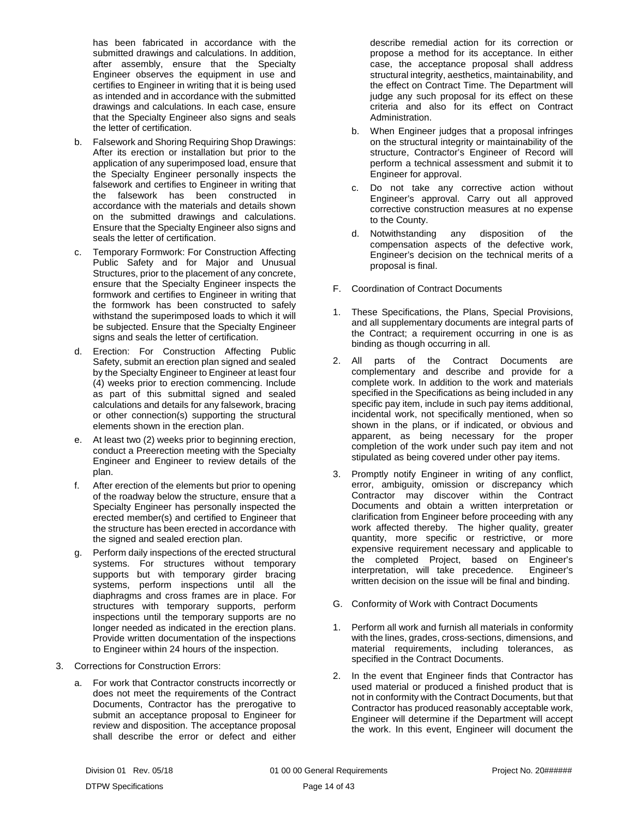has been fabricated in accordance with the submitted drawings and calculations. In addition, after assembly, ensure that the Specialty Engineer observes the equipment in use and certifies to Engineer in writing that it is being used as intended and in accordance with the submitted drawings and calculations. In each case, ensure that the Specialty Engineer also signs and seals the letter of certification.

- b. Falsework and Shoring Requiring Shop Drawings: After its erection or installation but prior to the application of any superimposed load, ensure that the Specialty Engineer personally inspects the falsework and certifies to Engineer in writing that the falsework has been constructed in accordance with the materials and details shown on the submitted drawings and calculations. Ensure that the Specialty Engineer also signs and seals the letter of certification.
- c. Temporary Formwork: For Construction Affecting Public Safety and for Major and Unusual Structures, prior to the placement of any concrete, ensure that the Specialty Engineer inspects the formwork and certifies to Engineer in writing that the formwork has been constructed to safely withstand the superimposed loads to which it will be subjected. Ensure that the Specialty Engineer signs and seals the letter of certification.
- d. Erection: For Construction Affecting Public Safety, submit an erection plan signed and sealed by the Specialty Engineer to Engineer at least four (4) weeks prior to erection commencing. Include as part of this submittal signed and sealed calculations and details for any falsework, bracing or other connection(s) supporting the structural elements shown in the erection plan.
- e. At least two (2) weeks prior to beginning erection, conduct a Preerection meeting with the Specialty Engineer and Engineer to review details of the plan.
- f. After erection of the elements but prior to opening of the roadway below the structure, ensure that a Specialty Engineer has personally inspected the erected member(s) and certified to Engineer that the structure has been erected in accordance with the signed and sealed erection plan.
- g. Perform daily inspections of the erected structural systems. For structures without temporary supports but with temporary girder bracing systems, perform inspections until all the diaphragms and cross frames are in place. For structures with temporary supports, perform inspections until the temporary supports are no longer needed as indicated in the erection plans. Provide written documentation of the inspections to Engineer within 24 hours of the inspection.
- 3. Corrections for Construction Errors:
	- a. For work that Contractor constructs incorrectly or does not meet the requirements of the Contract Documents, Contractor has the prerogative to submit an acceptance proposal to Engineer for review and disposition. The acceptance proposal shall describe the error or defect and either

describe remedial action for its correction or propose a method for its acceptance. In either case, the acceptance proposal shall address structural integrity, aesthetics, maintainability, and the effect on Contract Time. The Department will judge any such proposal for its effect on these criteria and also for its effect on Contract Administration.

- b. When Engineer judges that a proposal infringes on the structural integrity or maintainability of the structure, Contractor's Engineer of Record will perform a technical assessment and submit it to Engineer for approval.
- c. Do not take any corrective action without Engineer's approval. Carry out all approved corrective construction measures at no expense to the County.
- d. Notwithstanding any disposition of the compensation aspects of the defective work, Engineer's decision on the technical merits of a proposal is final.
- <span id="page-15-0"></span>F. Coordination of Contract Documents
- 1. These Specifications, the Plans, Special Provisions, and all supplementary documents are integral parts of the Contract; a requirement occurring in one is as binding as though occurring in all.
- 2. All parts of the Contract Documents are complementary and describe and provide for a complete work. In addition to the work and materials specified in the Specifications as being included in any specific pay item, include in such pay items additional, incidental work, not specifically mentioned, when so shown in the plans, or if indicated, or obvious and apparent, as being necessary for the proper completion of the work under such pay item and not stipulated as being covered under other pay items.
- 3. Promptly notify Engineer in writing of any conflict, error, ambiguity, omission or discrepancy which Contractor may discover within the Contract Documents and obtain a written interpretation or clarification from Engineer before proceeding with any work affected thereby. The higher quality, greater quantity, more specific or restrictive, or more expensive requirement necessary and applicable to the completed Project, based on Engineer's interpretation, will take precedence. Engineer's written decision on the issue will be final and binding.
- <span id="page-15-1"></span>G. Conformity of Work with Contract Documents
- 1. Perform all work and furnish all materials in conformity with the lines, grades, cross-sections, dimensions, and material requirements, including tolerances, as specified in the Contract Documents.
- 2. In the event that Engineer finds that Contractor has used material or produced a finished product that is not in conformity with the Contract Documents, but that Contractor has produced reasonably acceptable work, Engineer will determine if the Department will accept the work. In this event, Engineer will document the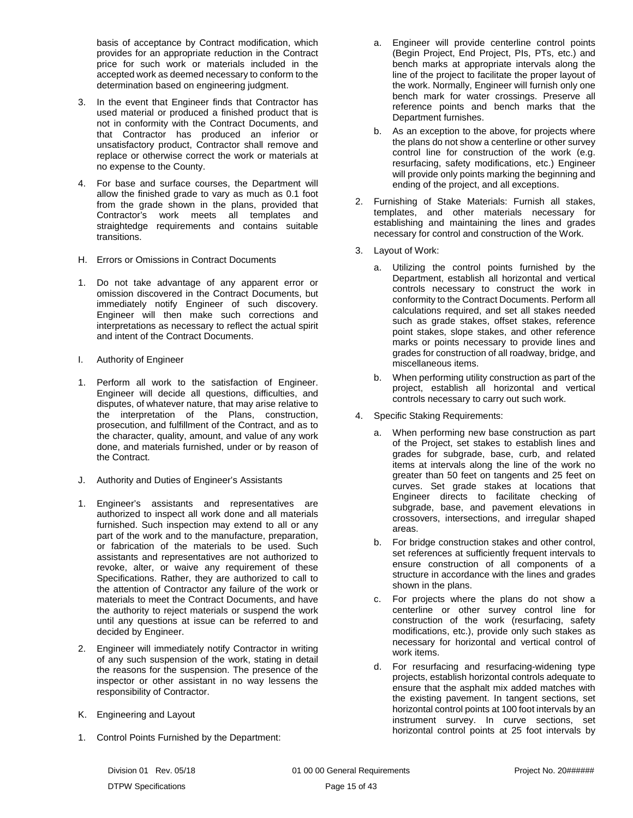basis of acceptance by Contract modification, which provides for an appropriate reduction in the Contract price for such work or materials included in the accepted work as deemed necessary to conform to the determination based on engineering judgment.

- 3. In the event that Engineer finds that Contractor has used material or produced a finished product that is not in conformity with the Contract Documents, and that Contractor has produced an inferior or unsatisfactory product, Contractor shall remove and replace or otherwise correct the work or materials at no expense to the County.
- 4. For base and surface courses, the Department will allow the finished grade to vary as much as 0.1 foot from the grade shown in the plans, provided that Contractor's work meets all templates and straightedge requirements and contains suitable transitions.
- <span id="page-16-0"></span>H. Errors or Omissions in Contract Documents
- 1. Do not take advantage of any apparent error or omission discovered in the Contract Documents, but immediately notify Engineer of such discovery. Engineer will then make such corrections and interpretations as necessary to reflect the actual spirit and intent of the Contract Documents.
- <span id="page-16-1"></span>I. Authority of Engineer
- 1. Perform all work to the satisfaction of Engineer. Engineer will decide all questions, difficulties, and disputes, of whatever nature, that may arise relative to the interpretation of the Plans, construction, prosecution, and fulfillment of the Contract, and as to the character, quality, amount, and value of any work done, and materials furnished, under or by reason of the Contract.
- <span id="page-16-2"></span>J. Authority and Duties of Engineer's Assistants
- 1. Engineer's assistants and representatives are authorized to inspect all work done and all materials furnished. Such inspection may extend to all or any part of the work and to the manufacture, preparation, or fabrication of the materials to be used. Such assistants and representatives are not authorized to revoke, alter, or waive any requirement of these Specifications. Rather, they are authorized to call to the attention of Contractor any failure of the work or materials to meet the Contract Documents, and have the authority to reject materials or suspend the work until any questions at issue can be referred to and decided by Engineer.
- 2. Engineer will immediately notify Contractor in writing of any such suspension of the work, stating in detail the reasons for the suspension. The presence of the inspector or other assistant in no way lessens the responsibility of Contractor.
- <span id="page-16-3"></span>K. Engineering and Layout
- 1. Control Points Furnished by the Department:
- a. Engineer will provide centerline control points (Begin Project, End Project, PIs, PTs, etc.) and bench marks at appropriate intervals along the line of the project to facilitate the proper layout of the work. Normally, Engineer will furnish only one bench mark for water crossings. Preserve all reference points and bench marks that the Department furnishes.
- b. As an exception to the above, for projects where the plans do not show a centerline or other survey control line for construction of the work (e.g. resurfacing, safety modifications, etc.) Engineer will provide only points marking the beginning and ending of the project, and all exceptions.
- 2. Furnishing of Stake Materials: Furnish all stakes, templates, and other materials necessary for establishing and maintaining the lines and grades necessary for control and construction of the Work.
- 3. Layout of Work:
	- a. Utilizing the control points furnished by the Department, establish all horizontal and vertical controls necessary to construct the work in conformity to the Contract Documents. Perform all calculations required, and set all stakes needed such as grade stakes, offset stakes, reference point stakes, slope stakes, and other reference marks or points necessary to provide lines and grades for construction of all roadway, bridge, and miscellaneous items.
	- b. When performing utility construction as part of the project, establish all horizontal and vertical controls necessary to carry out such work.
- 4. Specific Staking Requirements:
	- a. When performing new base construction as part of the Project, set stakes to establish lines and grades for subgrade, base, curb, and related items at intervals along the line of the work no greater than 50 feet on tangents and 25 feet on curves. Set grade stakes at locations that Engineer directs to facilitate checking of subgrade, base, and pavement elevations in crossovers, intersections, and irregular shaped areas.
	- b. For bridge construction stakes and other control, set references at sufficiently frequent intervals to ensure construction of all components of a structure in accordance with the lines and grades shown in the plans.
	- c. For projects where the plans do not show a centerline or other survey control line for construction of the work (resurfacing, safety modifications, etc.), provide only such stakes as necessary for horizontal and vertical control of work items.
	- d. For resurfacing and resurfacing-widening type projects, establish horizontal controls adequate to ensure that the asphalt mix added matches with the existing pavement. In tangent sections, set horizontal control points at 100 foot intervals by an instrument survey. In curve sections, set horizontal control points at 25 foot intervals by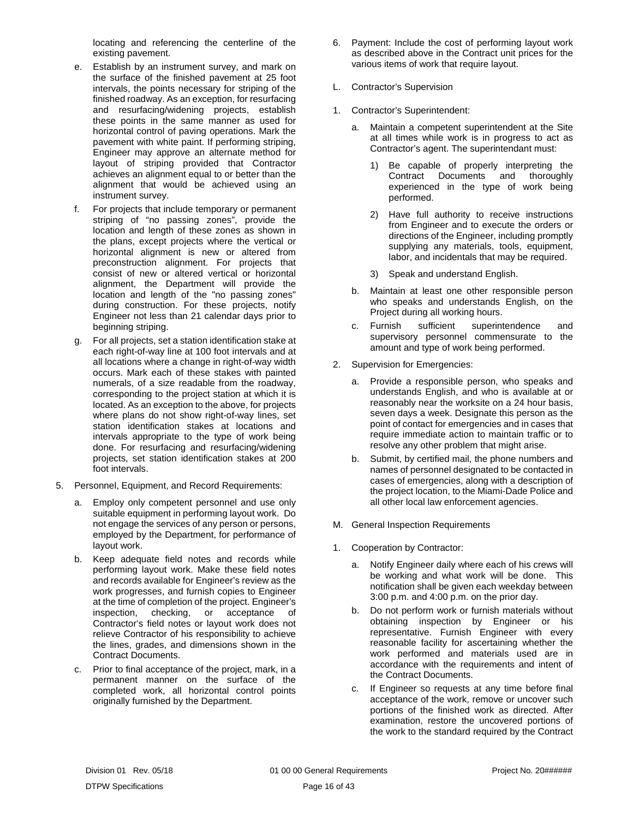locating and referencing the centerline of the existing pavement.

- e. Establish by an instrument survey, and mark on the surface of the finished pavement at 25 foot intervals, the points necessary for striping of the finished roadway. As an exception, for resurfacing and resurfacing/widening projects, establish these points in the same manner as used for horizontal control of paving operations. Mark the pavement with white paint. If performing striping, Engineer may approve an alternate method for layout of striping provided that Contractor achieves an alignment equal to or better than the alignment that would be achieved using an instrument survey.
- f. For projects that include temporary or permanent striping of "no passing zones", provide the location and length of these zones as shown in the plans, except projects where the vertical or horizontal alignment is new or altered from preconstruction alignment. For projects that consist of new or altered vertical or horizontal alignment, the Department will provide the location and length of the "no passing zones" during construction. For these projects, notify Engineer not less than 21 calendar days prior to beginning striping.
- g. For all projects, set a station identification stake at each right-of-way line at 100 foot intervals and at all locations where a change in right-of-way width occurs. Mark each of these stakes with painted numerals, of a size readable from the roadway, corresponding to the project station at which it is located. As an exception to the above, for projects where plans do not show right-of-way lines, set station identification stakes at locations and intervals appropriate to the type of work being done. For resurfacing and resurfacing/widening projects, set station identification stakes at 200 foot intervals.
- 5. Personnel, Equipment, and Record Requirements:
	- a. Employ only competent personnel and use only suitable equipment in performing layout work. Do not engage the services of any person or persons, employed by the Department, for performance of layout work.
	- b. Keep adequate field notes and records while performing layout work. Make these field notes and records available for Engineer's review as the work progresses, and furnish copies to Engineer at the time of completion of the project. Engineer's inspection, checking, or acceptance of Contractor's field notes or layout work does not relieve Contractor of his responsibility to achieve the lines, grades, and dimensions shown in the Contract Documents.
	- c. Prior to final acceptance of the project, mark, in a permanent manner on the surface of the completed work, all horizontal control points originally furnished by the Department.
- 6. Payment: Include the cost of performing layout work as described above in the Contract unit prices for the various items of work that require layout.
- <span id="page-17-0"></span>L. Contractor's Supervision
- 1. Contractor's Superintendent:
	- a. Maintain a competent superintendent at the Site at all times while work is in progress to act as Contractor's agent. The superintendant must:
		- 1) Be capable of properly interpreting the Contract Documents and thoroughly experienced in the type of work being performed.
		- 2) Have full authority to receive instructions from Engineer and to execute the orders or directions of the Engineer, including promptly supplying any materials, tools, equipment, labor, and incidentals that may be required.
		- 3) Speak and understand English.
	- b. Maintain at least one other responsible person who speaks and understands English, on the Project during all working hours.
	- c. Furnish sufficient superintendence and supervisory personnel commensurate to the amount and type of work being performed.
- 2. Supervision for Emergencies:
	- a. Provide a responsible person, who speaks and understands English, and who is available at or reasonably near the worksite on a 24 hour basis, seven days a week. Designate this person as the point of contact for emergencies and in cases that require immediate action to maintain traffic or to resolve any other problem that might arise.
	- b. Submit, by certified mail, the phone numbers and names of personnel designated to be contacted in cases of emergencies, along with a description of the project location, to the Miami-Dade Police and all other local law enforcement agencies.
- <span id="page-17-1"></span>M. General Inspection Requirements
- 1. Cooperation by Contractor:
	- a. Notify Engineer daily where each of his crews will be working and what work will be done. This notification shall be given each weekday between 3:00 p.m. and 4:00 p.m. on the prior day.
	- b. Do not perform work or furnish materials without obtaining inspection by Engineer or his representative. Furnish Engineer with every reasonable facility for ascertaining whether the work performed and materials used are in accordance with the requirements and intent of the Contract Documents.
	- c. If Engineer so requests at any time before final acceptance of the work, remove or uncover such portions of the finished work as directed. After examination, restore the uncovered portions of the work to the standard required by the Contract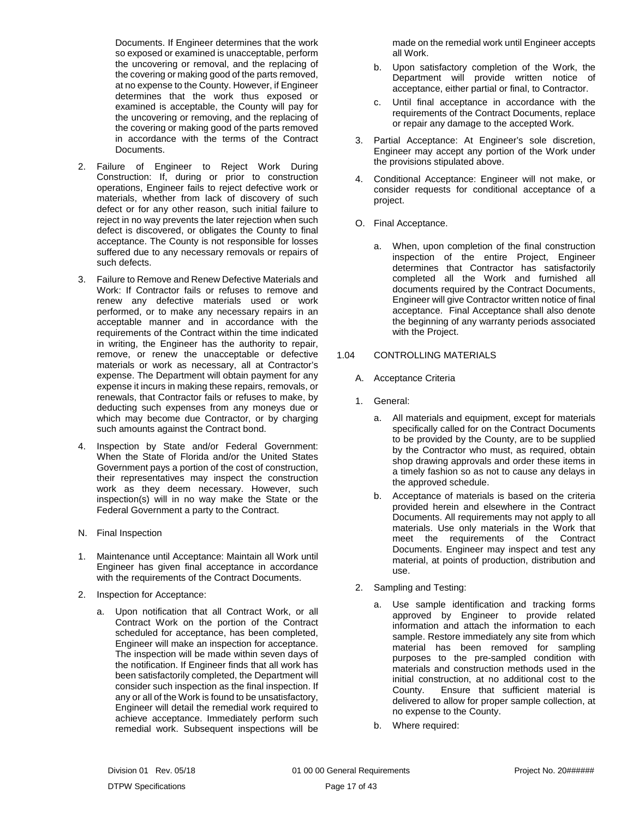Documents. If Engineer determines that the work so exposed or examined is unacceptable, perform the uncovering or removal, and the replacing of the covering or making good of the parts removed, at no expense to the County. However, if Engineer determines that the work thus exposed or examined is acceptable, the County will pay for the uncovering or removing, and the replacing of the covering or making good of the parts removed in accordance with the terms of the Contract Documents.

- 2. Failure of Engineer to Reject Work During Construction: If, during or prior to construction operations, Engineer fails to reject defective work or materials, whether from lack of discovery of such defect or for any other reason, such initial failure to reject in no way prevents the later rejection when such defect is discovered, or obligates the County to final acceptance. The County is not responsible for losses suffered due to any necessary removals or repairs of such defects.
- 3. Failure to Remove and Renew Defective Materials and Work: If Contractor fails or refuses to remove and renew any defective materials used or work performed, or to make any necessary repairs in an acceptable manner and in accordance with the requirements of the Contract within the time indicated in writing, the Engineer has the authority to repair, remove, or renew the unacceptable or defective materials or work as necessary, all at Contractor's expense. The Department will obtain payment for any expense it incurs in making these repairs, removals, or renewals, that Contractor fails or refuses to make, by deducting such expenses from any moneys due or which may become due Contractor, or by charging such amounts against the Contract bond.
- 4. Inspection by State and/or Federal Government: When the State of Florida and/or the United States Government pays a portion of the cost of construction, their representatives may inspect the construction work as they deem necessary. However, such inspection(s) will in no way make the State or the Federal Government a party to the Contract.
- <span id="page-18-0"></span>N. Final Inspection
- 1. Maintenance until Acceptance: Maintain all Work until Engineer has given final acceptance in accordance with the requirements of the Contract Documents.
- 2. Inspection for Acceptance:
	- a. Upon notification that all Contract Work, or all Contract Work on the portion of the Contract scheduled for acceptance, has been completed, Engineer will make an inspection for acceptance. The inspection will be made within seven days of the notification. If Engineer finds that all work has been satisfactorily completed, the Department will consider such inspection as the final inspection. If any or all of the Work is found to be unsatisfactory, Engineer will detail the remedial work required to achieve acceptance. Immediately perform such remedial work. Subsequent inspections will be

made on the remedial work until Engineer accepts all Work.

- b. Upon satisfactory completion of the Work, the Department will provide written notice of acceptance, either partial or final, to Contractor.
- c. Until final acceptance in accordance with the requirements of the Contract Documents, replace or repair any damage to the accepted Work.
- 3. Partial Acceptance: At Engineer's sole discretion, Engineer may accept any portion of the Work under the provisions stipulated above.
- 4. Conditional Acceptance: Engineer will not make, or consider requests for conditional acceptance of a project.
- <span id="page-18-1"></span>O. Final Acceptance.
	- a. When, upon completion of the final construction inspection of the entire Project, Engineer determines that Contractor has satisfactorily completed all the Work and furnished all documents required by the Contract Documents, Engineer will give Contractor written notice of final acceptance. Final Acceptance shall also denote the beginning of any warranty periods associated with the Project.

# <span id="page-18-2"></span>1.04 CONTROLLING MATERIALS

- <span id="page-18-3"></span>A. Acceptance Criteria
- 1. General:
	- a. All materials and equipment, except for materials specifically called for on the Contract Documents to be provided by the County, are to be supplied by the Contractor who must, as required, obtain shop drawing approvals and order these items in a timely fashion so as not to cause any delays in the approved schedule.
	- b. Acceptance of materials is based on the criteria provided herein and elsewhere in the Contract Documents. All requirements may not apply to all materials. Use only materials in the Work that meet the requirements of the Contract Documents. Engineer may inspect and test any material, at points of production, distribution and use.
- 2. Sampling and Testing:
	- a. Use sample identification and tracking forms approved by Engineer to provide related information and attach the information to each sample. Restore immediately any site from which material has been removed for sampling purposes to the pre-sampled condition with materials and construction methods used in the initial construction, at no additional cost to the County. Ensure that sufficient material is delivered to allow for proper sample collection, at no expense to the County.
	- b. Where required: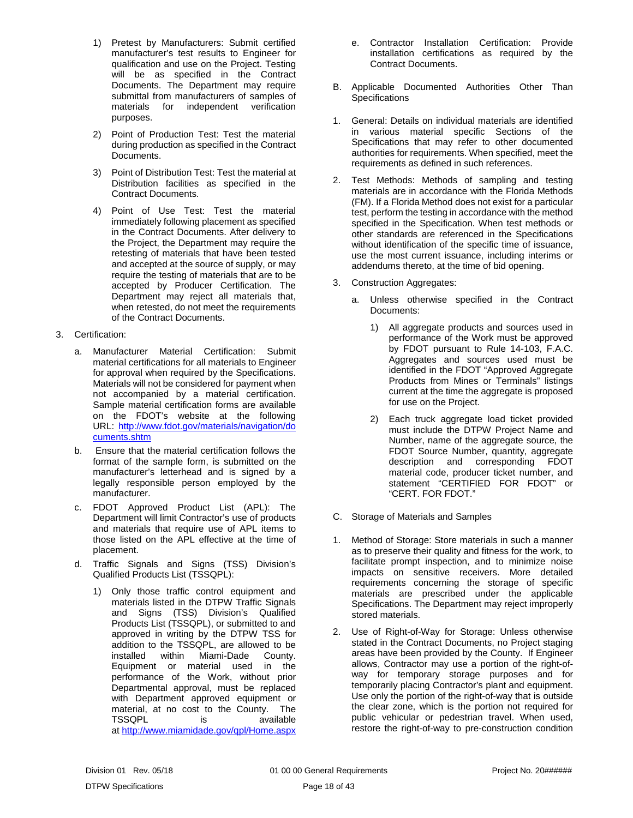- 1) Pretest by Manufacturers: Submit certified manufacturer's test results to Engineer for qualification and use on the Project. Testing will be as specified in the Contract Documents. The Department may require submittal from manufacturers of samples of materials for independent verification purposes.
- 2) Point of Production Test: Test the material during production as specified in the Contract Documents.
- 3) Point of Distribution Test: Test the material at Distribution facilities as specified in the Contract Documents.
- 4) Point of Use Test: Test the material immediately following placement as specified in the Contract Documents. After delivery to the Project, the Department may require the retesting of materials that have been tested and accepted at the source of supply, or may require the testing of materials that are to be accepted by Producer Certification. The Department may reject all materials that, when retested, do not meet the requirements of the Contract Documents.
- 3. Certification:
	- a. Manufacturer Material Certification: Submit material certifications for all materials to Engineer for approval when required by the Specifications. Materials will not be considered for payment when not accompanied by a material certification. Sample material certification forms are available on the FDOT's website at the following URL: [http://www.fdot.gov/materials/navigation/do](http://www.fdot.gov/materials/navigation/documents.shtm) [cuments.shtm](http://www.fdot.gov/materials/navigation/documents.shtm)
	- b. Ensure that the material certification follows the format of the sample form, is submitted on the manufacturer's letterhead and is signed by a legally responsible person employed by the manufacturer.
	- c. FDOT Approved Product List (APL): The Department will limit Contractor's use of products and materials that require use of APL items to those listed on the APL effective at the time of placement.
	- d. Traffic Signals and Signs (TSS) Division's Qualified Products List (TSSQPL):
		- 1) Only those traffic control equipment and materials listed in the DTPW Traffic Signals and Signs (TSS) Division's Qualified Products List (TSSQPL), or submitted to and approved in writing by the DTPW TSS for addition to the TSSQPL, are allowed to be installed within Miami-Dade County. Equipment or material used in the performance of the Work, without prior Departmental approval, must be replaced with Department approved equipment or material, at no cost to the County. The TSSQPL is available at <http://www.miamidade.gov/qpl/Home.aspx>
- e. Contractor Installation Certification: Provide installation certifications as required by the Contract Documents.
- <span id="page-19-0"></span>B. Applicable Documented Authorities Other Than **Specifications**
- 1. General: Details on individual materials are identified in various material specific Sections of the Specifications that may refer to other documented authorities for requirements. When specified, meet the requirements as defined in such references.
- 2. Test Methods: Methods of sampling and testing materials are in accordance with the Florida Methods (FM). If a Florida Method does not exist for a particular test, perform the testing in accordance with the method specified in the Specification. When test methods or other standards are referenced in the Specifications without identification of the specific time of issuance, use the most current issuance, including interims or addendums thereto, at the time of bid opening.
- 3. Construction Aggregates:
	- a. Unless otherwise specified in the Contract Documents:
		- 1) All aggregate products and sources used in performance of the Work must be approved by FDOT pursuant to Rule 14-103, F.A.C. Aggregates and sources used must be identified in the FDOT "Approved Aggregate Products from Mines or Terminals" listings current at the time the aggregate is proposed for use on the Project.
		- 2) Each truck aggregate load ticket provided must include the DTPW Project Name and Number, name of the aggregate source, the FDOT Source Number, quantity, aggregate description and corresponding FDOT material code, producer ticket number, and statement "CERTIFIED FOR FDOT" or "CERT. FOR FDOT."
- <span id="page-19-1"></span>C. Storage of Materials and Samples
- 1. Method of Storage: Store materials in such a manner as to preserve their quality and fitness for the work, to facilitate prompt inspection, and to minimize noise impacts on sensitive receivers. More detailed requirements concerning the storage of specific materials are prescribed under the applicable Specifications. The Department may reject improperly stored materials.
- 2. Use of Right-of-Way for Storage: Unless otherwise stated in the Contract Documents, no Project staging areas have been provided by the County. If Engineer allows, Contractor may use a portion of the right-ofway for temporary storage purposes and for temporarily placing Contractor's plant and equipment. Use only the portion of the right-of-way that is outside the clear zone, which is the portion not required for public vehicular or pedestrian travel. When used, restore the right-of-way to pre-construction condition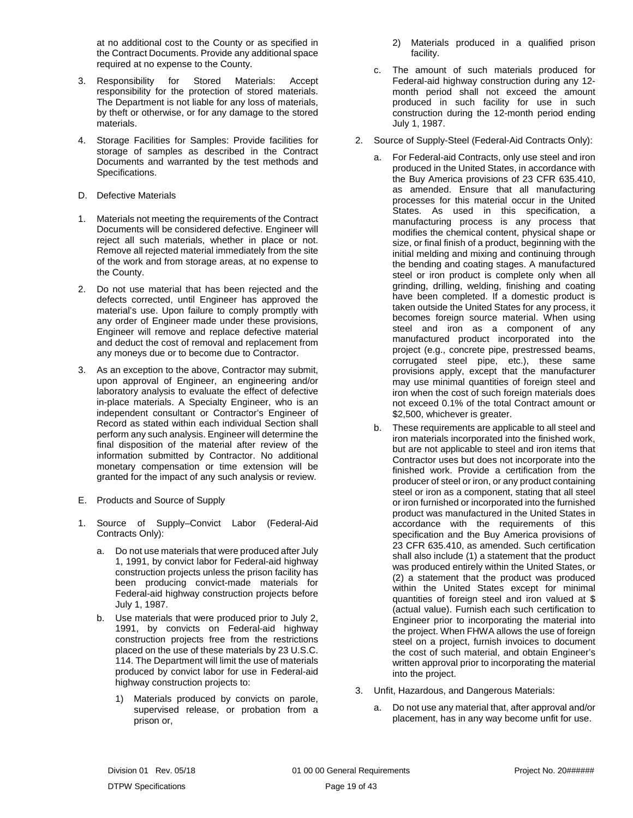at no additional cost to the County or as specified in the Contract Documents. Provide any additional space required at no expense to the County.

- 3. Responsibility for Stored Materials: Accept responsibility for the protection of stored materials. The Department is not liable for any loss of materials, by theft or otherwise, or for any damage to the stored materials.
- 4. Storage Facilities for Samples: Provide facilities for storage of samples as described in the Contract Documents and warranted by the test methods and Specifications.
- <span id="page-20-0"></span>D. Defective Materials
- 1. Materials not meeting the requirements of the Contract Documents will be considered defective. Engineer will reject all such materials, whether in place or not. Remove all rejected material immediately from the site of the work and from storage areas, at no expense to the County.
- 2. Do not use material that has been rejected and the defects corrected, until Engineer has approved the material's use. Upon failure to comply promptly with any order of Engineer made under these provisions, Engineer will remove and replace defective material and deduct the cost of removal and replacement from any moneys due or to become due to Contractor.
- 3. As an exception to the above, Contractor may submit, upon approval of Engineer, an engineering and/or laboratory analysis to evaluate the effect of defective in-place materials. A Specialty Engineer, who is an independent consultant or Contractor's Engineer of Record as stated within each individual Section shall perform any such analysis. Engineer will determine the final disposition of the material after review of the information submitted by Contractor. No additional monetary compensation or time extension will be granted for the impact of any such analysis or review.
- <span id="page-20-1"></span>E. Products and Source of Supply
- 1. Source of Supply–Convict Labor (Federal-Aid Contracts Only):
	- a. Do not use materials that were produced after July 1, 1991, by convict labor for Federal-aid highway construction projects unless the prison facility has been producing convict-made materials for Federal-aid highway construction projects before July 1, 1987.
	- b. Use materials that were produced prior to July 2, 1991, by convicts on Federal-aid highway construction projects free from the restrictions placed on the use of these materials by 23 U.S.C. 114. The Department will limit the use of materials produced by convict labor for use in Federal-aid highway construction projects to:
		- 1) Materials produced by convicts on parole, supervised release, or probation from a prison or,
- 2) Materials produced in a qualified prison facility.
- c. The amount of such materials produced for Federal-aid highway construction during any 12 month period shall not exceed the amount produced in such facility for use in such construction during the 12-month period ending July 1, 1987.
- 2. Source of Supply-Steel (Federal-Aid Contracts Only):
	- a. For Federal-aid Contracts, only use steel and iron produced in the United States, in accordance with the Buy America provisions of 23 CFR 635.410, as amended. Ensure that all manufacturing processes for this material occur in the United States. As used in this specification, a manufacturing process is any process that modifies the chemical content, physical shape or size, or final finish of a product, beginning with the initial melding and mixing and continuing through the bending and coating stages. A manufactured steel or iron product is complete only when all grinding, drilling, welding, finishing and coating have been completed. If a domestic product is taken outside the United States for any process, it becomes foreign source material. When using steel and iron as a component of any manufactured product incorporated into the project (e.g., concrete pipe, prestressed beams, corrugated steel pipe, etc.), these same provisions apply, except that the manufacturer may use minimal quantities of foreign steel and iron when the cost of such foreign materials does not exceed 0.1% of the total Contract amount or \$2,500, whichever is greater.
	- b. These requirements are applicable to all steel and iron materials incorporated into the finished work, but are not applicable to steel and iron items that Contractor uses but does not incorporate into the finished work. Provide a certification from the producer of steel or iron, or any product containing steel or iron as a component, stating that all steel or iron furnished or incorporated into the furnished product was manufactured in the United States in accordance with the requirements of this specification and the Buy America provisions of 23 CFR 635.410, as amended. Such certification shall also include (1) a statement that the product was produced entirely within the United States, or (2) a statement that the product was produced within the United States except for minimal quantities of foreign steel and iron valued at \$ (actual value). Furnish each such certification to Engineer prior to incorporating the material into the project. When FHWA allows the use of foreign steel on a project, furnish invoices to document the cost of such material, and obtain Engineer's written approval prior to incorporating the material into the project.
- 3. Unfit, Hazardous, and Dangerous Materials:
	- a. Do not use any material that, after approval and/or placement, has in any way become unfit for use.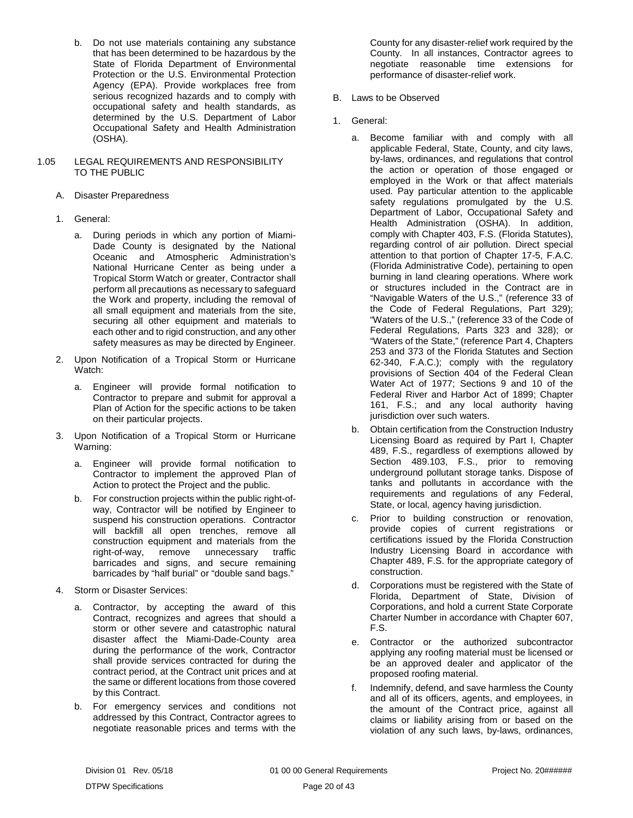b. Do not use materials containing any substance that has been determined to be hazardous by the State of Florida Department of Environmental Protection or the U.S. Environmental Protection Agency (EPA). Provide workplaces free from serious recognized hazards and to comply with occupational safety and health standards, as determined by the U.S. Department of Labor Occupational Safety and Health Administration (OSHA).

#### <span id="page-21-0"></span>1.05 LEGAL REQUIREMENTS AND RESPONSIBILITY TO THE PUBLIC

- <span id="page-21-1"></span>A. Disaster Preparedness
- 1. General:
	- a. During periods in which any portion of Miami-Dade County is designated by the National Oceanic and Atmospheric Administration's National Hurricane Center as being under a Tropical Storm Watch or greater, Contractor shall perform all precautions as necessary to safeguard the Work and property, including the removal of all small equipment and materials from the site, securing all other equipment and materials to each other and to rigid construction, and any other safety measures as may be directed by Engineer.
- 2. Upon Notification of a Tropical Storm or Hurricane Watch:
	- a. Engineer will provide formal notification to Contractor to prepare and submit for approval a Plan of Action for the specific actions to be taken on their particular projects.
- 3. Upon Notification of a Tropical Storm or Hurricane Warning:
	- a. Engineer will provide formal notification to Contractor to implement the approved Plan of Action to protect the Project and the public.
	- b. For construction projects within the public right-ofway, Contractor will be notified by Engineer to suspend his construction operations. Contractor will backfill all open trenches, remove all construction equipment and materials from the right-of-way, remove unnecessary traffic barricades and signs, and secure remaining barricades by "half burial" or "double sand bags."
- 4. Storm or Disaster Services:
	- a. Contractor, by accepting the award of this Contract, recognizes and agrees that should a storm or other severe and catastrophic natural disaster affect the Miami-Dade-County area during the performance of the work, Contractor shall provide services contracted for during the contract period, at the Contract unit prices and at the same or different locations from those covered by this Contract.
	- b. For emergency services and conditions not addressed by this Contract, Contractor agrees to negotiate reasonable prices and terms with the

County for any disaster-relief work required by the County. In all instances, Contractor agrees to negotiate reasonable time extensions for performance of disaster-relief work.

- <span id="page-21-2"></span>B. Laws to be Observed
- 1. General:
	- a. Become familiar with and comply with all applicable Federal, State, County, and city laws, by-laws, ordinances, and regulations that control the action or operation of those engaged or employed in the Work or that affect materials used. Pay particular attention to the applicable safety regulations promulgated by the U.S. Department of Labor, Occupational Safety and Health Administration (OSHA). In addition, comply with Chapter 403, F.S. (Florida Statutes), regarding control of air pollution. Direct special attention to that portion of Chapter 17-5, F.A.C. (Florida Administrative Code), pertaining to open burning in land clearing operations. Where work or structures included in the Contract are in "Navigable Waters of the U.S.," (reference 33 of the Code of Federal Regulations, Part 329); "Waters of the U.S.," (reference 33 of the Code of Federal Regulations, Parts 323 and 328); or "Waters of the State," (reference Part 4, Chapters 253 and 373 of the Florida Statutes and Section 62-340, F.A.C.); comply with the regulatory provisions of Section 404 of the Federal Clean Water Act of 1977; Sections 9 and 10 of the Federal River and Harbor Act of 1899; Chapter 161, F.S.; and any local authority having jurisdiction over such waters.
	- b. Obtain certification from the Construction Industry Licensing Board as required by Part I, Chapter 489, F.S., regardless of exemptions allowed by Section 489.103, F.S., prior to removing underground pollutant storage tanks. Dispose of tanks and pollutants in accordance with the requirements and regulations of any Federal, State, or local, agency having jurisdiction.
	- c. Prior to building construction or renovation, provide copies of current registrations or certifications issued by the Florida Construction Industry Licensing Board in accordance with Chapter 489, F.S. for the appropriate category of construction.
	- d. Corporations must be registered with the State of Florida, Department of State, Division of Corporations, and hold a current State Corporate Charter Number in accordance with Chapter 607, F.S.
	- e. Contractor or the authorized subcontractor applying any roofing material must be licensed or be an approved dealer and applicator of the proposed roofing material.
	- f. Indemnify, defend, and save harmless the County and all of its officers, agents, and employees, in the amount of the Contract price, against all claims or liability arising from or based on the violation of any such laws, by-laws, ordinances,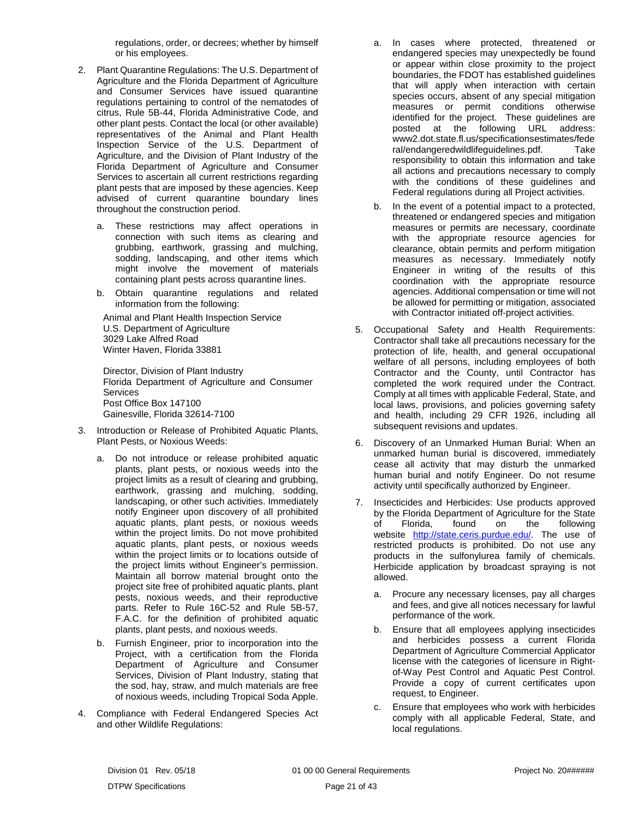regulations, order, or decrees; whether by himself or his employees.

- 2. Plant Quarantine Regulations: The U.S. Department of Agriculture and the Florida Department of Agriculture and Consumer Services have issued quarantine regulations pertaining to control of the nematodes of citrus, Rule 5B-44, Florida Administrative Code, and other plant pests. Contact the local (or other available) representatives of the Animal and Plant Health Inspection Service of the U.S. Department of Agriculture, and the Division of Plant Industry of the Florida Department of Agriculture and Consumer Services to ascertain all current restrictions regarding plant pests that are imposed by these agencies. Keep advised of current quarantine boundary lines throughout the construction period.
	- a. These restrictions may affect operations in connection with such items as clearing and grubbing, earthwork, grassing and mulching, sodding, landscaping, and other items which might involve the movement of materials containing plant pests across quarantine lines.
	- b. Obtain quarantine regulations and related information from the following:

Animal and Plant Health Inspection Service U.S. Department of Agriculture 3029 Lake Alfred Road Winter Haven, Florida 33881

Director, Division of Plant Industry Florida Department of Agriculture and Consumer Services Post Office Box 147100 Gainesville, Florida 32614-7100

- 3. Introduction or Release of Prohibited Aquatic Plants, Plant Pests, or Noxious Weeds:
	- a. Do not introduce or release prohibited aquatic plants, plant pests, or noxious weeds into the project limits as a result of clearing and grubbing, earthwork, grassing and mulching, sodding, landscaping, or other such activities. Immediately notify Engineer upon discovery of all prohibited aquatic plants, plant pests, or noxious weeds within the project limits. Do not move prohibited aquatic plants, plant pests, or noxious weeds within the project limits or to locations outside of the project limits without Engineer's permission. Maintain all borrow material brought onto the project site free of prohibited aquatic plants, plant pests, noxious weeds, and their reproductive parts. Refer to Rule 16C-52 and Rule 5B-57, F.A.C. for the definition of prohibited aquatic plants, plant pests, and noxious weeds.
	- b. Furnish Engineer, prior to incorporation into the Project, with a certification from the Florida Department of Agriculture and Consumer Services, Division of Plant Industry, stating that the sod, hay, straw, and mulch materials are free of noxious weeds, including Tropical Soda Apple.
- 4. Compliance with Federal Endangered Species Act and other Wildlife Regulations:
- a. In cases where protected, threatened or endangered species may unexpectedly be found or appear within close proximity to the project boundaries, the FDOT has established guidelines that will apply when interaction with certain species occurs, absent of any special mitigation measures or permit conditions otherwise identified for the project. These guidelines are posted at the following URL address: www2.dot.state.fl.us/specificationsestimates/fede ral/endangeredwildlifeguidelines.pdf. Take responsibility to obtain this information and take all actions and precautions necessary to comply with the conditions of these guidelines and Federal regulations during all Project activities.
- b. In the event of a potential impact to a protected, threatened or endangered species and mitigation measures or permits are necessary, coordinate with the appropriate resource agencies for clearance, obtain permits and perform mitigation measures as necessary. Immediately notify Engineer in writing of the results of this coordination with the appropriate resource agencies. Additional compensation or time will not be allowed for permitting or mitigation, associated with Contractor initiated off-project activities.
- 5. Occupational Safety and Health Requirements: Contractor shall take all precautions necessary for the protection of life, health, and general occupational welfare of all persons, including employees of both Contractor and the County, until Contractor has completed the work required under the Contract. Comply at all times with applicable Federal, State, and local laws, provisions, and policies governing safety and health, including 29 CFR 1926, including all subsequent revisions and updates.
- 6. Discovery of an Unmarked Human Burial: When an unmarked human burial is discovered, immediately cease all activity that may disturb the unmarked human burial and notify Engineer. Do not resume activity until specifically authorized by Engineer.
- 7. Insecticides and Herbicides: Use products approved by the Florida Department of Agriculture for the State of Florida, found on the following website [http://state.ceris.purdue.edu/.](http://state.ceris.purdue.edu/) The use of restricted products is prohibited. Do not use any products in the sulfonylurea family of chemicals. Herbicide application by broadcast spraying is not allowed.
	- a. Procure any necessary licenses, pay all charges and fees, and give all notices necessary for lawful performance of the work.
	- b. Ensure that all employees applying insecticides and herbicides possess a current Florida Department of Agriculture Commercial Applicator license with the categories of licensure in Rightof-Way Pest Control and Aquatic Pest Control. Provide a copy of current certificates upon request, to Engineer.
	- c. Ensure that employees who work with herbicides comply with all applicable Federal, State, and local regulations.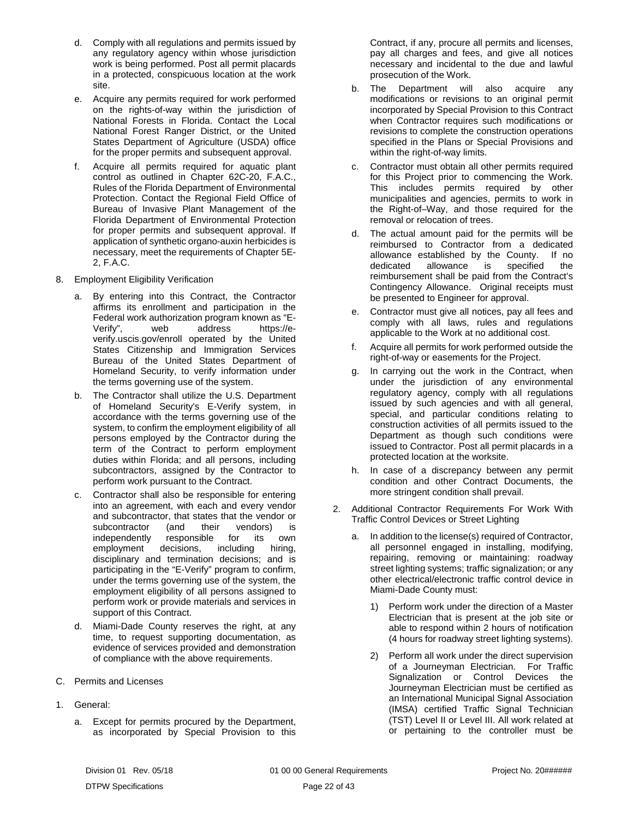- d. Comply with all regulations and permits issued by any regulatory agency within whose jurisdiction work is being performed. Post all permit placards in a protected, conspicuous location at the work site.
- e. Acquire any permits required for work performed on the rights-of-way within the jurisdiction of National Forests in Florida. Contact the Local National Forest Ranger District, or the United States Department of Agriculture (USDA) office for the proper permits and subsequent approval.
- f. Acquire all permits required for aquatic plant control as outlined in Chapter 62C-20, F.A.C., Rules of the Florida Department of Environmental Protection. Contact the Regional Field Office of Bureau of Invasive Plant Management of the Florida Department of Environmental Protection for proper permits and subsequent approval. If application of synthetic organo-auxin herbicides is necessary, meet the requirements of Chapter 5E-2, F.A.C.
- 8. Employment Eligibility Verification
	- a. By entering into this Contract, the Contractor affirms its enrollment and participation in the Federal work authorization program known as "Eaddress verify.uscis.gov/enroll operated by the United States Citizenship and Immigration Services Bureau of the United States Department of Homeland Security, to verify information under the terms governing use of the system.
	- b. The Contractor shall utilize the U.S. Department of Homeland Security's E-Verify system, in accordance with the terms governing use of the system, to confirm the employment eligibility of all persons employed by the Contractor during the term of the Contract to perform employment duties within Florida; and all persons, including subcontractors, assigned by the Contractor to perform work pursuant to the Contract.
	- c. Contractor shall also be responsible for entering into an agreement, with each and every vendor and subcontractor, that states that the vendor or subcontractor (and their vendors) is<br>independently responsible for its own independently responsible for its own employment decisions, including hiring, disciplinary and termination decisions; and is participating in the "E-Verify" program to confirm, under the terms governing use of the system, the employment eligibility of all persons assigned to perform work or provide materials and services in support of this Contract.
	- d. Miami-Dade County reserves the right, at any time, to request supporting documentation, as evidence of services provided and demonstration of compliance with the above requirements.
- <span id="page-23-0"></span>C. Permits and Licenses
- 1. General:
	- a. Except for permits procured by the Department, as incorporated by Special Provision to this

Contract, if any, procure all permits and licenses, pay all charges and fees, and give all notices necessary and incidental to the due and lawful prosecution of the Work.

- b. The Department will also acquire any modifications or revisions to an original permit incorporated by Special Provision to this Contract when Contractor requires such modifications or revisions to complete the construction operations specified in the Plans or Special Provisions and within the right-of-way limits.
- c. Contractor must obtain all other permits required for this Project prior to commencing the Work. This includes permits required by other municipalities and agencies, permits to work in the Right-of–Way, and those required for the removal or relocation of trees.
- d. The actual amount paid for the permits will be reimbursed to Contractor from a dedicated allowance established by the County. If no allowance is specified the reimbursement shall be paid from the Contract's Contingency Allowance. Original receipts must be presented to Engineer for approval.
- e. Contractor must give all notices, pay all fees and comply with all laws, rules and regulations applicable to the Work at no additional cost.
- f. Acquire all permits for work performed outside the right-of-way or easements for the Project.
- g. In carrying out the work in the Contract, when under the jurisdiction of any environmental regulatory agency, comply with all regulations issued by such agencies and with all general, special, and particular conditions relating to construction activities of all permits issued to the Department as though such conditions were issued to Contractor. Post all permit placards in a protected location at the worksite.
- h. In case of a discrepancy between any permit condition and other Contract Documents, the more stringent condition shall prevail.
- 2. Additional Contractor Requirements For Work With Traffic Control Devices or Street Lighting
	- a. In addition to the license(s) required of Contractor, all personnel engaged in installing, modifying, repairing, removing or maintaining: roadway street lighting systems; traffic signalization; or any other electrical/electronic traffic control device in Miami-Dade County must:
		- 1) Perform work under the direction of a Master Electrician that is present at the job site or able to respond within 2 hours of notification (4 hours for roadway street lighting systems).
		- 2) Perform all work under the direct supervision of a Journeyman Electrician. For Traffic Signalization or Control Devices the Journeyman Electrician must be certified as an International Municipal Signal Association (IMSA) certified Traffic Signal Technician (TST) Level II or Level III. All work related at or pertaining to the controller must be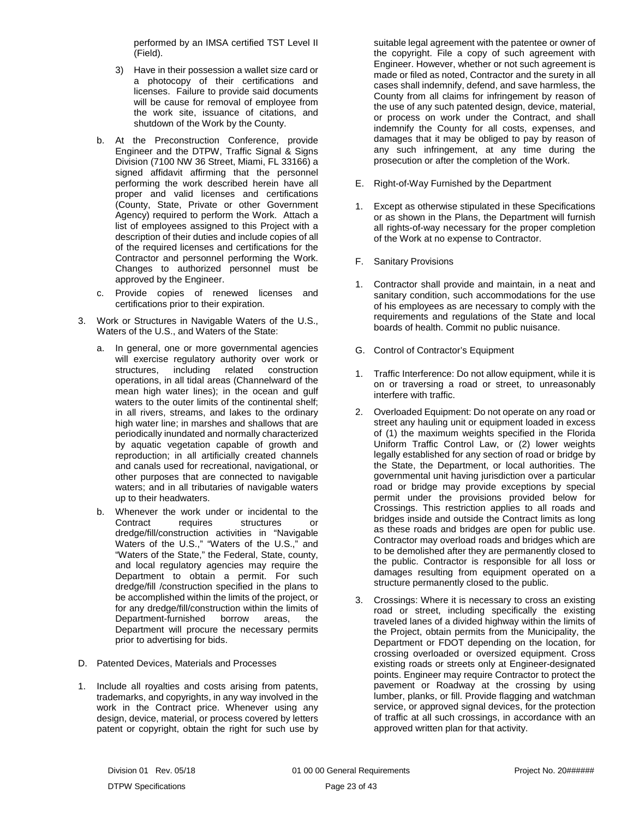performed by an IMSA certified TST Level II (Field).

- 3) Have in their possession a wallet size card or a photocopy of their certifications and licenses. Failure to provide said documents will be cause for removal of employee from the work site, issuance of citations, and shutdown of the Work by the County.
- b. At the Preconstruction Conference, provide Engineer and the DTPW, Traffic Signal & Signs Division (7100 NW 36 Street, Miami, FL 33166) a signed affidavit affirming that the personnel performing the work described herein have all proper and valid licenses and certifications (County, State, Private or other Government Agency) required to perform the Work. Attach a list of employees assigned to this Project with a description of their duties and include copies of all of the required licenses and certifications for the Contractor and personnel performing the Work. Changes to authorized personnel must be approved by the Engineer.
- c. Provide copies of renewed licenses and certifications prior to their expiration.
- 3. Work or Structures in Navigable Waters of the U.S., Waters of the U.S., and Waters of the State:
	- a. In general, one or more governmental agencies will exercise regulatory authority over work or structures, including related construction operations, in all tidal areas (Channelward of the mean high water lines); in the ocean and gulf waters to the outer limits of the continental shelf; in all rivers, streams, and lakes to the ordinary high water line; in marshes and shallows that are periodically inundated and normally characterized by aquatic vegetation capable of growth and reproduction; in all artificially created channels and canals used for recreational, navigational, or other purposes that are connected to navigable waters; and in all tributaries of navigable waters up to their headwaters.
	- b. Whenever the work under or incidental to the Contract requires structures or dredge/fill/construction activities in "Navigable Waters of the U.S.," "Waters of the U.S.," and "Waters of the State," the Federal, State, county, and local regulatory agencies may require the Department to obtain a permit. For such dredge/fill /construction specified in the plans to be accomplished within the limits of the project, or for any dredge/fill/construction within the limits of<br>Department-furnished borrow areas, the Department-furnished borrow areas, the Department will procure the necessary permits prior to advertising for bids.
- <span id="page-24-0"></span>D. Patented Devices, Materials and Processes
- 1. Include all royalties and costs arising from patents, trademarks, and copyrights, in any way involved in the work in the Contract price. Whenever using any design, device, material, or process covered by letters patent or copyright, obtain the right for such use by

suitable legal agreement with the patentee or owner of the copyright. File a copy of such agreement with Engineer. However, whether or not such agreement is made or filed as noted, Contractor and the surety in all cases shall indemnify, defend, and save harmless, the County from all claims for infringement by reason of the use of any such patented design, device, material, or process on work under the Contract, and shall indemnify the County for all costs, expenses, and damages that it may be obliged to pay by reason of any such infringement, at any time during the prosecution or after the completion of the Work.

- <span id="page-24-1"></span>E. Right-of-Way Furnished by the Department
- 1. Except as otherwise stipulated in these Specifications or as shown in the Plans, the Department will furnish all rights-of-way necessary for the proper completion of the Work at no expense to Contractor.
- <span id="page-24-2"></span>F. Sanitary Provisions
- 1. Contractor shall provide and maintain, in a neat and sanitary condition, such accommodations for the use of his employees as are necessary to comply with the requirements and regulations of the State and local boards of health. Commit no public nuisance.
- <span id="page-24-3"></span>G. Control of Contractor's Equipment
- 1. Traffic Interference: Do not allow equipment, while it is on or traversing a road or street, to unreasonably interfere with traffic.
- 2. Overloaded Equipment: Do not operate on any road or street any hauling unit or equipment loaded in excess of (1) the maximum weights specified in the Florida Uniform Traffic Control Law, or (2) lower weights legally established for any section of road or bridge by the State, the Department, or local authorities. The governmental unit having jurisdiction over a particular road or bridge may provide exceptions by special permit under the provisions provided below for Crossings. This restriction applies to all roads and bridges inside and outside the Contract limits as long as these roads and bridges are open for public use. Contractor may overload roads and bridges which are to be demolished after they are permanently closed to the public. Contractor is responsible for all loss or damages resulting from equipment operated on a structure permanently closed to the public.
- 3. Crossings: Where it is necessary to cross an existing road or street, including specifically the existing traveled lanes of a divided highway within the limits of the Project, obtain permits from the Municipality, the Department or FDOT depending on the location, for crossing overloaded or oversized equipment. Cross existing roads or streets only at Engineer-designated points. Engineer may require Contractor to protect the pavement or Roadway at the crossing by using lumber, planks, or fill. Provide flagging and watchman service, or approved signal devices, for the protection of traffic at all such crossings, in accordance with an approved written plan for that activity.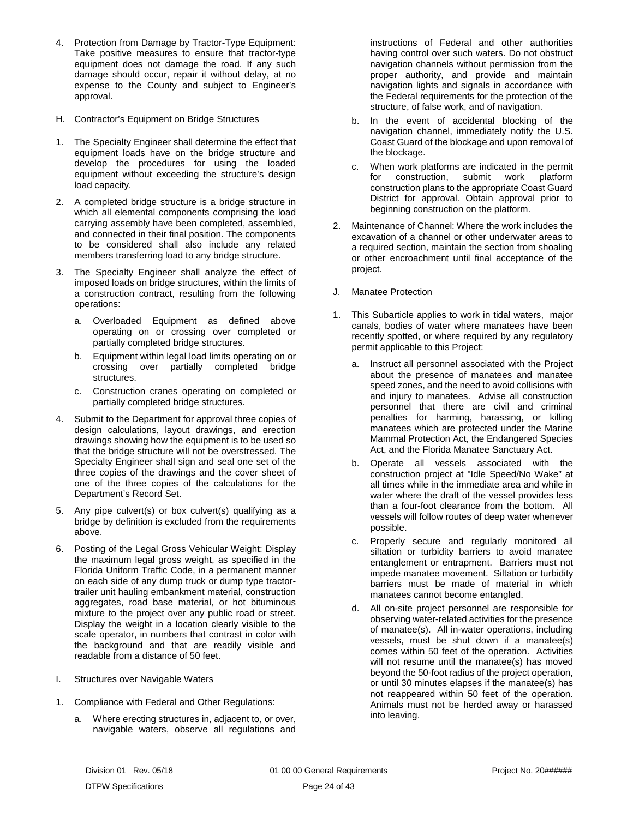- 4. Protection from Damage by Tractor-Type Equipment: Take positive measures to ensure that tractor-type equipment does not damage the road. If any such damage should occur, repair it without delay, at no expense to the County and subject to Engineer's approval.
- <span id="page-25-0"></span>H. Contractor's Equipment on Bridge Structures
- 1. The Specialty Engineer shall determine the effect that equipment loads have on the bridge structure and develop the procedures for using the loaded equipment without exceeding the structure's design load capacity.
- 2. A completed bridge structure is a bridge structure in which all elemental components comprising the load carrying assembly have been completed, assembled, and connected in their final position. The components to be considered shall also include any related members transferring load to any bridge structure.
- 3. The Specialty Engineer shall analyze the effect of imposed loads on bridge structures, within the limits of a construction contract, resulting from the following operations:
	- a. Overloaded Equipment as defined above operating on or crossing over completed or partially completed bridge structures.
	- b. Equipment within legal load limits operating on or crossing over partially completed bridge structures.
	- c. Construction cranes operating on completed or partially completed bridge structures.
- 4. Submit to the Department for approval three copies of design calculations, layout drawings, and erection drawings showing how the equipment is to be used so that the bridge structure will not be overstressed. The Specialty Engineer shall sign and seal one set of the three copies of the drawings and the cover sheet of one of the three copies of the calculations for the Department's Record Set.
- 5. Any pipe culvert(s) or box culvert(s) qualifying as a bridge by definition is excluded from the requirements above.
- 6. Posting of the Legal Gross Vehicular Weight: Display the maximum legal gross weight, as specified in the Florida Uniform Traffic Code, in a permanent manner on each side of any dump truck or dump type tractortrailer unit hauling embankment material, construction aggregates, road base material, or hot bituminous mixture to the project over any public road or street. Display the weight in a location clearly visible to the scale operator, in numbers that contrast in color with the background and that are readily visible and readable from a distance of 50 feet.
- <span id="page-25-1"></span>I. Structures over Navigable Waters
- 1. Compliance with Federal and Other Regulations:
	- a. Where erecting structures in, adjacent to, or over, navigable waters, observe all regulations and

instructions of Federal and other authorities having control over such waters. Do not obstruct navigation channels without permission from the proper authority, and provide and maintain navigation lights and signals in accordance with the Federal requirements for the protection of the structure, of false work, and of navigation.

- b. In the event of accidental blocking of the navigation channel, immediately notify the U.S. Coast Guard of the blockage and upon removal of the blockage.
- c. When work platforms are indicated in the permit<br>for construction, submit work platform for construction, submit work platform construction plans to the appropriate Coast Guard District for approval. Obtain approval prior to beginning construction on the platform.
- 2. Maintenance of Channel: Where the work includes the excavation of a channel or other underwater areas to a required section, maintain the section from shoaling or other encroachment until final acceptance of the project.
- <span id="page-25-2"></span>J. Manatee Protection
- 1. This Subarticle applies to work in tidal waters, major canals, bodies of water where manatees have been recently spotted, or where required by any regulatory permit applicable to this Project:
	- a. Instruct all personnel associated with the Project about the presence of manatees and manatee speed zones, and the need to avoid collisions with and injury to manatees. Advise all construction personnel that there are civil and criminal penalties for harming, harassing, or killing manatees which are protected under the Marine Mammal Protection Act, the Endangered Species Act, and the Florida Manatee Sanctuary Act.
	- b. Operate all vessels associated with the construction project at "Idle Speed/No Wake" at all times while in the immediate area and while in water where the draft of the vessel provides less than a four-foot clearance from the bottom. All vessels will follow routes of deep water whenever possible.
	- c. Properly secure and regularly monitored all siltation or turbidity barriers to avoid manatee entanglement or entrapment. Barriers must not impede manatee movement. Siltation or turbidity barriers must be made of material in which manatees cannot become entangled.
	- d. All on-site project personnel are responsible for observing water-related activities for the presence of manatee(s). All in-water operations, including vessels, must be shut down if a manatee(s) comes within 50 feet of the operation. Activities will not resume until the manatee(s) has moved beyond the 50-foot radius of the project operation, or until 30 minutes elapses if the manatee(s) has not reappeared within 50 feet of the operation. Animals must not be herded away or harassed into leaving.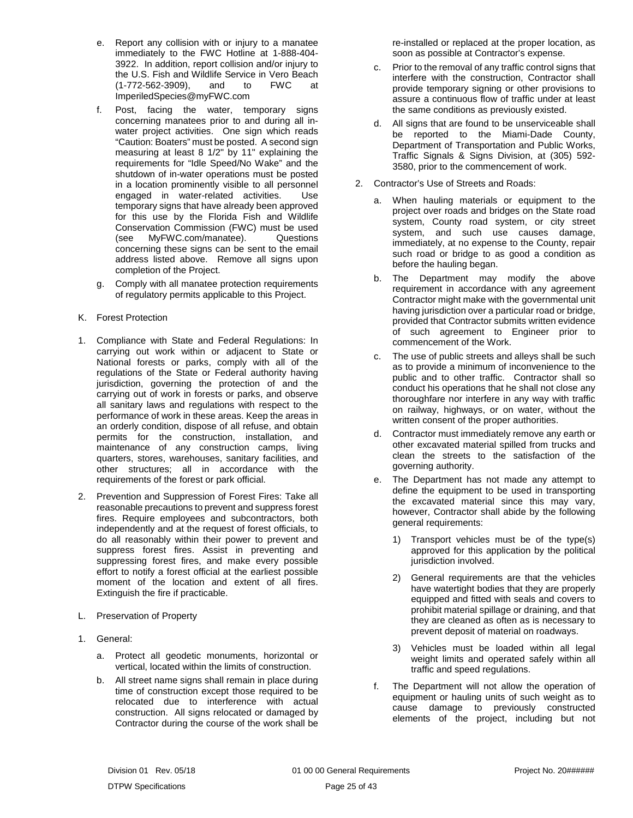- e. Report any collision with or injury to a manatee immediately to the FWC Hotline at 1-888-404- 3922. In addition, report collision and/or injury to the U.S. Fish and Wildlife Service in Vero Beach<br>(1-772-562-3909), and to FWC at (1-772-562-3909), and to FWC at ImperiledSpecies@myFWC.com
- f. Post, facing the water, temporary signs concerning manatees prior to and during all inwater project activities. One sign which reads "Caution: Boaters" must be posted. A second sign measuring at least 8 1/2" by 11" explaining the requirements for "Idle Speed/No Wake" and the shutdown of in-water operations must be posted in a location prominently visible to all personnel engaged in water-related activities. Use temporary signs that have already been approved for this use by the Florida Fish and Wildlife Conservation Commission (FWC) must be used (see MyFWC.com/manatee). Questions concerning these signs can be sent to the email address listed above. Remove all signs upon completion of the Project.
- g. Comply with all manatee protection requirements of regulatory permits applicable to this Project.
- <span id="page-26-0"></span>K. Forest Protection
- 1. Compliance with State and Federal Regulations: In carrying out work within or adjacent to State or National forests or parks, comply with all of the regulations of the State or Federal authority having jurisdiction, governing the protection of and the carrying out of work in forests or parks, and observe all sanitary laws and regulations with respect to the performance of work in these areas. Keep the areas in an orderly condition, dispose of all refuse, and obtain permits for the construction, installation, and maintenance of any construction camps, living quarters, stores, warehouses, sanitary facilities, and other structures; all in accordance with the requirements of the forest or park official.
- 2. Prevention and Suppression of Forest Fires: Take all reasonable precautions to prevent and suppress forest fires. Require employees and subcontractors, both independently and at the request of forest officials, to do all reasonably within their power to prevent and suppress forest fires. Assist in preventing and suppressing forest fires, and make every possible effort to notify a forest official at the earliest possible moment of the location and extent of all fires. Extinguish the fire if practicable.
- <span id="page-26-1"></span>L. Preservation of Property
- 1. General:
	- a. Protect all geodetic monuments, horizontal or vertical, located within the limits of construction.
	- b. All street name signs shall remain in place during time of construction except those required to be relocated due to interference with actual construction. All signs relocated or damaged by Contractor during the course of the work shall be

re-installed or replaced at the proper location, as soon as possible at Contractor's expense.

- c. Prior to the removal of any traffic control signs that interfere with the construction, Contractor shall provide temporary signing or other provisions to assure a continuous flow of traffic under at least the same conditions as previously existed.
- d. All signs that are found to be unserviceable shall be reported to the Miami-Dade County, Department of Transportation and Public Works, Traffic Signals & Signs Division, at (305) 592- 3580, prior to the commencement of work.
- 2. Contractor's Use of Streets and Roads:
	- a. When hauling materials or equipment to the project over roads and bridges on the State road system, County road system, or city street system, and such use causes damage, immediately, at no expense to the County, repair such road or bridge to as good a condition as before the hauling began.
	- b. The Department may modify the above requirement in accordance with any agreement Contractor might make with the governmental unit having jurisdiction over a particular road or bridge, provided that Contractor submits written evidence of such agreement to Engineer prior to commencement of the Work.
	- c. The use of public streets and alleys shall be such as to provide a minimum of inconvenience to the public and to other traffic. Contractor shall so conduct his operations that he shall not close any thoroughfare nor interfere in any way with traffic on railway, highways, or on water, without the written consent of the proper authorities.
	- d. Contractor must immediately remove any earth or other excavated material spilled from trucks and clean the streets to the satisfaction of the governing authority.
	- e. The Department has not made any attempt to define the equipment to be used in transporting the excavated material since this may vary, however, Contractor shall abide by the following general requirements:
		- 1) Transport vehicles must be of the type(s) approved for this application by the political jurisdiction involved.
		- 2) General requirements are that the vehicles have watertight bodies that they are properly equipped and fitted with seals and covers to prohibit material spillage or draining, and that they are cleaned as often as is necessary to prevent deposit of material on roadways.
		- 3) Vehicles must be loaded within all legal weight limits and operated safely within all traffic and speed regulations.
	- f. The Department will not allow the operation of equipment or hauling units of such weight as to cause damage to previously constructed elements of the project, including but not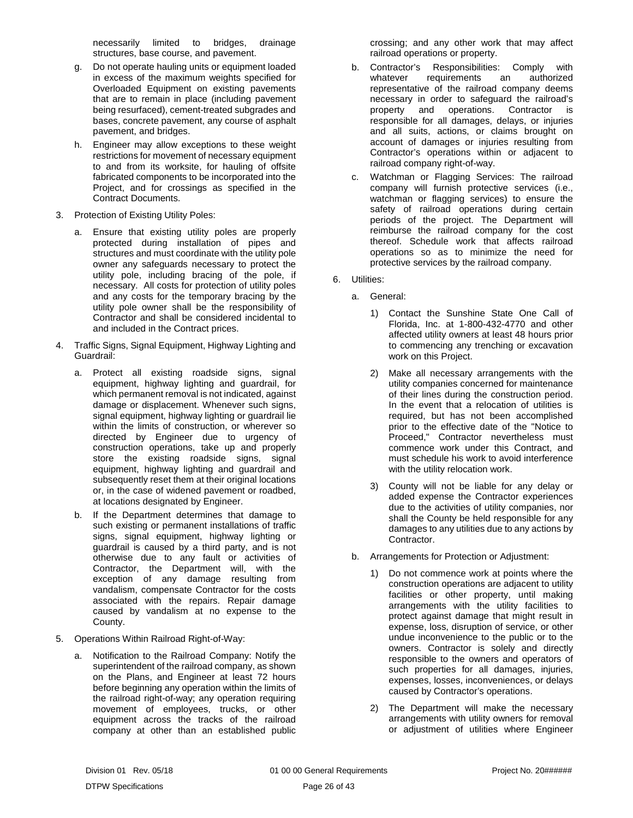necessarily limited to bridges, drainage structures, base course, and pavement.

- g. Do not operate hauling units or equipment loaded in excess of the maximum weights specified for Overloaded Equipment on existing pavements that are to remain in place (including pavement being resurfaced), cement-treated subgrades and bases, concrete pavement, any course of asphalt pavement, and bridges.
- h. Engineer may allow exceptions to these weight restrictions for movement of necessary equipment to and from its worksite, for hauling of offsite fabricated components to be incorporated into the Project, and for crossings as specified in the Contract Documents.
- 3. Protection of Existing Utility Poles:
	- a. Ensure that existing utility poles are properly protected during installation of pipes and structures and must coordinate with the utility pole owner any safeguards necessary to protect the utility pole, including bracing of the pole, if necessary. All costs for protection of utility poles and any costs for the temporary bracing by the utility pole owner shall be the responsibility of Contractor and shall be considered incidental to and included in the Contract prices.
- 4. Traffic Signs, Signal Equipment, Highway Lighting and Guardrail:
	- a. Protect all existing roadside signs, signal equipment, highway lighting and guardrail, for which permanent removal is not indicated, against damage or displacement. Whenever such signs, signal equipment, highway lighting or guardrail lie within the limits of construction, or wherever so directed by Engineer due to urgency of construction operations, take up and properly store the existing roadside signs, signal equipment, highway lighting and guardrail and subsequently reset them at their original locations or, in the case of widened pavement or roadbed, at locations designated by Engineer.
	- b. If the Department determines that damage to such existing or permanent installations of traffic signs, signal equipment, highway lighting or guardrail is caused by a third party, and is not otherwise due to any fault or activities of Contractor, the Department will, with the exception of any damage resulting from vandalism, compensate Contractor for the costs associated with the repairs. Repair damage caused by vandalism at no expense to the County.
- 5. Operations Within Railroad Right-of-Way:
	- a. Notification to the Railroad Company: Notify the superintendent of the railroad company, as shown on the Plans, and Engineer at least 72 hours before beginning any operation within the limits of the railroad right-of-way; any operation requiring movement of employees, trucks, or other equipment across the tracks of the railroad company at other than an established public

crossing; and any other work that may affect railroad operations or property.

- b. Contractor's Responsibilities: Comply with whatever requirements an authorized representative of the railroad company deems necessary in order to safeguard the railroad's property and operations. Contractor is responsible for all damages, delays, or injuries and all suits, actions, or claims brought on account of damages or injuries resulting from Contractor's operations within or adjacent to railroad company right-of-way.
- c. Watchman or Flagging Services: The railroad company will furnish protective services (i.e., watchman or flagging services) to ensure the safety of railroad operations during certain periods of the project. The Department will reimburse the railroad company for the cost thereof. Schedule work that affects railroad operations so as to minimize the need for protective services by the railroad company.
- 6. Utilities:
	- a. General:
		- 1) Contact the Sunshine State One Call of Florida, Inc. at 1-800-432-4770 and other affected utility owners at least 48 hours prior to commencing any trenching or excavation work on this Project.
		- 2) Make all necessary arrangements with the utility companies concerned for maintenance of their lines during the construction period. In the event that a relocation of utilities is required, but has not been accomplished prior to the effective date of the "Notice to Proceed," Contractor nevertheless must commence work under this Contract, and must schedule his work to avoid interference with the utility relocation work.
		- 3) County will not be liable for any delay or added expense the Contractor experiences due to the activities of utility companies, nor shall the County be held responsible for any damages to any utilities due to any actions by Contractor.
	- b. Arrangements for Protection or Adjustment:
		- 1) Do not commence work at points where the construction operations are adjacent to utility facilities or other property, until making arrangements with the utility facilities to protect against damage that might result in expense, loss, disruption of service, or other undue inconvenience to the public or to the owners. Contractor is solely and directly responsible to the owners and operators of such properties for all damages, injuries, expenses, losses, inconveniences, or delays caused by Contractor's operations.
		- 2) The Department will make the necessary arrangements with utility owners for removal or adjustment of utilities where Engineer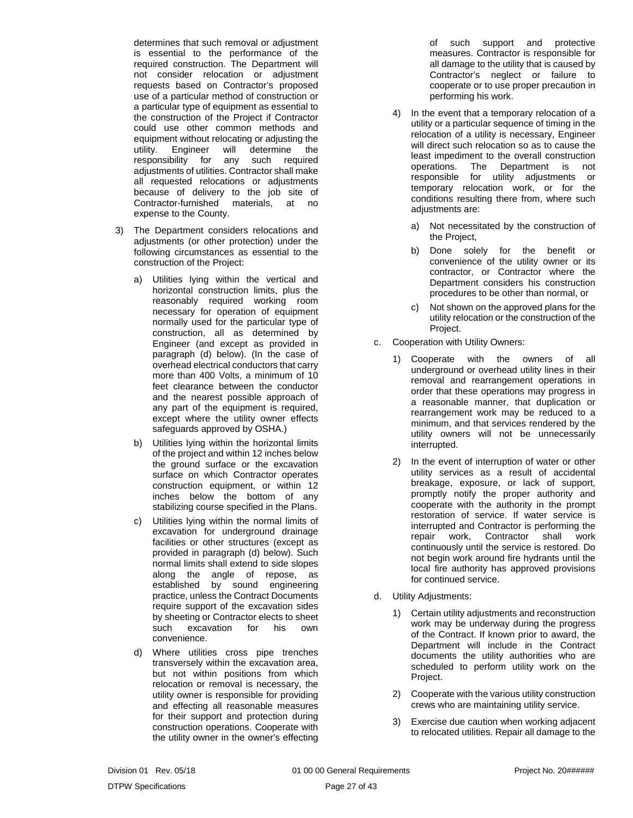determines that such removal or adjustment is essential to the performance of the required construction. The Department will not consider relocation or adjustment requests based on Contractor's proposed use of a particular method of construction or a particular type of equipment as essential to the construction of the Project if Contractor could use other common methods and equipment without relocating or adjusting the utility. Engineer will determine the responsibility for any such required adjustments of utilities. Contractor shall make all requested relocations or adjustments because of delivery to the job site of Contractor-furnished materials, at no expense to the County.

- 3) The Department considers relocations and adjustments (or other protection) under the following circumstances as essential to the construction of the Project:
	- a) Utilities lying within the vertical and horizontal construction limits, plus the reasonably required working room necessary for operation of equipment normally used for the particular type of construction, all as determined by Engineer (and except as provided in paragraph (d) below). (In the case of overhead electrical conductors that carry more than 400 Volts, a minimum of 10 feet clearance between the conductor and the nearest possible approach of any part of the equipment is required, except where the utility owner effects safeguards approved by OSHA.)
	- b) Utilities lying within the horizontal limits of the project and within 12 inches below the ground surface or the excavation surface on which Contractor operates construction equipment, or within 12 inches below the bottom of any stabilizing course specified in the Plans.
	- c) Utilities lying within the normal limits of excavation for underground drainage facilities or other structures (except as provided in paragraph (d) below). Such normal limits shall extend to side slopes along the angle of repose, as established by sound engineering practice, unless the Contract Documents require support of the excavation sides by sheeting or Contractor elects to sheet such excavation for his own convenience.
	- d) Where utilities cross pipe trenches transversely within the excavation area, but not within positions from which relocation or removal is necessary, the utility owner is responsible for providing and effecting all reasonable measures for their support and protection during construction operations. Cooperate with the utility owner in the owner's effecting

of such support and protective measures. Contractor is responsible for all damage to the utility that is caused by Contractor's neglect or failure to cooperate or to use proper precaution in performing his work.

- 4) In the event that a temporary relocation of a utility or a particular sequence of timing in the relocation of a utility is necessary, Engineer will direct such relocation so as to cause the least impediment to the overall construction operations. The Department is not responsible for utility adjustments or temporary relocation work, or for the conditions resulting there from, where such adjustments are:
	- a) Not necessitated by the construction of the Project,
	- b) Done solely for the benefit or convenience of the utility owner or its contractor, or Contractor where the Department considers his construction procedures to be other than normal, or
	- c) Not shown on the approved plans for the utility relocation or the construction of the Project.
- c. Cooperation with Utility Owners:
	- 1) Cooperate with the owners of all underground or overhead utility lines in their removal and rearrangement operations in order that these operations may progress in a reasonable manner, that duplication or rearrangement work may be reduced to a minimum, and that services rendered by the utility owners will not be unnecessarily interrupted.
	- 2) In the event of interruption of water or other utility services as a result of accidental breakage, exposure, or lack of support, promptly notify the proper authority and cooperate with the authority in the prompt restoration of service. If water service is interrupted and Contractor is performing the repair work, Contractor shall work continuously until the service is restored. Do not begin work around fire hydrants until the local fire authority has approved provisions for continued service.
- d. Utility Adjustments:
	- 1) Certain utility adjustments and reconstruction work may be underway during the progress of the Contract. If known prior to award, the Department will include in the Contract documents the utility authorities who are scheduled to perform utility work on the Project.
	- 2) Cooperate with the various utility construction crews who are maintaining utility service.
	- 3) Exercise due caution when working adjacent to relocated utilities. Repair all damage to the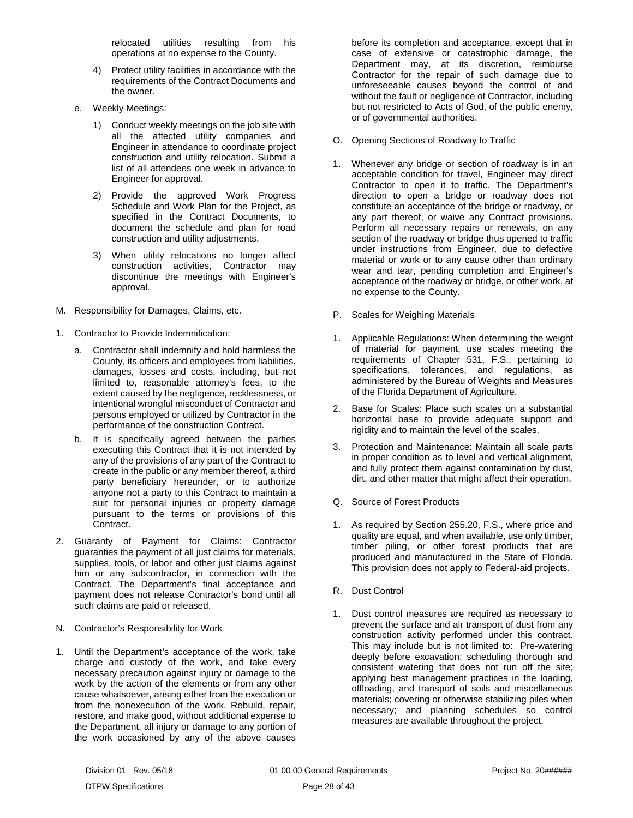relocated utilities resulting from his operations at no expense to the County.

- 4) Protect utility facilities in accordance with the requirements of the Contract Documents and the owner.
- e. Weekly Meetings:
	- 1) Conduct weekly meetings on the job site with all the affected utility companies and Engineer in attendance to coordinate project construction and utility relocation. Submit a list of all attendees one week in advance to Engineer for approval.
	- 2) Provide the approved Work Progress Schedule and Work Plan for the Project, as specified in the Contract Documents, to document the schedule and plan for road construction and utility adjustments.
	- 3) When utility relocations no longer affect construction activities, Contractor may discontinue the meetings with Engineer's approval.
- <span id="page-29-0"></span>M. Responsibility for Damages, Claims, etc.
- 1. Contractor to Provide Indemnification:
	- a. Contractor shall indemnify and hold harmless the County, its officers and employees from liabilities, damages, losses and costs, including, but not limited to, reasonable attorney's fees, to the extent caused by the negligence, recklessness, or intentional wrongful misconduct of Contractor and persons employed or utilized by Contractor in the performance of the construction Contract.
	- b. It is specifically agreed between the parties executing this Contract that it is not intended by any of the provisions of any part of the Contract to create in the public or any member thereof, a third party beneficiary hereunder, or to authorize anyone not a party to this Contract to maintain a suit for personal injuries or property damage pursuant to the terms or provisions of this Contract.
- 2. Guaranty of Payment for Claims: Contractor guaranties the payment of all just claims for materials, supplies, tools, or labor and other just claims against him or any subcontractor, in connection with the Contract. The Department's final acceptance and payment does not release Contractor's bond until all such claims are paid or released.
- <span id="page-29-1"></span>N. Contractor's Responsibility for Work
- 1. Until the Department's acceptance of the work, take charge and custody of the work, and take every necessary precaution against injury or damage to the work by the action of the elements or from any other cause whatsoever, arising either from the execution or from the nonexecution of the work. Rebuild, repair, restore, and make good, without additional expense to the Department, all injury or damage to any portion of the work occasioned by any of the above causes

before its completion and acceptance, except that in case of extensive or catastrophic damage, the Department may, at its discretion, reimburse Contractor for the repair of such damage due to unforeseeable causes beyond the control of and without the fault or negligence of Contractor, including but not restricted to Acts of God, of the public enemy, or of governmental authorities.

- <span id="page-29-2"></span>O. Opening Sections of Roadway to Traffic
- 1. Whenever any bridge or section of roadway is in an acceptable condition for travel, Engineer may direct Contractor to open it to traffic. The Department's direction to open a bridge or roadway does not constitute an acceptance of the bridge or roadway, or any part thereof, or waive any Contract provisions. Perform all necessary repairs or renewals, on any section of the roadway or bridge thus opened to traffic under instructions from Engineer, due to defective material or work or to any cause other than ordinary wear and tear, pending completion and Engineer's acceptance of the roadway or bridge, or other work, at no expense to the County.
- <span id="page-29-3"></span>P. Scales for Weighing Materials
- 1. Applicable Regulations: When determining the weight of material for payment, use scales meeting the requirements of Chapter 531, F.S., pertaining to specifications, tolerances, and regulations, as administered by the Bureau of Weights and Measures of the Florida Department of Agriculture.
- 2. Base for Scales: Place such scales on a substantial horizontal base to provide adequate support and rigidity and to maintain the level of the scales.
- 3. Protection and Maintenance: Maintain all scale parts in proper condition as to level and vertical alignment, and fully protect them against contamination by dust, dirt, and other matter that might affect their operation.
- <span id="page-29-4"></span>Q. Source of Forest Products
- 1. As required by Section 255.20, F.S., where price and quality are equal, and when available, use only timber, timber piling, or other forest products that are produced and manufactured in the State of Florida. This provision does not apply to Federal-aid projects.
- <span id="page-29-5"></span>R. Dust Control
- 1. Dust control measures are required as necessary to prevent the surface and air transport of dust from any construction activity performed under this contract. This may include but is not limited to: Pre-watering deeply before excavation; scheduling thorough and consistent watering that does not run off the site; applying best management practices in the loading, offloading, and transport of soils and miscellaneous materials; covering or otherwise stabilizing piles when necessary; and planning schedules so control measures are available throughout the project.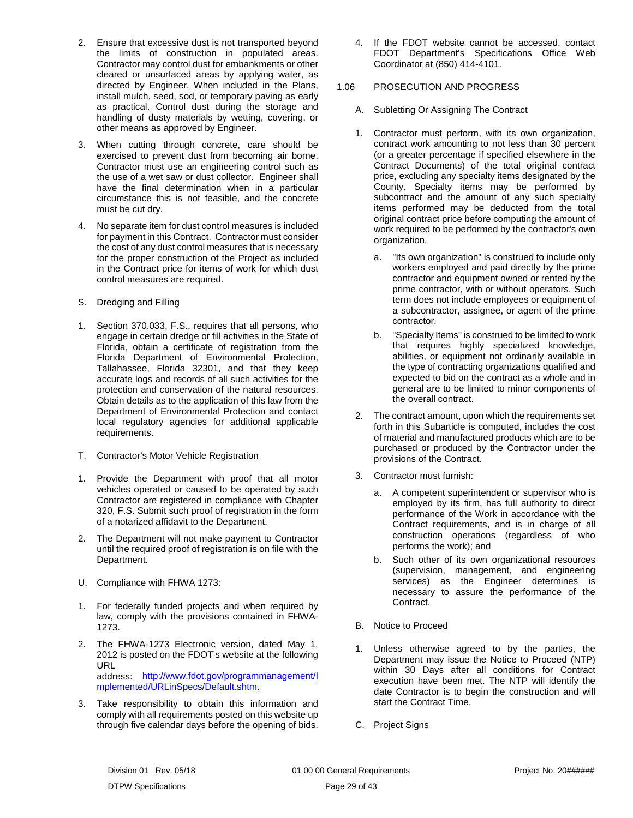- 2. Ensure that excessive dust is not transported beyond the limits of construction in populated areas. Contractor may control dust for embankments or other cleared or unsurfaced areas by applying water, as directed by Engineer. When included in the Plans, install mulch, seed, sod, or temporary paving as early as practical. Control dust during the storage and handling of dusty materials by wetting, covering, or other means as approved by Engineer.
- 3. When cutting through concrete, care should be exercised to prevent dust from becoming air borne. Contractor must use an engineering control such as the use of a wet saw or dust collector. Engineer shall have the final determination when in a particular circumstance this is not feasible, and the concrete must be cut dry.
- 4. No separate item for dust control measures is included for payment in this Contract. Contractor must consider the cost of any dust control measures that is necessary for the proper construction of the Project as included in the Contract price for items of work for which dust control measures are required.
- <span id="page-30-0"></span>S. Dredging and Filling
- 1. Section 370.033, F.S., requires that all persons, who engage in certain dredge or fill activities in the State of Florida, obtain a certificate of registration from the Florida Department of Environmental Protection, Tallahassee, Florida 32301, and that they keep accurate logs and records of all such activities for the protection and conservation of the natural resources. Obtain details as to the application of this law from the Department of Environmental Protection and contact local regulatory agencies for additional applicable requirements.
- <span id="page-30-1"></span>T. Contractor's Motor Vehicle Registration
- 1. Provide the Department with proof that all motor vehicles operated or caused to be operated by such Contractor are registered in compliance with Chapter 320, F.S. Submit such proof of registration in the form of a notarized affidavit to the Department.
- 2. The Department will not make payment to Contractor until the required proof of registration is on file with the Department.
- <span id="page-30-2"></span>U. Compliance with FHWA 1273:
- 1. For federally funded projects and when required by law, comply with the provisions contained in FHWA-1273.
- 2. The FHWA-1273 Electronic version, dated May 1, 2012 is posted on the FDOT's website at the following URL address: [http://www.fdot.gov/programmanagement/I](http://www.fdot.gov/programmanagement/Implemented/URLinSpecs/Default.shtm) [mplemented/URLinSpecs/Default.shtm.](http://www.fdot.gov/programmanagement/Implemented/URLinSpecs/Default.shtm)
- 3. Take responsibility to obtain this information and comply with all requirements posted on this website up through five calendar days before the opening of bids.

4. If the FDOT website cannot be accessed, contact FDOT Department's Specifications Office Web Coordinator at (850) 414-4101.

## <span id="page-30-3"></span>1.06 PROSECUTION AND PROGRESS

- <span id="page-30-4"></span>A. Subletting Or Assigning The Contract
- 1. Contractor must perform, with its own organization, contract work amounting to not less than 30 percent (or a greater percentage if specified elsewhere in the Contract Documents) of the total original contract price, excluding any specialty items designated by the County. Specialty items may be performed by subcontract and the amount of any such specialty items performed may be deducted from the total original contract price before computing the amount of work required to be performed by the contractor's own organization.
	- a. "Its own organization" is construed to include only workers employed and paid directly by the prime contractor and equipment owned or rented by the prime contractor, with or without operators. Such term does not include employees or equipment of a subcontractor, assignee, or agent of the prime contractor.
	- b. "Specialty Items" is construed to be limited to work that requires highly specialized knowledge, abilities, or equipment not ordinarily available in the type of contracting organizations qualified and expected to bid on the contract as a whole and in general are to be limited to minor components of the overall contract.
- 2. The contract amount, upon which the requirements set forth in this Subarticle is computed, includes the cost of material and manufactured products which are to be purchased or produced by the Contractor under the provisions of the Contract.
- 3. Contractor must furnish:
	- a. A competent superintendent or supervisor who is employed by its firm, has full authority to direct performance of the Work in accordance with the Contract requirements, and is in charge of all construction operations (regardless of who performs the work); and
	- b. Such other of its own organizational resources (supervision, management, and engineering services) as the Engineer determines is necessary to assure the performance of the Contract.
- <span id="page-30-5"></span>B. Notice to Proceed
- 1. Unless otherwise agreed to by the parties, the Department may issue the Notice to Proceed (NTP) within 30 Days after all conditions for Contract execution have been met. The NTP will identify the date Contractor is to begin the construction and will start the Contract Time.
- <span id="page-30-6"></span>C. Project Signs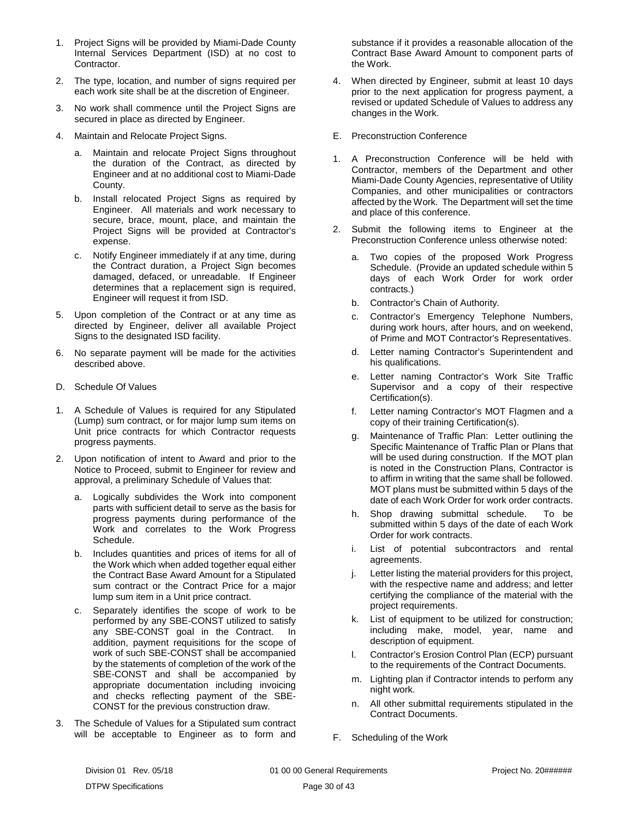- 1. Project Signs will be provided by Miami-Dade County Internal Services Department (ISD) at no cost to Contractor.
- 2. The type, location, and number of signs required per each work site shall be at the discretion of Engineer.
- 3. No work shall commence until the Project Signs are secured in place as directed by Engineer.
- 4. Maintain and Relocate Project Signs.
	- a. Maintain and relocate Project Signs throughout the duration of the Contract, as directed by Engineer and at no additional cost to Miami-Dade County.
	- b. Install relocated Project Signs as required by Engineer. All materials and work necessary to secure, brace, mount, place, and maintain the Project Signs will be provided at Contractor's expense.
	- c. Notify Engineer immediately if at any time, during the Contract duration, a Project Sign becomes damaged, defaced, or unreadable. If Engineer determines that a replacement sign is required, Engineer will request it from ISD.
- 5. Upon completion of the Contract or at any time as directed by Engineer, deliver all available Project Signs to the designated ISD facility.
- 6. No separate payment will be made for the activities described above.
- <span id="page-31-0"></span>D. Schedule Of Values
- 1. A Schedule of Values is required for any Stipulated (Lump) sum contract, or for major lump sum items on Unit price contracts for which Contractor requests progress payments.
- 2. Upon notification of intent to Award and prior to the Notice to Proceed, submit to Engineer for review and approval, a preliminary Schedule of Values that:
	- a. Logically subdivides the Work into component parts with sufficient detail to serve as the basis for progress payments during performance of the Work and correlates to the Work Progress Schedule.
	- b. Includes quantities and prices of items for all of the Work which when added together equal either the Contract Base Award Amount for a Stipulated sum contract or the Contract Price for a major lump sum item in a Unit price contract.
	- c. Separately identifies the scope of work to be performed by any SBE-CONST utilized to satisfy any SBE-CONST goal in the Contract. In addition, payment requisitions for the scope of work of such SBE-CONST shall be accompanied by the statements of completion of the work of the SBE-CONST and shall be accompanied by appropriate documentation including invoicing and checks reflecting payment of the SBE-CONST for the previous construction draw.
- 3. The Schedule of Values for a Stipulated sum contract will be acceptable to Engineer as to form and

substance if it provides a reasonable allocation of the Contract Base Award Amount to component parts of the Work.

- 4. When directed by Engineer, submit at least 10 days prior to the next application for progress payment, a revised or updated Schedule of Values to address any changes in the Work.
- <span id="page-31-1"></span>E. Preconstruction Conference
- 1. A Preconstruction Conference will be held with Contractor, members of the Department and other Miami-Dade County Agencies, representative of Utility Companies, and other municipalities or contractors affected by the Work. The Department will set the time and place of this conference.
- 2. Submit the following items to Engineer at the Preconstruction Conference unless otherwise noted:
	- a. Two copies of the proposed Work Progress Schedule. (Provide an updated schedule within 5 days of each Work Order for work order contracts.)
	- b. Contractor's Chain of Authority.
	- c. Contractor's Emergency Telephone Numbers, during work hours, after hours, and on weekend, of Prime and MOT Contractor's Representatives.
	- d. Letter naming Contractor's Superintendent and his qualifications.
	- e. Letter naming Contractor's Work Site Traffic Supervisor and a copy of their respective Certification(s).
	- f. Letter naming Contractor's MOT Flagmen and a copy of their training Certification(s).
	- g. Maintenance of Traffic Plan: Letter outlining the Specific Maintenance of Traffic Plan or Plans that will be used during construction. If the MOT plan is noted in the Construction Plans, Contractor is to affirm in writing that the same shall be followed. MOT plans must be submitted within 5 days of the date of each Work Order for work order contracts.
	- h. Shop drawing submittal schedule. To be submitted within 5 days of the date of each Work Order for work contracts.
	- i. List of potential subcontractors and rental agreements.
	- j. Letter listing the material providers for this project, with the respective name and address; and letter certifying the compliance of the material with the project requirements.
	- k. List of equipment to be utilized for construction; including make, model, year, name and description of equipment.
	- l. Contractor's Erosion Control Plan (ECP) pursuant to the requirements of the Contract Documents.
	- m. Lighting plan if Contractor intends to perform any night work.
	- n. All other submittal requirements stipulated in the Contract Documents.
- <span id="page-31-2"></span>F. Scheduling of the Work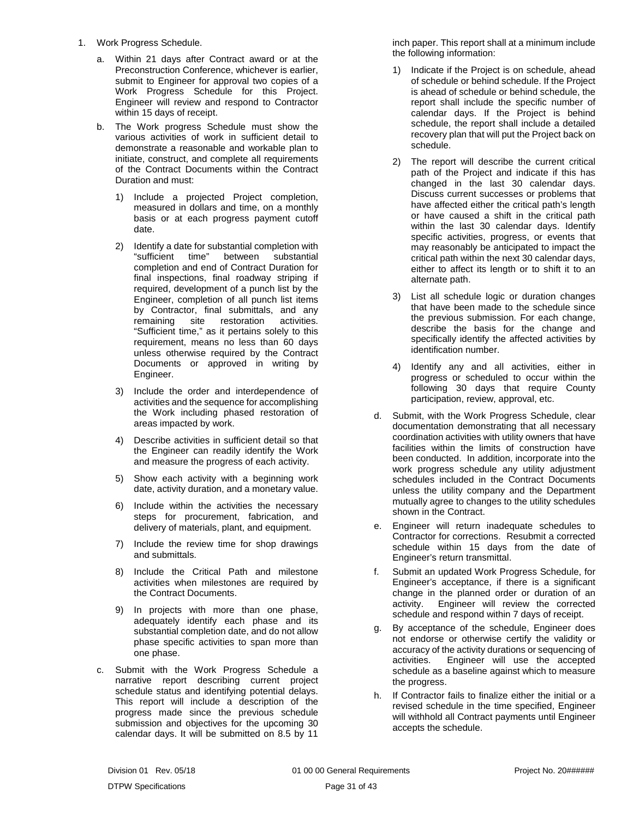- 1. Work Progress Schedule.
	- a. Within 21 days after Contract award or at the Preconstruction Conference, whichever is earlier, submit to Engineer for approval two copies of a Work Progress Schedule for this Project. Engineer will review and respond to Contractor within 15 days of receipt.
	- b. The Work progress Schedule must show the various activities of work in sufficient detail to demonstrate a reasonable and workable plan to initiate, construct, and complete all requirements of the Contract Documents within the Contract Duration and must:
		- 1) Include a projected Project completion, measured in dollars and time, on a monthly basis or at each progress payment cutoff date.
		- 2) Identify a date for substantial completion with "sufficient time" between substantial completion and end of Contract Duration for final inspections, final roadway striping if required, development of a punch list by the Engineer, completion of all punch list items by Contractor, final submittals, and any remaining site restoration activities. "Sufficient time," as it pertains solely to this requirement, means no less than 60 days unless otherwise required by the Contract Documents or approved in writing by Engineer.
		- 3) Include the order and interdependence of activities and the sequence for accomplishing the Work including phased restoration of areas impacted by work.
		- 4) Describe activities in sufficient detail so that the Engineer can readily identify the Work and measure the progress of each activity.
		- 5) Show each activity with a beginning work date, activity duration, and a monetary value.
		- 6) Include within the activities the necessary steps for procurement, fabrication, and delivery of materials, plant, and equipment.
		- 7) Include the review time for shop drawings and submittals.
		- 8) Include the Critical Path and milestone activities when milestones are required by the Contract Documents.
		- 9) In projects with more than one phase, adequately identify each phase and its substantial completion date, and do not allow phase specific activities to span more than one phase.
	- c. Submit with the Work Progress Schedule a narrative report describing current project schedule status and identifying potential delays. This report will include a description of the progress made since the previous schedule submission and objectives for the upcoming 30 calendar days. It will be submitted on 8.5 by 11

inch paper. This report shall at a minimum include the following information:

- 1) Indicate if the Project is on schedule, ahead of schedule or behind schedule. If the Project is ahead of schedule or behind schedule, the report shall include the specific number of calendar days. If the Project is behind schedule, the report shall include a detailed recovery plan that will put the Project back on schedule.
- 2) The report will describe the current critical path of the Project and indicate if this has changed in the last 30 calendar days. Discuss current successes or problems that have affected either the critical path's length or have caused a shift in the critical path within the last 30 calendar days. Identify specific activities, progress, or events that may reasonably be anticipated to impact the critical path within the next 30 calendar days, either to affect its length or to shift it to an alternate path.
- 3) List all schedule logic or duration changes that have been made to the schedule since the previous submission. For each change, describe the basis for the change and specifically identify the affected activities by identification number.
- 4) Identify any and all activities, either in progress or scheduled to occur within the following 30 days that require County participation, review, approval, etc.
- d. Submit, with the Work Progress Schedule, clear documentation demonstrating that all necessary coordination activities with utility owners that have facilities within the limits of construction have been conducted. In addition, incorporate into the work progress schedule any utility adjustment schedules included in the Contract Documents unless the utility company and the Department mutually agree to changes to the utility schedules shown in the Contract.
- e. Engineer will return inadequate schedules to Contractor for corrections. Resubmit a corrected schedule within 15 days from the date of Engineer's return transmittal.
- f. Submit an updated Work Progress Schedule, for Engineer's acceptance, if there is a significant change in the planned order or duration of an activity. Engineer will review the corrected schedule and respond within 7 days of receipt.
- g. By acceptance of the schedule, Engineer does not endorse or otherwise certify the validity or accuracy of the activity durations or sequencing of activities. Engineer will use the accepted schedule as a baseline against which to measure the progress.
- h. If Contractor fails to finalize either the initial or a revised schedule in the time specified, Engineer will withhold all Contract payments until Engineer accepts the schedule.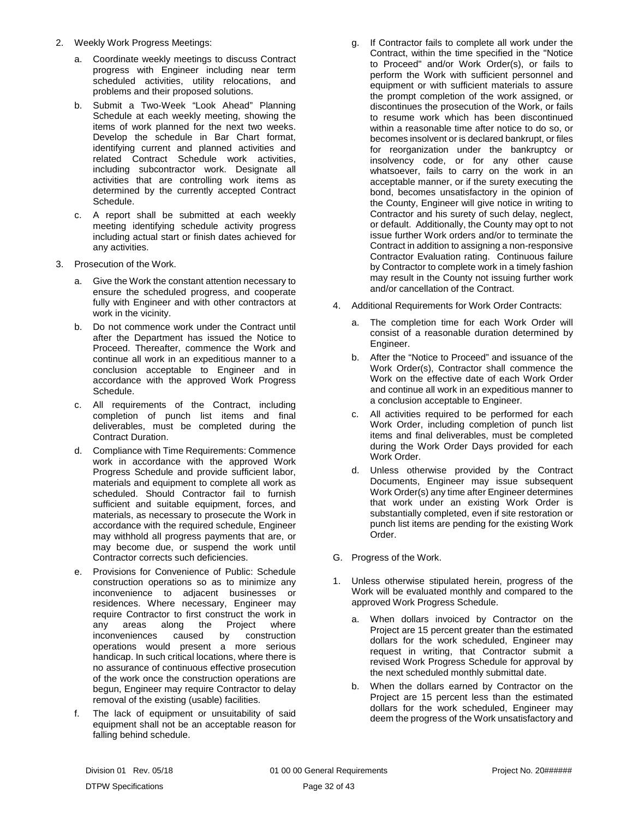- 2. Weekly Work Progress Meetings:
	- a. Coordinate weekly meetings to discuss Contract progress with Engineer including near term scheduled activities, utility relocations, and problems and their proposed solutions.
	- b. Submit a Two-Week "Look Ahead" Planning Schedule at each weekly meeting, showing the items of work planned for the next two weeks. Develop the schedule in Bar Chart format, identifying current and planned activities and related Contract Schedule work activities, including subcontractor work. Designate all activities that are controlling work items as determined by the currently accepted Contract Schedule.
	- c. A report shall be submitted at each weekly meeting identifying schedule activity progress including actual start or finish dates achieved for any activities.
- 3. Prosecution of the Work.
	- a. Give the Work the constant attention necessary to ensure the scheduled progress, and cooperate fully with Engineer and with other contractors at work in the vicinity.
	- b. Do not commence work under the Contract until after the Department has issued the Notice to Proceed. Thereafter, commence the Work and continue all work in an expeditious manner to a conclusion acceptable to Engineer and in accordance with the approved Work Progress Schedule.
	- c. All requirements of the Contract, including completion of punch list items and final deliverables, must be completed during the Contract Duration.
	- d. Compliance with Time Requirements: Commence work in accordance with the approved Work Progress Schedule and provide sufficient labor, materials and equipment to complete all work as scheduled. Should Contractor fail to furnish sufficient and suitable equipment, forces, and materials, as necessary to prosecute the Work in accordance with the required schedule, Engineer may withhold all progress payments that are, or may become due, or suspend the work until Contractor corrects such deficiencies.
	- e. Provisions for Convenience of Public: Schedule construction operations so as to minimize any inconvenience to adjacent businesses or residences. Where necessary, Engineer may require Contractor to first construct the work in any areas along the Project where inconveniences caused by construction operations would present a more serious handicap. In such critical locations, where there is no assurance of continuous effective prosecution of the work once the construction operations are begun, Engineer may require Contractor to delay removal of the existing (usable) facilities.
	- f. The lack of equipment or unsuitability of said equipment shall not be an acceptable reason for falling behind schedule.
- g. If Contractor fails to complete all work under the Contract, within the time specified in the "Notice to Proceed" and/or Work Order(s), or fails to perform the Work with sufficient personnel and equipment or with sufficient materials to assure the prompt completion of the work assigned, or discontinues the prosecution of the Work, or fails to resume work which has been discontinued within a reasonable time after notice to do so, or becomes insolvent or is declared bankrupt, or files for reorganization under the bankruptcy or insolvency code, or for any other cause whatsoever, fails to carry on the work in an acceptable manner, or if the surety executing the bond, becomes unsatisfactory in the opinion of the County, Engineer will give notice in writing to Contractor and his surety of such delay, neglect, or default. Additionally, the County may opt to not issue further Work orders and/or to terminate the Contract in addition to assigning a non-responsive Contractor Evaluation rating. Continuous failure by Contractor to complete work in a timely fashion may result in the County not issuing further work and/or cancellation of the Contract.
- 4. Additional Requirements for Work Order Contracts:
	- a. The completion time for each Work Order will consist of a reasonable duration determined by Engineer.
	- b. After the "Notice to Proceed" and issuance of the Work Order(s), Contractor shall commence the Work on the effective date of each Work Order and continue all work in an expeditious manner to a conclusion acceptable to Engineer.
	- c. All activities required to be performed for each Work Order, including completion of punch list items and final deliverables, must be completed during the Work Order Days provided for each Work Order.
	- d. Unless otherwise provided by the Contract Documents, Engineer may issue subsequent Work Order(s) any time after Engineer determines that work under an existing Work Order is substantially completed, even if site restoration or punch list items are pending for the existing Work Order.
- <span id="page-33-0"></span>G. Progress of the Work.
- 1. Unless otherwise stipulated herein, progress of the Work will be evaluated monthly and compared to the approved Work Progress Schedule.
	- a. When dollars invoiced by Contractor on the Project are 15 percent greater than the estimated dollars for the work scheduled, Engineer may request in writing, that Contractor submit a revised Work Progress Schedule for approval by the next scheduled monthly submittal date.
	- b. When the dollars earned by Contractor on the Project are 15 percent less than the estimated dollars for the work scheduled, Engineer may deem the progress of the Work unsatisfactory and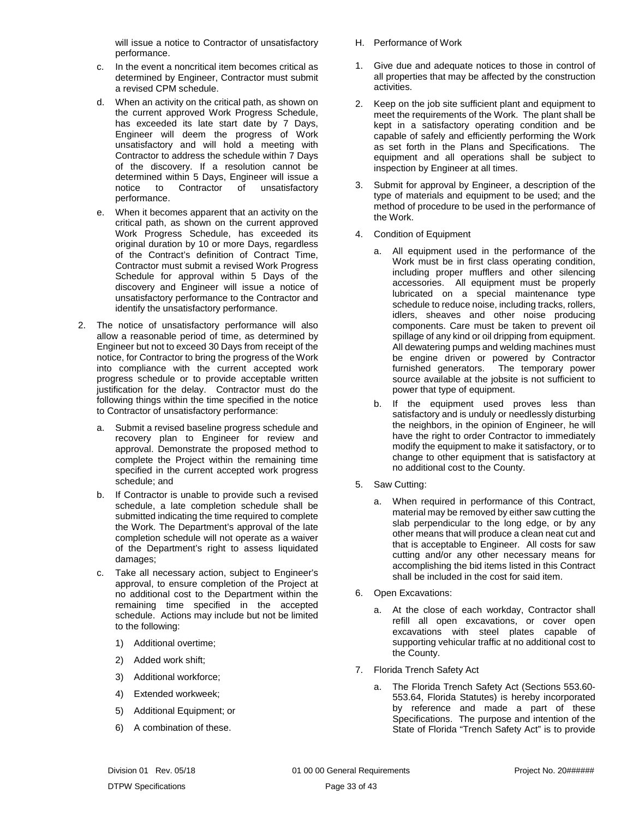will issue a notice to Contractor of unsatisfactory performance.

- c. In the event a noncritical item becomes critical as determined by Engineer, Contractor must submit a revised CPM schedule.
- d. When an activity on the critical path, as shown on the current approved Work Progress Schedule, has exceeded its late start date by 7 Days, Engineer will deem the progress of Work unsatisfactory and will hold a meeting with Contractor to address the schedule within 7 Days of the discovery. If a resolution cannot be determined within 5 Days, Engineer will issue a notice to Contractor of unsatisfactory performance.
- e. When it becomes apparent that an activity on the critical path, as shown on the current approved Work Progress Schedule, has exceeded its original duration by 10 or more Days, regardless of the Contract's definition of Contract Time, Contractor must submit a revised Work Progress Schedule for approval within 5 Days of the discovery and Engineer will issue a notice of unsatisfactory performance to the Contractor and identify the unsatisfactory performance.
- 2. The notice of unsatisfactory performance will also allow a reasonable period of time, as determined by Engineer but not to exceed 30 Days from receipt of the notice, for Contractor to bring the progress of the Work into compliance with the current accepted work progress schedule or to provide acceptable written justification for the delay. Contractor must do the following things within the time specified in the notice to Contractor of unsatisfactory performance:
	- a. Submit a revised baseline progress schedule and recovery plan to Engineer for review and approval. Demonstrate the proposed method to complete the Project within the remaining time specified in the current accepted work progress schedule; and
	- b. If Contractor is unable to provide such a revised schedule, a late completion schedule shall be submitted indicating the time required to complete the Work. The Department's approval of the late completion schedule will not operate as a waiver of the Department's right to assess liquidated damages;
	- c. Take all necessary action, subject to Engineer's approval, to ensure completion of the Project at no additional cost to the Department within the remaining time specified in the accepted schedule. Actions may include but not be limited to the following:
		- 1) Additional overtime;
		- 2) Added work shift;
		- 3) Additional workforce;
		- 4) Extended workweek;
		- 5) Additional Equipment; or
		- 6) A combination of these.
- <span id="page-34-0"></span>H. Performance of Work
- 1. Give due and adequate notices to those in control of all properties that may be affected by the construction activities.
- 2. Keep on the job site sufficient plant and equipment to meet the requirements of the Work. The plant shall be kept in a satisfactory operating condition and be capable of safely and efficiently performing the Work as set forth in the Plans and Specifications. The equipment and all operations shall be subject to inspection by Engineer at all times.
- 3. Submit for approval by Engineer, a description of the type of materials and equipment to be used; and the method of procedure to be used in the performance of the Work.
- 4. Condition of Equipment
	- a. All equipment used in the performance of the Work must be in first class operating condition, including proper mufflers and other silencing accessories. All equipment must be properly lubricated on a special maintenance type schedule to reduce noise, including tracks, rollers, idlers, sheaves and other noise producing components. Care must be taken to prevent oil spillage of any kind or oil dripping from equipment. All dewatering pumps and welding machines must be engine driven or powered by Contractor furnished generators. The temporary power source available at the jobsite is not sufficient to power that type of equipment.
	- b. If the equipment used proves less than satisfactory and is unduly or needlessly disturbing the neighbors, in the opinion of Engineer, he will have the right to order Contractor to immediately modify the equipment to make it satisfactory, or to change to other equipment that is satisfactory at no additional cost to the County.
- 5. Saw Cutting:
	- a. When required in performance of this Contract, material may be removed by either saw cutting the slab perpendicular to the long edge, or by any other means that will produce a clean neat cut and that is acceptable to Engineer. All costs for saw cutting and/or any other necessary means for accomplishing the bid items listed in this Contract shall be included in the cost for said item.
- 6. Open Excavations:
	- a. At the close of each workday, Contractor shall refill all open excavations, or cover open excavations with steel plates capable of supporting vehicular traffic at no additional cost to the County.
- 7. Florida Trench Safety Act
	- a. The Florida Trench Safety Act (Sections 553.60- 553.64, Florida Statutes) is hereby incorporated by reference and made a part of these Specifications. The purpose and intention of the State of Florida "Trench Safety Act" is to provide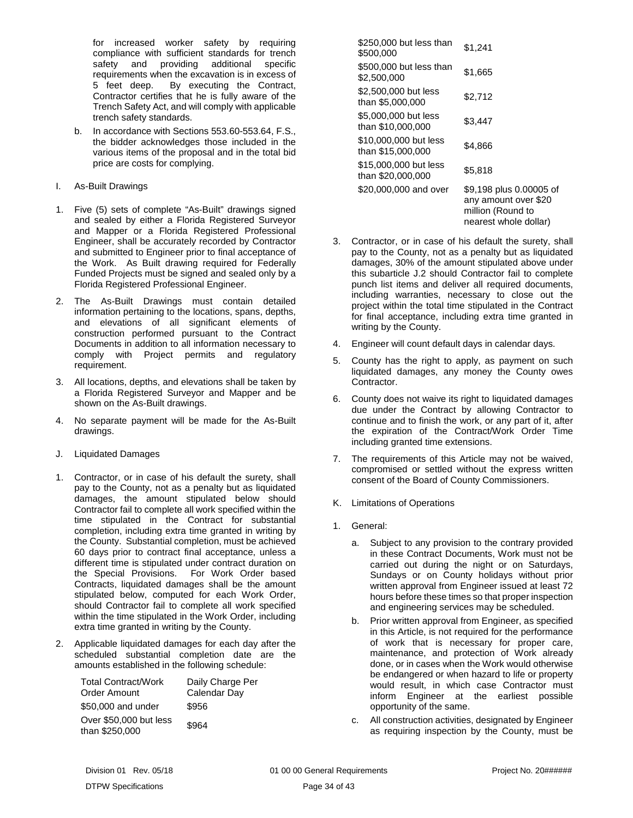for increased worker safety by requiring compliance with sufficient standards for trench safety and providing additional specific requirements when the excavation is in excess of 5 feet deep. By executing the Contract, Contractor certifies that he is fully aware of the Trench Safety Act, and will comply with applicable trench safety standards.

- b. In accordance with Sections 553.60-553.64, F.S., the bidder acknowledges those included in the various items of the proposal and in the total bid price are costs for complying.
- <span id="page-35-0"></span>I. As-Built Drawings
- 1. Five (5) sets of complete "As-Built" drawings signed and sealed by either a Florida Registered Surveyor and Mapper or a Florida Registered Professional Engineer, shall be accurately recorded by Contractor and submitted to Engineer prior to final acceptance of the Work. As Built drawing required for Federally Funded Projects must be signed and sealed only by a Florida Registered Professional Engineer.
- 2. The As-Built Drawings must contain detailed information pertaining to the locations, spans, depths, and elevations of all significant elements of construction performed pursuant to the Contract Documents in addition to all information necessary to comply with Project permits and regulatory requirement.
- 3. All locations, depths, and elevations shall be taken by a Florida Registered Surveyor and Mapper and be shown on the As-Built drawings.
- 4. No separate payment will be made for the As-Built drawings.
- <span id="page-35-1"></span>J. Liquidated Damages
- 1. Contractor, or in case of his default the surety, shall pay to the County, not as a penalty but as liquidated damages, the amount stipulated below should Contractor fail to complete all work specified within the time stipulated in the Contract for substantial completion, including extra time granted in writing by the County. Substantial completion, must be achieved 60 days prior to contract final acceptance, unless a different time is stipulated under contract duration on the Special Provisions. For Work Order based Contracts, liquidated damages shall be the amount stipulated below, computed for each Work Order, should Contractor fail to complete all work specified within the time stipulated in the Work Order, including extra time granted in writing by the County.
- 2. Applicable liquidated damages for each day after the scheduled substantial completion date are the amounts established in the following schedule:

| <b>Total Contract/Work</b><br>Order Amount | Daily Charge Per<br>Calendar Day |
|--------------------------------------------|----------------------------------|
| \$50,000 and under                         | \$956                            |
| Over \$50,000 but less<br>than \$250,000   | \$964                            |

| \$250,000 but less than<br>\$500.000       | \$1,241                                                                                       |
|--------------------------------------------|-----------------------------------------------------------------------------------------------|
| \$500,000 but less than<br>\$2,500,000     | \$1,665                                                                                       |
| \$2,500,000 but less<br>than \$5,000,000   | \$2,712                                                                                       |
| \$5,000,000 but less<br>than \$10,000,000  | \$3,447                                                                                       |
| \$10,000,000 but less<br>than \$15,000,000 | \$4.866                                                                                       |
| \$15,000,000 but less<br>than \$20,000,000 | \$5,818                                                                                       |
| \$20,000,000 and over                      | \$9,198 plus 0.00005 of<br>any amount over \$20<br>million (Round to<br>nearest whole dollar) |

- 3. Contractor, or in case of his default the surety, shall pay to the County, not as a penalty but as liquidated damages, 30% of the amount stipulated above under this subarticle J.2 should Contractor fail to complete punch list items and deliver all required documents, including warranties, necessary to close out the project within the total time stipulated in the Contract for final acceptance, including extra time granted in writing by the County.
- 4. Engineer will count default days in calendar days.
- 5. County has the right to apply, as payment on such liquidated damages, any money the County owes Contractor.
- 6. County does not waive its right to liquidated damages due under the Contract by allowing Contractor to continue and to finish the work, or any part of it, after the expiration of the Contract/Work Order Time including granted time extensions.
- 7. The requirements of this Article may not be waived, compromised or settled without the express written consent of the Board of County Commissioners.
- <span id="page-35-2"></span>K. Limitations of Operations
- 1. General:
	- a. Subject to any provision to the contrary provided in these Contract Documents, Work must not be carried out during the night or on Saturdays, Sundays or on County holidays without prior written approval from Engineer issued at least 72 hours before these times so that proper inspection and engineering services may be scheduled.
	- b. Prior written approval from Engineer, as specified in this Article, is not required for the performance of work that is necessary for proper care, maintenance, and protection of Work already done, or in cases when the Work would otherwise be endangered or when hazard to life or property would result, in which case Contractor must inform Engineer at the earliest possible opportunity of the same.
	- c. All construction activities, designated by Engineer as requiring inspection by the County, must be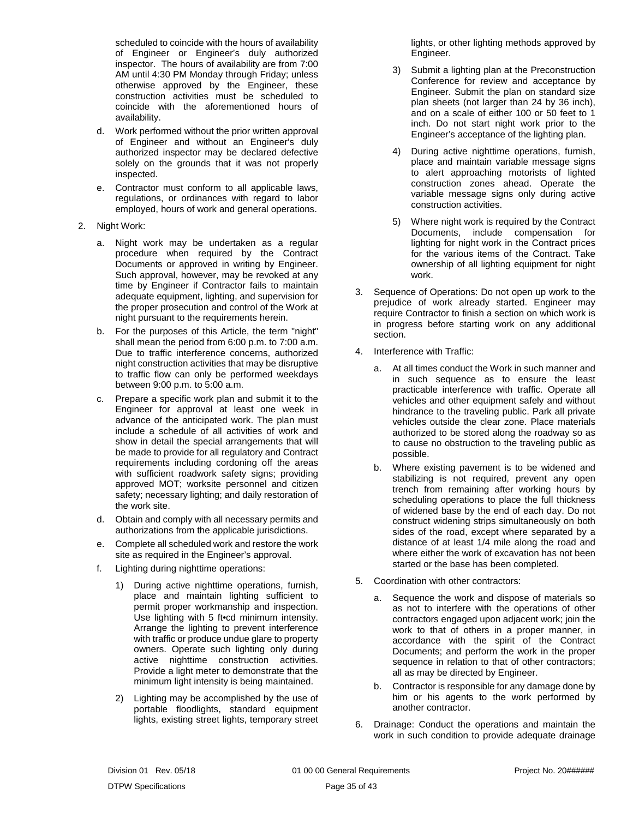scheduled to coincide with the hours of availability of Engineer or Engineer's duly authorized inspector. The hours of availability are from 7:00 AM until 4:30 PM Monday through Friday; unless otherwise approved by the Engineer, these construction activities must be scheduled to coincide with the aforementioned hours of availability.

- d. Work performed without the prior written approval of Engineer and without an Engineer's duly authorized inspector may be declared defective solely on the grounds that it was not properly inspected.
- e. Contractor must conform to all applicable laws, regulations, or ordinances with regard to labor employed, hours of work and general operations.
- 2. Night Work:
	- a. Night work may be undertaken as a regular procedure when required by the Contract Documents or approved in writing by Engineer. Such approval, however, may be revoked at any time by Engineer if Contractor fails to maintain adequate equipment, lighting, and supervision for the proper prosecution and control of the Work at night pursuant to the requirements herein.
	- b. For the purposes of this Article, the term "night" shall mean the period from 6:00 p.m. to 7:00 a.m. Due to traffic interference concerns, authorized night construction activities that may be disruptive to traffic flow can only be performed weekdays between 9:00 p.m. to 5:00 a.m.
	- c. Prepare a specific work plan and submit it to the Engineer for approval at least one week in advance of the anticipated work. The plan must include a schedule of all activities of work and show in detail the special arrangements that will be made to provide for all regulatory and Contract requirements including cordoning off the areas with sufficient roadwork safety signs; providing approved MOT; worksite personnel and citizen safety; necessary lighting; and daily restoration of the work site.
	- d. Obtain and comply with all necessary permits and authorizations from the applicable jurisdictions.
	- e. Complete all scheduled work and restore the work site as required in the Engineer's approval.
	- f. Lighting during nighttime operations:
		- 1) During active nighttime operations, furnish, place and maintain lighting sufficient to permit proper workmanship and inspection. Use lighting with 5 ft•cd minimum intensity. Arrange the lighting to prevent interference with traffic or produce undue glare to property owners. Operate such lighting only during active nighttime construction activities. Provide a light meter to demonstrate that the minimum light intensity is being maintained.
		- 2) Lighting may be accomplished by the use of portable floodlights, standard equipment lights, existing street lights, temporary street

lights, or other lighting methods approved by Engineer.

- 3) Submit a lighting plan at the Preconstruction Conference for review and acceptance by Engineer. Submit the plan on standard size plan sheets (not larger than 24 by 36 inch), and on a scale of either 100 or 50 feet to 1 inch. Do not start night work prior to the Engineer's acceptance of the lighting plan.
- 4) During active nighttime operations, furnish, place and maintain variable message signs to alert approaching motorists of lighted construction zones ahead. Operate the variable message signs only during active construction activities.
- 5) Where night work is required by the Contract Documents, include compensation for lighting for night work in the Contract prices for the various items of the Contract. Take ownership of all lighting equipment for night work.
- 3. Sequence of Operations: Do not open up work to the prejudice of work already started. Engineer may require Contractor to finish a section on which work is in progress before starting work on any additional section.
- 4. Interference with Traffic:
	- a. At all times conduct the Work in such manner and in such sequence as to ensure the least practicable interference with traffic. Operate all vehicles and other equipment safely and without hindrance to the traveling public. Park all private vehicles outside the clear zone. Place materials authorized to be stored along the roadway so as to cause no obstruction to the traveling public as possible.
	- b. Where existing pavement is to be widened and stabilizing is not required, prevent any open trench from remaining after working hours by scheduling operations to place the full thickness of widened base by the end of each day. Do not construct widening strips simultaneously on both sides of the road, except where separated by a distance of at least 1/4 mile along the road and where either the work of excavation has not been started or the base has been completed.
- 5. Coordination with other contractors:
	- a. Sequence the work and dispose of materials so as not to interfere with the operations of other contractors engaged upon adjacent work; join the work to that of others in a proper manner, in accordance with the spirit of the Contract Documents; and perform the work in the proper sequence in relation to that of other contractors; all as may be directed by Engineer.
	- b. Contractor is responsible for any damage done by him or his agents to the work performed by another contractor.
- 6. Drainage: Conduct the operations and maintain the work in such condition to provide adequate drainage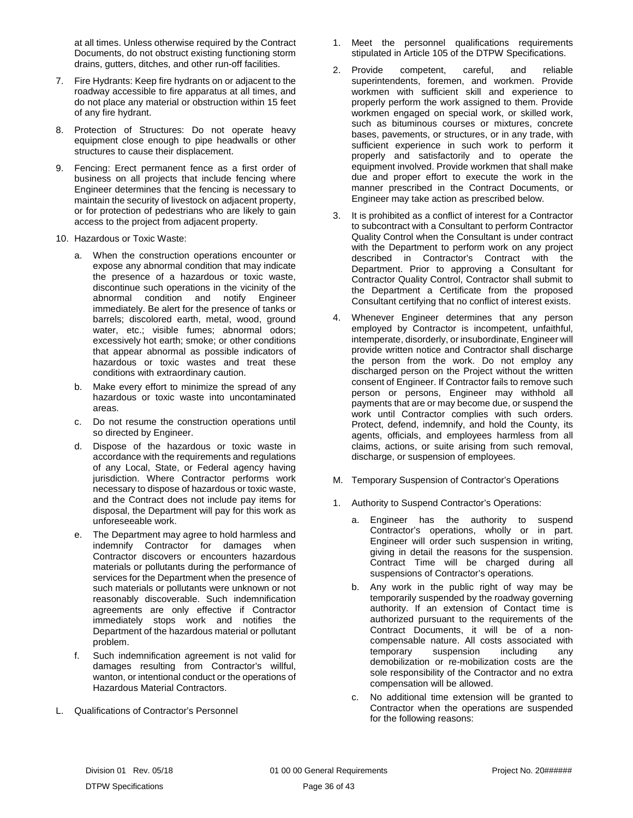at all times. Unless otherwise required by the Contract Documents, do not obstruct existing functioning storm drains, gutters, ditches, and other run-off facilities.

- 7. Fire Hydrants: Keep fire hydrants on or adjacent to the roadway accessible to fire apparatus at all times, and do not place any material or obstruction within 15 feet of any fire hydrant.
- 8. Protection of Structures: Do not operate heavy equipment close enough to pipe headwalls or other structures to cause their displacement.
- 9. Fencing: Erect permanent fence as a first order of business on all projects that include fencing where Engineer determines that the fencing is necessary to maintain the security of livestock on adjacent property, or for protection of pedestrians who are likely to gain access to the project from adjacent property.
- 10. Hazardous or Toxic Waste:
	- a. When the construction operations encounter or expose any abnormal condition that may indicate the presence of a hazardous or toxic waste, discontinue such operations in the vicinity of the abnormal condition and notify Engineer immediately. Be alert for the presence of tanks or barrels; discolored earth, metal, wood, ground water, etc.; visible fumes; abnormal odors; excessively hot earth; smoke; or other conditions that appear abnormal as possible indicators of hazardous or toxic wastes and treat these conditions with extraordinary caution.
	- b. Make every effort to minimize the spread of any hazardous or toxic waste into uncontaminated areas.
	- c. Do not resume the construction operations until so directed by Engineer.
	- d. Dispose of the hazardous or toxic waste in accordance with the requirements and regulations of any Local, State, or Federal agency having jurisdiction. Where Contractor performs work necessary to dispose of hazardous or toxic waste, and the Contract does not include pay items for disposal, the Department will pay for this work as unforeseeable work.
	- e. The Department may agree to hold harmless and indemnify Contractor for damages when Contractor discovers or encounters hazardous materials or pollutants during the performance of services for the Department when the presence of such materials or pollutants were unknown or not reasonably discoverable. Such indemnification agreements are only effective if Contractor immediately stops work and notifies the Department of the hazardous material or pollutant problem.
	- f. Such indemnification agreement is not valid for damages resulting from Contractor's willful, wanton, or intentional conduct or the operations of Hazardous Material Contractors.
- <span id="page-37-0"></span>L. Qualifications of Contractor's Personnel
- 1. Meet the personnel qualifications requirements stipulated in Article 105 of the DTPW Specifications.
- 2. Provide competent, careful, and reliable superintendents, foremen, and workmen. Provide workmen with sufficient skill and experience to properly perform the work assigned to them. Provide workmen engaged on special work, or skilled work, such as bituminous courses or mixtures, concrete bases, pavements, or structures, or in any trade, with sufficient experience in such work to perform it properly and satisfactorily and to operate the equipment involved. Provide workmen that shall make due and proper effort to execute the work in the manner prescribed in the Contract Documents, or Engineer may take action as prescribed below.
- 3. It is prohibited as a conflict of interest for a Contractor to subcontract with a Consultant to perform Contractor Quality Control when the Consultant is under contract with the Department to perform work on any project described in Contractor's Contract with the Department. Prior to approving a Consultant for Contractor Quality Control, Contractor shall submit to the Department a Certificate from the proposed Consultant certifying that no conflict of interest exists.
- 4. Whenever Engineer determines that any person employed by Contractor is incompetent, unfaithful, intemperate, disorderly, or insubordinate, Engineer will provide written notice and Contractor shall discharge the person from the work. Do not employ any discharged person on the Project without the written consent of Engineer. If Contractor fails to remove such person or persons, Engineer may withhold all payments that are or may become due, or suspend the work until Contractor complies with such orders. Protect, defend, indemnify, and hold the County, its agents, officials, and employees harmless from all claims, actions, or suite arising from such removal, discharge, or suspension of employees.
- <span id="page-37-1"></span>M. Temporary Suspension of Contractor's Operations
- 1. Authority to Suspend Contractor's Operations:
	- a. Engineer has the authority to suspend Contractor's operations, wholly or in part. Engineer will order such suspension in writing, giving in detail the reasons for the suspension. Contract Time will be charged during all suspensions of Contractor's operations.
	- b. Any work in the public right of way may be temporarily suspended by the roadway governing authority. If an extension of Contact time is authorized pursuant to the requirements of the Contract Documents, it will be of a noncompensable nature. All costs associated with temporary suspension including any demobilization or re-mobilization costs are the sole responsibility of the Contractor and no extra compensation will be allowed.
	- c. No additional time extension will be granted to Contractor when the operations are suspended for the following reasons: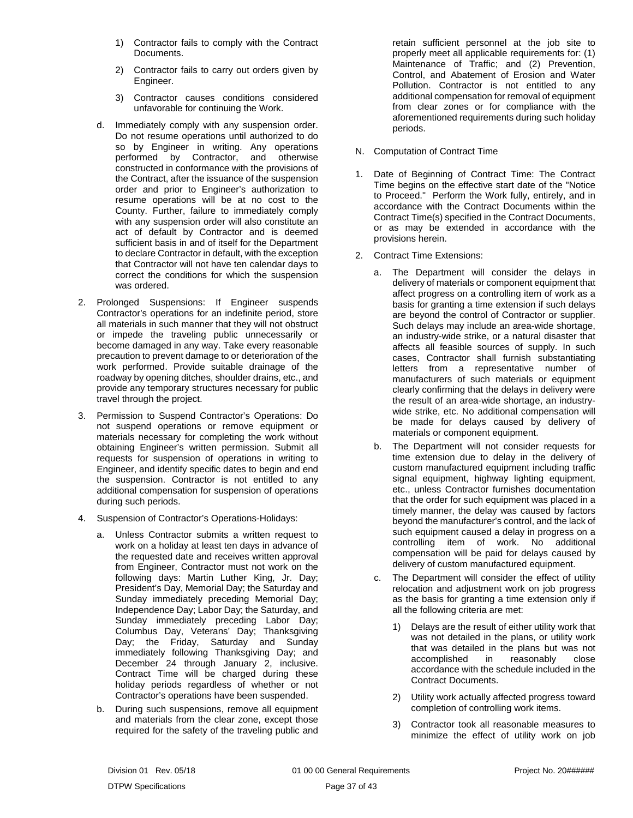- 1) Contractor fails to comply with the Contract Documents.
- 2) Contractor fails to carry out orders given by Engineer.
- 3) Contractor causes conditions considered unfavorable for continuing the Work.
- d. Immediately comply with any suspension order. Do not resume operations until authorized to do so by Engineer in writing. Any operations performed by Contractor, and otherwise constructed in conformance with the provisions of the Contract, after the issuance of the suspension order and prior to Engineer's authorization to resume operations will be at no cost to the County. Further, failure to immediately comply with any suspension order will also constitute an act of default by Contractor and is deemed sufficient basis in and of itself for the Department to declare Contractor in default, with the exception that Contractor will not have ten calendar days to correct the conditions for which the suspension was ordered.
- 2. Prolonged Suspensions: If Engineer suspends Contractor's operations for an indefinite period, store all materials in such manner that they will not obstruct or impede the traveling public unnecessarily or become damaged in any way. Take every reasonable precaution to prevent damage to or deterioration of the work performed. Provide suitable drainage of the roadway by opening ditches, shoulder drains, etc., and provide any temporary structures necessary for public travel through the project.
- 3. Permission to Suspend Contractor's Operations: Do not suspend operations or remove equipment or materials necessary for completing the work without obtaining Engineer's written permission. Submit all requests for suspension of operations in writing to Engineer, and identify specific dates to begin and end the suspension. Contractor is not entitled to any additional compensation for suspension of operations during such periods.
- 4. Suspension of Contractor's Operations-Holidays:
	- a. Unless Contractor submits a written request to work on a holiday at least ten days in advance of the requested date and receives written approval from Engineer, Contractor must not work on the following days: Martin Luther King, Jr. Day; President's Day, Memorial Day; the Saturday and Sunday immediately preceding Memorial Day; Independence Day; Labor Day; the Saturday, and Sunday immediately preceding Labor Day; Columbus Day, Veterans' Day; Thanksgiving Day; the Friday, Saturday and Sunday immediately following Thanksgiving Day; and December 24 through January 2, inclusive. Contract Time will be charged during these holiday periods regardless of whether or not Contractor's operations have been suspended.
	- b. During such suspensions, remove all equipment and materials from the clear zone, except those required for the safety of the traveling public and

retain sufficient personnel at the job site to properly meet all applicable requirements for: (1) Maintenance of Traffic; and (2) Prevention, Control, and Abatement of Erosion and Water Pollution. Contractor is not entitled to any additional compensation for removal of equipment from clear zones or for compliance with the aforementioned requirements during such holiday periods.

- <span id="page-38-0"></span>N. Computation of Contract Time
- 1. Date of Beginning of Contract Time: The Contract Time begins on the effective start date of the "Notice to Proceed." Perform the Work fully, entirely, and in accordance with the Contract Documents within the Contract Time(s) specified in the Contract Documents, or as may be extended in accordance with the provisions herein.
- 2. Contract Time Extensions:
	- a. The Department will consider the delays in delivery of materials or component equipment that affect progress on a controlling item of work as a basis for granting a time extension if such delays are beyond the control of Contractor or supplier. Such delays may include an area-wide shortage, an industry-wide strike, or a natural disaster that affects all feasible sources of supply. In such cases, Contractor shall furnish substantiating letters from a representative number of manufacturers of such materials or equipment clearly confirming that the delays in delivery were the result of an area-wide shortage, an industrywide strike, etc. No additional compensation will be made for delays caused by delivery of materials or component equipment.
	- b. The Department will not consider requests for time extension due to delay in the delivery of custom manufactured equipment including traffic signal equipment, highway lighting equipment, etc., unless Contractor furnishes documentation that the order for such equipment was placed in a timely manner, the delay was caused by factors beyond the manufacturer's control, and the lack of such equipment caused a delay in progress on a controlling item of work. No additional compensation will be paid for delays caused by delivery of custom manufactured equipment.
	- c. The Department will consider the effect of utility relocation and adjustment work on job progress as the basis for granting a time extension only if all the following criteria are met:
		- 1) Delays are the result of either utility work that was not detailed in the plans, or utility work that was detailed in the plans but was not accomplished in reasonably close accordance with the schedule included in the Contract Documents.
		- 2) Utility work actually affected progress toward completion of controlling work items.
		- 3) Contractor took all reasonable measures to minimize the effect of utility work on job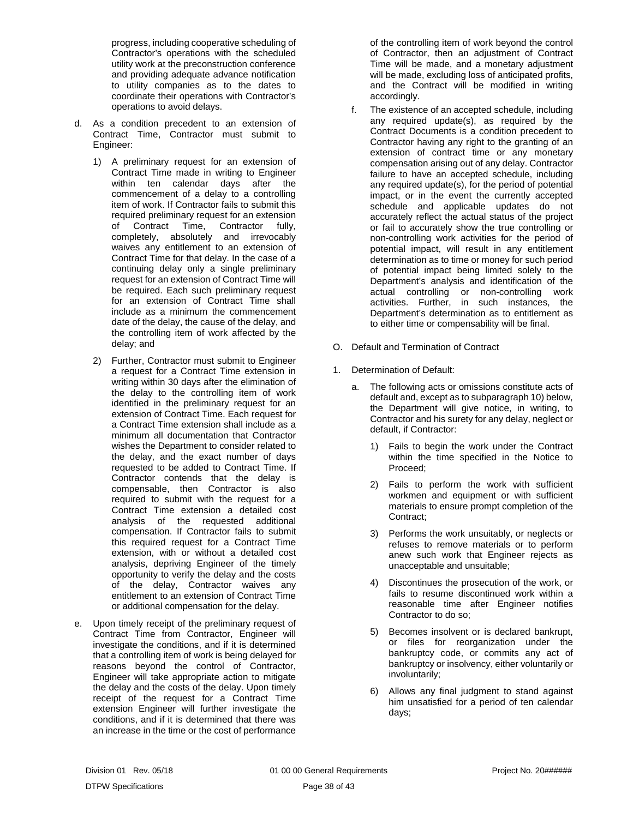progress, including cooperative scheduling of Contractor's operations with the scheduled utility work at the preconstruction conference and providing adequate advance notification to utility companies as to the dates to coordinate their operations with Contractor's operations to avoid delays.

- d. As a condition precedent to an extension of Contract Time, Contractor must submit to Engineer:
	- 1) A preliminary request for an extension of Contract Time made in writing to Engineer within ten calendar days after the commencement of a delay to a controlling item of work. If Contractor fails to submit this required preliminary request for an extension of Contract Time, Contractor fully, completely, absolutely and irrevocably waives any entitlement to an extension of Contract Time for that delay. In the case of a continuing delay only a single preliminary request for an extension of Contract Time will be required. Each such preliminary request for an extension of Contract Time shall include as a minimum the commencement date of the delay, the cause of the delay, and the controlling item of work affected by the delay; and
	- 2) Further, Contractor must submit to Engineer a request for a Contract Time extension in writing within 30 days after the elimination of the delay to the controlling item of work identified in the preliminary request for an extension of Contract Time. Each request for a Contract Time extension shall include as a minimum all documentation that Contractor wishes the Department to consider related to the delay, and the exact number of days requested to be added to Contract Time. If Contractor contends that the delay is compensable, then Contractor is also required to submit with the request for a Contract Time extension a detailed cost analysis of the requested additional compensation. If Contractor fails to submit this required request for a Contract Time extension, with or without a detailed cost analysis, depriving Engineer of the timely opportunity to verify the delay and the costs of the delay, Contractor waives any entitlement to an extension of Contract Time or additional compensation for the delay.
- e. Upon timely receipt of the preliminary request of Contract Time from Contractor, Engineer will investigate the conditions, and if it is determined that a controlling item of work is being delayed for reasons beyond the control of Contractor, Engineer will take appropriate action to mitigate the delay and the costs of the delay. Upon timely receipt of the request for a Contract Time extension Engineer will further investigate the conditions, and if it is determined that there was an increase in the time or the cost of performance

of the controlling item of work beyond the control of Contractor, then an adjustment of Contract Time will be made, and a monetary adjustment will be made, excluding loss of anticipated profits, and the Contract will be modified in writing accordingly.

- f. The existence of an accepted schedule, including any required update(s), as required by the Contract Documents is a condition precedent to Contractor having any right to the granting of an extension of contract time or any monetary compensation arising out of any delay. Contractor failure to have an accepted schedule, including any required update(s), for the period of potential impact, or in the event the currently accepted schedule and applicable updates do not accurately reflect the actual status of the project or fail to accurately show the true controlling or non-controlling work activities for the period of potential impact, will result in any entitlement determination as to time or money for such period of potential impact being limited solely to the Department's analysis and identification of the actual controlling or non-controlling work activities. Further, in such instances, the Department's determination as to entitlement as to either time or compensability will be final.
- <span id="page-39-0"></span>O. Default and Termination of Contract
- 1. Determination of Default:
	- a. The following acts or omissions constitute acts of default and, except as to subparagraph 10) below, the Department will give notice, in writing, to Contractor and his surety for any delay, neglect or default, if Contractor:
		- Fails to begin the work under the Contract within the time specified in the Notice to Proceed;
		- 2) Fails to perform the work with sufficient workmen and equipment or with sufficient materials to ensure prompt completion of the Contract;
		- 3) Performs the work unsuitably, or neglects or refuses to remove materials or to perform anew such work that Engineer rejects as unacceptable and unsuitable;
		- 4) Discontinues the prosecution of the work, or fails to resume discontinued work within a reasonable time after Engineer notifies Contractor to do so;
		- 5) Becomes insolvent or is declared bankrupt, or files for reorganization under the bankruptcy code, or commits any act of bankruptcy or insolvency, either voluntarily or involuntarily;
		- 6) Allows any final judgment to stand against him unsatisfied for a period of ten calendar days;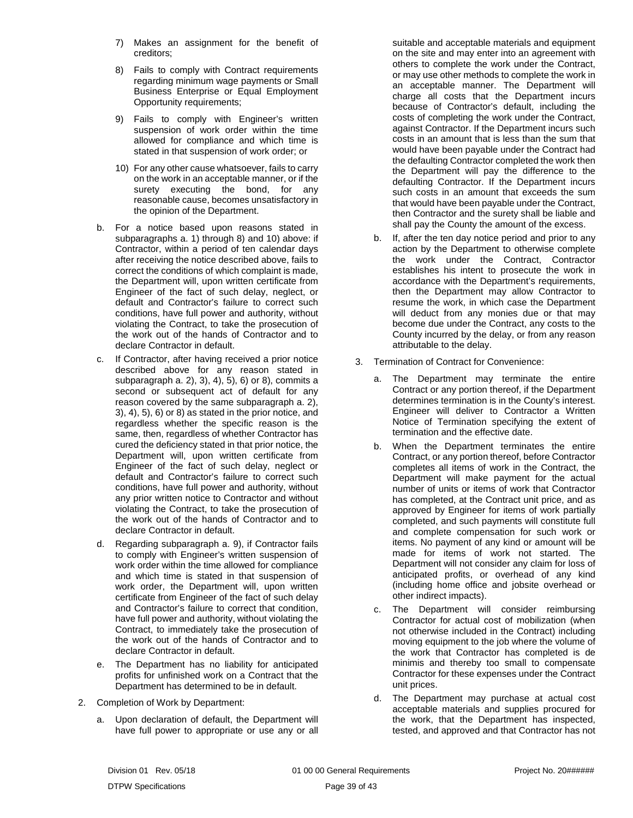- 7) Makes an assignment for the benefit of creditors;
- 8) Fails to comply with Contract requirements regarding minimum wage payments or Small Business Enterprise or Equal Employment Opportunity requirements;
- 9) Fails to comply with Engineer's written suspension of work order within the time allowed for compliance and which time is stated in that suspension of work order; or
- 10) For any other cause whatsoever, fails to carry on the work in an acceptable manner, or if the surety executing the bond, for any reasonable cause, becomes unsatisfactory in the opinion of the Department.
- b. For a notice based upon reasons stated in subparagraphs a. 1) through 8) and 10) above: if Contractor, within a period of ten calendar days after receiving the notice described above, fails to correct the conditions of which complaint is made, the Department will, upon written certificate from Engineer of the fact of such delay, neglect, or default and Contractor's failure to correct such conditions, have full power and authority, without violating the Contract, to take the prosecution of the work out of the hands of Contractor and to declare Contractor in default.
- c. If Contractor, after having received a prior notice described above for any reason stated in subparagraph  $a. 2$ ),  $3$ ),  $4$ ),  $5$ ),  $6$ ) or  $8$ ), commits a second or subsequent act of default for any reason covered by the same subparagraph a. 2), 3), 4), 5), 6) or 8) as stated in the prior notice, and regardless whether the specific reason is the same, then, regardless of whether Contractor has cured the deficiency stated in that prior notice, the Department will, upon written certificate from Engineer of the fact of such delay, neglect or default and Contractor's failure to correct such conditions, have full power and authority, without any prior written notice to Contractor and without violating the Contract, to take the prosecution of the work out of the hands of Contractor and to declare Contractor in default.
- d. Regarding subparagraph a. 9), if Contractor fails to comply with Engineer's written suspension of work order within the time allowed for compliance and which time is stated in that suspension of work order, the Department will, upon written certificate from Engineer of the fact of such delay and Contractor's failure to correct that condition, have full power and authority, without violating the Contract, to immediately take the prosecution of the work out of the hands of Contractor and to declare Contractor in default.
- e. The Department has no liability for anticipated profits for unfinished work on a Contract that the Department has determined to be in default.
- 2. Completion of Work by Department:
	- a. Upon declaration of default, the Department will have full power to appropriate or use any or all

suitable and acceptable materials and equipment on the site and may enter into an agreement with others to complete the work under the Contract, or may use other methods to complete the work in an acceptable manner. The Department will charge all costs that the Department incurs because of Contractor's default, including the costs of completing the work under the Contract, against Contractor. If the Department incurs such costs in an amount that is less than the sum that would have been payable under the Contract had the defaulting Contractor completed the work then the Department will pay the difference to the defaulting Contractor. If the Department incurs such costs in an amount that exceeds the sum that would have been payable under the Contract, then Contractor and the surety shall be liable and shall pay the County the amount of the excess.

- b. If, after the ten day notice period and prior to any action by the Department to otherwise complete the work under the Contract, Contractor establishes his intent to prosecute the work in accordance with the Department's requirements, then the Department may allow Contractor to resume the work, in which case the Department will deduct from any monies due or that may become due under the Contract, any costs to the County incurred by the delay, or from any reason attributable to the delay.
- 3. Termination of Contract for Convenience:
	- The Department may terminate the entire Contract or any portion thereof, if the Department determines termination is in the County's interest. Engineer will deliver to Contractor a Written Notice of Termination specifying the extent of termination and the effective date.
	- b. When the Department terminates the entire Contract, or any portion thereof, before Contractor completes all items of work in the Contract, the Department will make payment for the actual number of units or items of work that Contractor has completed, at the Contract unit price, and as approved by Engineer for items of work partially completed, and such payments will constitute full and complete compensation for such work or items. No payment of any kind or amount will be made for items of work not started. The Department will not consider any claim for loss of anticipated profits, or overhead of any kind (including home office and jobsite overhead or other indirect impacts).
	- c. The Department will consider reimbursing Contractor for actual cost of mobilization (when not otherwise included in the Contract) including moving equipment to the job where the volume of the work that Contractor has completed is de minimis and thereby too small to compensate Contractor for these expenses under the Contract unit prices.
	- d. The Department may purchase at actual cost acceptable materials and supplies procured for the work, that the Department has inspected, tested, and approved and that Contractor has not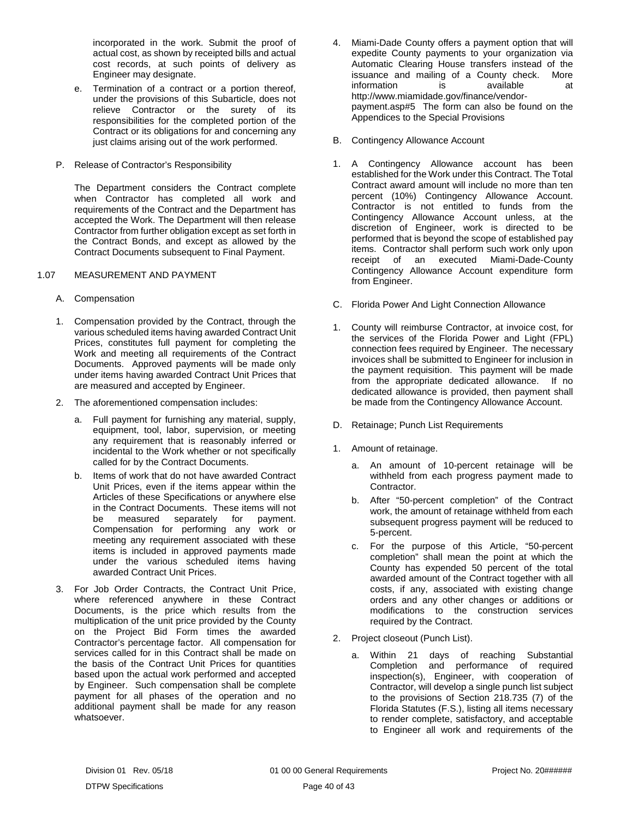incorporated in the work. Submit the proof of actual cost, as shown by receipted bills and actual cost records, at such points of delivery as Engineer may designate.

- e. Termination of a contract or a portion thereof, under the provisions of this Subarticle, does not relieve Contractor or the surety of its responsibilities for the completed portion of the Contract or its obligations for and concerning any just claims arising out of the work performed.
- <span id="page-41-0"></span>P. Release of Contractor's Responsibility

The Department considers the Contract complete when Contractor has completed all work and requirements of the Contract and the Department has accepted the Work. The Department will then release Contractor from further obligation except as set forth in the Contract Bonds, and except as allowed by the Contract Documents subsequent to Final Payment.

## <span id="page-41-1"></span>1.07 MEASUREMENT AND PAYMENT

- <span id="page-41-2"></span>A. Compensation
- 1. Compensation provided by the Contract, through the various scheduled items having awarded Contract Unit Prices, constitutes full payment for completing the Work and meeting all requirements of the Contract Documents. Approved payments will be made only under items having awarded Contract Unit Prices that are measured and accepted by Engineer.
- 2. The aforementioned compensation includes:
	- a. Full payment for furnishing any material, supply, equipment, tool, labor, supervision, or meeting any requirement that is reasonably inferred or incidental to the Work whether or not specifically called for by the Contract Documents.
	- b. Items of work that do not have awarded Contract Unit Prices, even if the items appear within the Articles of these Specifications or anywhere else in the Contract Documents. These items will not<br>be measured separately for payment. measured separately for payment. Compensation for performing any work or meeting any requirement associated with these items is included in approved payments made under the various scheduled items having awarded Contract Unit Prices.
- 3. For Job Order Contracts, the Contract Unit Price, where referenced anywhere in these Contract Documents, is the price which results from the multiplication of the unit price provided by the County on the Project Bid Form times the awarded Contractor's percentage factor. All compensation for services called for in this Contract shall be made on the basis of the Contract Unit Prices for quantities based upon the actual work performed and accepted by Engineer. Such compensation shall be complete payment for all phases of the operation and no additional payment shall be made for any reason whatsoever.
- 4. Miami-Dade County offers a payment option that will expedite County payments to your organization via Automatic Clearing House transfers instead of the issuance and mailing of a County check. More information is available at http://www.miamidade.gov/finance/vendorpayment.asp#5 The form can also be found on the Appendices to the Special Provisions
- <span id="page-41-3"></span>B. Contingency Allowance Account
- 1. A Contingency Allowance account has been established for the Work under this Contract. The Total Contract award amount will include no more than ten percent (10%) Contingency Allowance Account. Contractor is not entitled to funds from the Contingency Allowance Account unless, at the discretion of Engineer, work is directed to be performed that is beyond the scope of established pay items. Contractor shall perform such work only upon receipt of an executed Miami-Dade-County Contingency Allowance Account expenditure form from Engineer.
- <span id="page-41-4"></span>C. Florida Power And Light Connection Allowance
- 1. County will reimburse Contractor, at invoice cost, for the services of the Florida Power and Light (FPL) connection fees required by Engineer. The necessary invoices shall be submitted to Engineer for inclusion in the payment requisition. This payment will be made from the appropriate dedicated allowance. If no dedicated allowance is provided, then payment shall be made from the Contingency Allowance Account.
- <span id="page-41-5"></span>D. Retainage; Punch List Requirements
- 1. Amount of retainage.
	- a. An amount of 10-percent retainage will be withheld from each progress payment made to Contractor.
	- b. After "50-percent completion" of the Contract work, the amount of retainage withheld from each subsequent progress payment will be reduced to 5-percent.
	- c. For the purpose of this Article, "50-percent completion" shall mean the point at which the County has expended 50 percent of the total awarded amount of the Contract together with all costs, if any, associated with existing change orders and any other changes or additions or modifications to the construction services required by the Contract.
- 2. Project closeout (Punch List).
	- a. Within 21 days of reaching Substantial Completion and performance of required inspection(s), Engineer, with cooperation of Contractor, will develop a single punch list subject to the provisions of Section 218.735 (7) of the Florida Statutes (F.S.), listing all items necessary to render complete, satisfactory, and acceptable to Engineer all work and requirements of the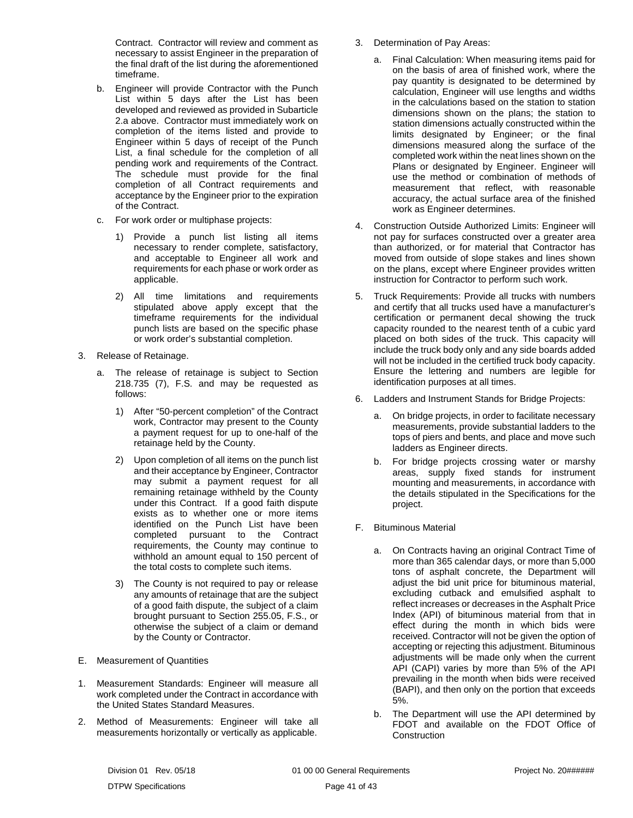Contract. Contractor will review and comment as necessary to assist Engineer in the preparation of the final draft of the list during the aforementioned timeframe.

- b. Engineer will provide Contractor with the Punch List within 5 days after the List has been developed and reviewed as provided in Subarticle 2.a above. Contractor must immediately work on completion of the items listed and provide to Engineer within 5 days of receipt of the Punch List, a final schedule for the completion of all pending work and requirements of the Contract. The schedule must provide for the final completion of all Contract requirements and acceptance by the Engineer prior to the expiration of the Contract.
- c. For work order or multiphase projects:
	- 1) Provide a punch list listing all items necessary to render complete, satisfactory, and acceptable to Engineer all work and requirements for each phase or work order as applicable.
	- 2) All time limitations and requirements stipulated above apply except that the timeframe requirements for the individual punch lists are based on the specific phase or work order's substantial completion.
- 3. Release of Retainage.
	- a. The release of retainage is subject to Section 218.735 (7), F.S. and may be requested as follows:
		- 1) After "50-percent completion" of the Contract work, Contractor may present to the County a payment request for up to one-half of the retainage held by the County.
		- 2) Upon completion of all items on the punch list and their acceptance by Engineer, Contractor may submit a payment request for all remaining retainage withheld by the County under this Contract. If a good faith dispute exists as to whether one or more items identified on the Punch List have been completed pursuant to the Contract requirements, the County may continue to withhold an amount equal to 150 percent of the total costs to complete such items.
		- 3) The County is not required to pay or release any amounts of retainage that are the subject of a good faith dispute, the subject of a claim brought pursuant to Section 255.05, F.S., or otherwise the subject of a claim or demand by the County or Contractor.
- <span id="page-42-0"></span>E. Measurement of Quantities
- 1. Measurement Standards: Engineer will measure all work completed under the Contract in accordance with the United States Standard Measures.
- 2. Method of Measurements: Engineer will take all measurements horizontally or vertically as applicable.
- 3. Determination of Pay Areas:
	- a. Final Calculation: When measuring items paid for on the basis of area of finished work, where the pay quantity is designated to be determined by calculation, Engineer will use lengths and widths in the calculations based on the station to station dimensions shown on the plans; the station to station dimensions actually constructed within the limits designated by Engineer; or the final dimensions measured along the surface of the completed work within the neat lines shown on the Plans or designated by Engineer. Engineer will use the method or combination of methods of measurement that reflect, with reasonable accuracy, the actual surface area of the finished work as Engineer determines.
- 4. Construction Outside Authorized Limits: Engineer will not pay for surfaces constructed over a greater area than authorized, or for material that Contractor has moved from outside of slope stakes and lines shown on the plans, except where Engineer provides written instruction for Contractor to perform such work.
- 5. Truck Requirements: Provide all trucks with numbers and certify that all trucks used have a manufacturer's certification or permanent decal showing the truck capacity rounded to the nearest tenth of a cubic yard placed on both sides of the truck. This capacity will include the truck body only and any side boards added will not be included in the certified truck body capacity. Ensure the lettering and numbers are legible for identification purposes at all times.
- 6. Ladders and Instrument Stands for Bridge Projects:
	- a. On bridge projects, in order to facilitate necessary measurements, provide substantial ladders to the tops of piers and bents, and place and move such ladders as Engineer directs.
	- b. For bridge projects crossing water or marshy areas, supply fixed stands for instrument mounting and measurements, in accordance with the details stipulated in the Specifications for the project.
- <span id="page-42-1"></span>F. Bituminous Material
	- a. On Contracts having an original Contract Time of more than 365 calendar days, or more than 5,000 tons of asphalt concrete, the Department will adjust the bid unit price for bituminous material, excluding cutback and emulsified asphalt to reflect increases or decreases in the Asphalt Price Index (API) of bituminous material from that in effect during the month in which bids were received. Contractor will not be given the option of accepting or rejecting this adjustment. Bituminous adjustments will be made only when the current API (CAPI) varies by more than 5% of the API prevailing in the month when bids were received (BAPI), and then only on the portion that exceeds 5%.
	- b. The Department will use the API determined by FDOT and available on the FDOT Office of Construction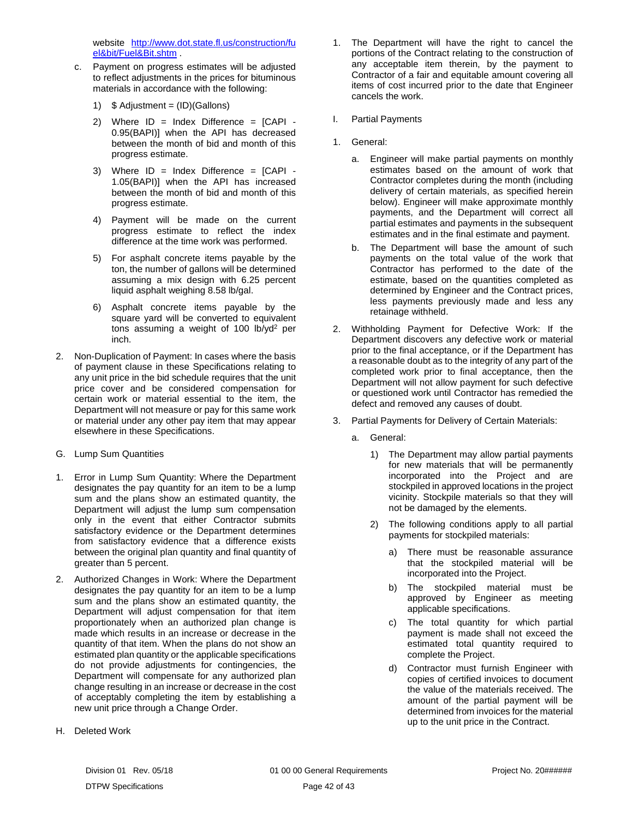website [http://www.dot.state.fl.us/construction/fu](http://www.dot.state.fl.us/construction/fuel&bit/Fuel&Bit.shtm) [el&bit/Fuel&Bit.shtm](http://www.dot.state.fl.us/construction/fuel&bit/Fuel&Bit.shtm) .

- c. Payment on progress estimates will be adjusted to reflect adjustments in the prices for bituminous materials in accordance with the following:
	- 1)  $$$  Adjustment = (ID)(Gallons)
	- 2) Where  $ID = Index Difference = [CAPI -$ 0.95(BAPI)] when the API has decreased between the month of bid and month of this progress estimate.
	- 3) Where ID = Index Difference = [CAPI 1.05(BAPI)] when the API has increased between the month of bid and month of this progress estimate.
	- 4) Payment will be made on the current progress estimate to reflect the index difference at the time work was performed.
	- 5) For asphalt concrete items payable by the ton, the number of gallons will be determined assuming a mix design with 6.25 percent liquid asphalt weighing 8.58 lb/gal.
	- 6) Asphalt concrete items payable by the square yard will be converted to equivalent tons assuming a weight of 100 lb/yd<sup>2</sup> per inch.
- 2. Non-Duplication of Payment: In cases where the basis of payment clause in these Specifications relating to any unit price in the bid schedule requires that the unit price cover and be considered compensation for certain work or material essential to the item, the Department will not measure or pay for this same work or material under any other pay item that may appear elsewhere in these Specifications.
- <span id="page-43-0"></span>G. Lump Sum Quantities
- 1. Error in Lump Sum Quantity: Where the Department designates the pay quantity for an item to be a lump sum and the plans show an estimated quantity, the Department will adjust the lump sum compensation only in the event that either Contractor submits satisfactory evidence or the Department determines from satisfactory evidence that a difference exists between the original plan quantity and final quantity of greater than 5 percent.
- 2. Authorized Changes in Work: Where the Department designates the pay quantity for an item to be a lump sum and the plans show an estimated quantity, the Department will adjust compensation for that item proportionately when an authorized plan change is made which results in an increase or decrease in the quantity of that item. When the plans do not show an estimated plan quantity or the applicable specifications do not provide adjustments for contingencies, the Department will compensate for any authorized plan change resulting in an increase or decrease in the cost of acceptably completing the item by establishing a new unit price through a Change Order.
- <span id="page-43-1"></span>H. Deleted Work
- 1. The Department will have the right to cancel the portions of the Contract relating to the construction of any acceptable item therein, by the payment to Contractor of a fair and equitable amount covering all items of cost incurred prior to the date that Engineer cancels the work.
- <span id="page-43-2"></span>I. Partial Payments
- 1. General:
	- a. Engineer will make partial payments on monthly estimates based on the amount of work that Contractor completes during the month (including delivery of certain materials, as specified herein below). Engineer will make approximate monthly payments, and the Department will correct all partial estimates and payments in the subsequent estimates and in the final estimate and payment.
	- b. The Department will base the amount of such payments on the total value of the work that Contractor has performed to the date of the estimate, based on the quantities completed as determined by Engineer and the Contract prices, less payments previously made and less any retainage withheld.
- 2. Withholding Payment for Defective Work: If the Department discovers any defective work or material prior to the final acceptance, or if the Department has a reasonable doubt as to the integrity of any part of the completed work prior to final acceptance, then the Department will not allow payment for such defective or questioned work until Contractor has remedied the defect and removed any causes of doubt.
- 3. Partial Payments for Delivery of Certain Materials:
	- a. General:
		- 1) The Department may allow partial payments for new materials that will be permanently incorporated into the Project and are stockpiled in approved locations in the project vicinity. Stockpile materials so that they will not be damaged by the elements.
		- 2) The following conditions apply to all partial payments for stockpiled materials:
			- a) There must be reasonable assurance that the stockpiled material will be incorporated into the Project.
			- b) The stockpiled material must be approved by Engineer as meeting applicable specifications.
			- c) The total quantity for which partial payment is made shall not exceed the estimated total quantity required to complete the Project.
			- d) Contractor must furnish Engineer with copies of certified invoices to document the value of the materials received. The amount of the partial payment will be determined from invoices for the material up to the unit price in the Contract.